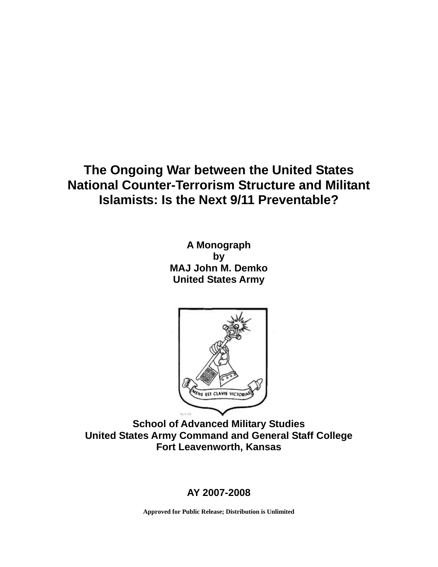# **The Ongoing War between the United States National Counter-Terrorism Structure and Militant Islamists: Is the Next 9/11 Preventable?**

**A Monograph by MAJ John M. Demko United States Army** 



**School of Advanced Military Studies United States Army Command and General Staff College Fort Leavenworth, Kansas** 

## **AY 2007-2008**

**Approved for Public Release; Distribution is Unlimited**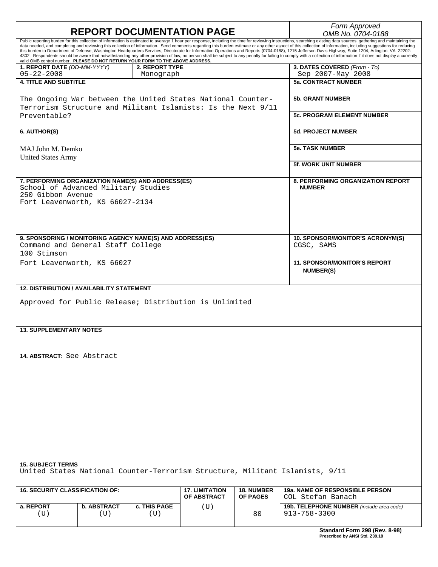|                                                                                                                                                                                                                                                           |                           | Form Approved                     |                                      |                                      |                                                                                                                                                                                                                                                                                                                                                                                                                                                                                                                                                                                                                                                      |  |  |
|-----------------------------------------------------------------------------------------------------------------------------------------------------------------------------------------------------------------------------------------------------------|---------------------------|-----------------------------------|--------------------------------------|--------------------------------------|------------------------------------------------------------------------------------------------------------------------------------------------------------------------------------------------------------------------------------------------------------------------------------------------------------------------------------------------------------------------------------------------------------------------------------------------------------------------------------------------------------------------------------------------------------------------------------------------------------------------------------------------------|--|--|
| <b>REPORT DOCUMENTATION PAGE</b><br>Public reporting burden for this collection of information is estimated to average 1 hour per response, including the time for reviewing instructions, searching existing data sources, gathering and maintaining the |                           |                                   |                                      |                                      | OMB No. 0704-0188                                                                                                                                                                                                                                                                                                                                                                                                                                                                                                                                                                                                                                    |  |  |
| valid OMB control number. PLEASE DO NOT RETURN YOUR FORM TO THE ABOVE ADDRESS.                                                                                                                                                                            |                           |                                   |                                      |                                      | data needed, and completing and reviewing this collection of information. Send comments regarding this burden estimate or any other aspect of this collection of information, including suggestions for reducing<br>this burden to Department of Defense, Washington Headquarters Services, Directorate for Information Operations and Reports (0704-0188), 1215 Jefferson Davis Highway, Suite 1204, Arlington, VA 22202-<br>4302. Respondents should be aware that notwithstanding any other provision of law, no person shall be subject to any penalty for failing to comply with a collection of information if it does not display a currently |  |  |
| 1. REPORT DATE (DD-MM-YYYY)<br>$05 - 22 - 2008$                                                                                                                                                                                                           |                           | 2. REPORT TYPE                    |                                      |                                      | 3. DATES COVERED (From - To)<br>Sep 2007-May 2008                                                                                                                                                                                                                                                                                                                                                                                                                                                                                                                                                                                                    |  |  |
| <b>4. TITLE AND SUBTITLE</b>                                                                                                                                                                                                                              |                           | Monograph                         |                                      |                                      | <b>5a. CONTRACT NUMBER</b>                                                                                                                                                                                                                                                                                                                                                                                                                                                                                                                                                                                                                           |  |  |
|                                                                                                                                                                                                                                                           |                           |                                   |                                      |                                      |                                                                                                                                                                                                                                                                                                                                                                                                                                                                                                                                                                                                                                                      |  |  |
| The Ongoing War between the United States National Counter-<br>Terrorism Structure and Militant Islamists: Is the Next 9/11                                                                                                                               |                           |                                   |                                      |                                      | <b>5b. GRANT NUMBER</b>                                                                                                                                                                                                                                                                                                                                                                                                                                                                                                                                                                                                                              |  |  |
| Preventable?                                                                                                                                                                                                                                              |                           | <b>5c. PROGRAM ELEMENT NUMBER</b> |                                      |                                      |                                                                                                                                                                                                                                                                                                                                                                                                                                                                                                                                                                                                                                                      |  |  |
| 6. AUTHOR(S)                                                                                                                                                                                                                                              |                           |                                   |                                      |                                      | <b>5d. PROJECT NUMBER</b>                                                                                                                                                                                                                                                                                                                                                                                                                                                                                                                                                                                                                            |  |  |
| MAJ John M. Demko<br><b>United States Army</b>                                                                                                                                                                                                            |                           | <b>5e. TASK NUMBER</b>            |                                      |                                      |                                                                                                                                                                                                                                                                                                                                                                                                                                                                                                                                                                                                                                                      |  |  |
|                                                                                                                                                                                                                                                           |                           | <b>5f. WORK UNIT NUMBER</b>       |                                      |                                      |                                                                                                                                                                                                                                                                                                                                                                                                                                                                                                                                                                                                                                                      |  |  |
| 7. PERFORMING ORGANIZATION NAME(S) AND ADDRESS(ES)<br>School of Advanced Military Studies<br>250 Gibbon Avenue<br>Fort Leavenworth, KS 66027-2134                                                                                                         |                           |                                   |                                      |                                      | <b>8. PERFORMING ORGANIZATION REPORT</b><br><b>NUMBER</b>                                                                                                                                                                                                                                                                                                                                                                                                                                                                                                                                                                                            |  |  |
|                                                                                                                                                                                                                                                           |                           |                                   |                                      |                                      |                                                                                                                                                                                                                                                                                                                                                                                                                                                                                                                                                                                                                                                      |  |  |
| 9. SPONSORING / MONITORING AGENCY NAME(S) AND ADDRESS(ES)<br>Command and General Staff College<br>100 Stimson                                                                                                                                             |                           |                                   |                                      |                                      | 10. SPONSOR/MONITOR'S ACRONYM(S)<br>CGSC, SAMS                                                                                                                                                                                                                                                                                                                                                                                                                                                                                                                                                                                                       |  |  |
| Fort Leavenworth, KS 66027                                                                                                                                                                                                                                |                           |                                   |                                      |                                      | <b>11. SPONSOR/MONITOR'S REPORT</b>                                                                                                                                                                                                                                                                                                                                                                                                                                                                                                                                                                                                                  |  |  |
|                                                                                                                                                                                                                                                           |                           |                                   |                                      |                                      | <b>NUMBER(S)</b>                                                                                                                                                                                                                                                                                                                                                                                                                                                                                                                                                                                                                                     |  |  |
| <b>12. DISTRIBUTION / AVAILABILITY STATEMENT</b>                                                                                                                                                                                                          |                           |                                   |                                      |                                      |                                                                                                                                                                                                                                                                                                                                                                                                                                                                                                                                                                                                                                                      |  |  |
| Approved for Public Release; Distribution is Unlimited                                                                                                                                                                                                    |                           |                                   |                                      |                                      |                                                                                                                                                                                                                                                                                                                                                                                                                                                                                                                                                                                                                                                      |  |  |
|                                                                                                                                                                                                                                                           |                           |                                   |                                      |                                      |                                                                                                                                                                                                                                                                                                                                                                                                                                                                                                                                                                                                                                                      |  |  |
| <b>13. SUPPLEMENTARY NOTES</b>                                                                                                                                                                                                                            |                           |                                   |                                      |                                      |                                                                                                                                                                                                                                                                                                                                                                                                                                                                                                                                                                                                                                                      |  |  |
|                                                                                                                                                                                                                                                           |                           |                                   |                                      |                                      |                                                                                                                                                                                                                                                                                                                                                                                                                                                                                                                                                                                                                                                      |  |  |
| 14. ABSTRACT: See Abstract                                                                                                                                                                                                                                |                           |                                   |                                      |                                      |                                                                                                                                                                                                                                                                                                                                                                                                                                                                                                                                                                                                                                                      |  |  |
|                                                                                                                                                                                                                                                           |                           |                                   |                                      |                                      |                                                                                                                                                                                                                                                                                                                                                                                                                                                                                                                                                                                                                                                      |  |  |
|                                                                                                                                                                                                                                                           |                           |                                   |                                      |                                      |                                                                                                                                                                                                                                                                                                                                                                                                                                                                                                                                                                                                                                                      |  |  |
|                                                                                                                                                                                                                                                           |                           |                                   |                                      |                                      |                                                                                                                                                                                                                                                                                                                                                                                                                                                                                                                                                                                                                                                      |  |  |
|                                                                                                                                                                                                                                                           |                           |                                   |                                      |                                      |                                                                                                                                                                                                                                                                                                                                                                                                                                                                                                                                                                                                                                                      |  |  |
|                                                                                                                                                                                                                                                           |                           |                                   |                                      |                                      |                                                                                                                                                                                                                                                                                                                                                                                                                                                                                                                                                                                                                                                      |  |  |
|                                                                                                                                                                                                                                                           |                           |                                   |                                      |                                      |                                                                                                                                                                                                                                                                                                                                                                                                                                                                                                                                                                                                                                                      |  |  |
|                                                                                                                                                                                                                                                           |                           |                                   |                                      |                                      |                                                                                                                                                                                                                                                                                                                                                                                                                                                                                                                                                                                                                                                      |  |  |
|                                                                                                                                                                                                                                                           |                           |                                   |                                      |                                      |                                                                                                                                                                                                                                                                                                                                                                                                                                                                                                                                                                                                                                                      |  |  |
|                                                                                                                                                                                                                                                           |                           |                                   |                                      |                                      |                                                                                                                                                                                                                                                                                                                                                                                                                                                                                                                                                                                                                                                      |  |  |
| <b>15. SUBJECT TERMS</b><br>United States National Counter-Terrorism Structure, Militant Islamists, 9/11                                                                                                                                                  |                           |                                   |                                      |                                      |                                                                                                                                                                                                                                                                                                                                                                                                                                                                                                                                                                                                                                                      |  |  |
|                                                                                                                                                                                                                                                           |                           |                                   |                                      |                                      |                                                                                                                                                                                                                                                                                                                                                                                                                                                                                                                                                                                                                                                      |  |  |
| <b>16. SECURITY CLASSIFICATION OF:</b>                                                                                                                                                                                                                    |                           |                                   | <b>17. LIMITATION</b><br>OF ABSTRACT | <b>18. NUMBER</b><br><b>OF PAGES</b> | <b>19a. NAME OF RESPONSIBLE PERSON</b><br>COL Stefan Banach                                                                                                                                                                                                                                                                                                                                                                                                                                                                                                                                                                                          |  |  |
| a. REPORT<br>(U)                                                                                                                                                                                                                                          | <b>b. ABSTRACT</b><br>(U) | <b>c. THIS PAGE</b><br>(U)        | (U)                                  | 80                                   | 19b. TELEPHONE NUMBER (include area code)<br>913-758-3300                                                                                                                                                                                                                                                                                                                                                                                                                                                                                                                                                                                            |  |  |
|                                                                                                                                                                                                                                                           |                           |                                   |                                      |                                      |                                                                                                                                                                                                                                                                                                                                                                                                                                                                                                                                                                                                                                                      |  |  |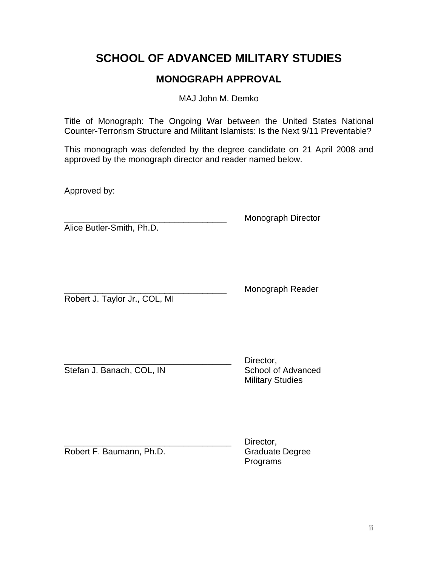# **SCHOOL OF ADVANCED MILITARY STUDIES**

## **MONOGRAPH APPROVAL**

MAJ John M. Demko

Title of Monograph: The Ongoing War between the United States National Counter-Terrorism Structure and Militant Islamists: Is the Next 9/11 Preventable?

This monograph was defended by the degree candidate on 21 April 2008 and approved by the monograph director and reader named below.

Approved by:

Alice Butler-Smith, Ph.D.

\_\_\_\_\_\_\_\_\_\_\_\_\_\_\_\_\_\_\_\_\_\_\_\_\_\_\_\_\_\_\_\_\_\_ Monograph Director

Robert J. Taylor Jr., COL, MI

Monograph Reader

Stefan J. Banach, COL, IN School of Advanced

Director. Military Studies

Robert F. Baumann, Ph.D. Graduate Degree

Director. Programs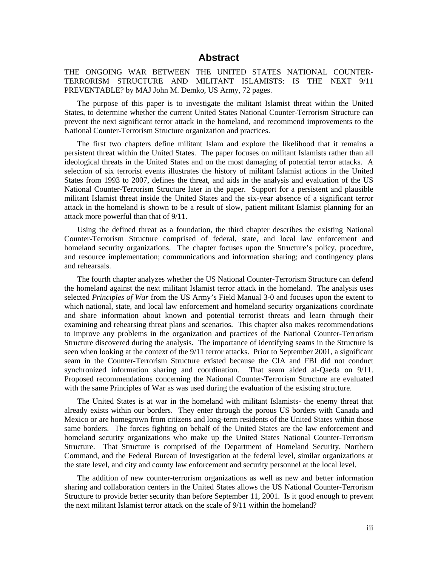## **Abstract**

#### THE ONGOING WAR BETWEEN THE UNITED STATES NATIONAL COUNTER-TERRORISM STRUCTURE AND MILITANT ISLAMISTS: IS THE NEXT 9/11 PREVENTABLE? by MAJ John M. Demko, US Army, 72 pages.

The purpose of this paper is to investigate the militant Islamist threat within the United States, to determine whether the current United States National Counter-Terrorism Structure can prevent the next significant terror attack in the homeland, and recommend improvements to the National Counter-Terrorism Structure organization and practices.

The first two chapters define militant Islam and explore the likelihood that it remains a persistent threat within the United States. The paper focuses on militant Islamists rather than all ideological threats in the United States and on the most damaging of potential terror attacks. A selection of six terrorist events illustrates the history of militant Islamist actions in the United States from 1993 to 2007, defines the threat, and aids in the analysis and evaluation of the US National Counter-Terrorism Structure later in the paper. Support for a persistent and plausible militant Islamist threat inside the United States and the six-year absence of a significant terror attack in the homeland is shown to be a result of slow, patient militant Islamist planning for an attack more powerful than that of 9/11.

Using the defined threat as a foundation, the third chapter describes the existing National Counter-Terrorism Structure comprised of federal, state, and local law enforcement and homeland security organizations. The chapter focuses upon the Structure's policy, procedure, and resource implementation; communications and information sharing; and contingency plans and rehearsals.

The fourth chapter analyzes whether the US National Counter-Terrorism Structure can defend the homeland against the next militant Islamist terror attack in the homeland. The analysis uses selected *Principles of War* from the US Army's Field Manual 3-0 and focuses upon the extent to which national, state, and local law enforcement and homeland security organizations coordinate and share information about known and potential terrorist threats and learn through their examining and rehearsing threat plans and scenarios. This chapter also makes recommendations to improve any problems in the organization and practices of the National Counter-Terrorism Structure discovered during the analysis. The importance of identifying seams in the Structure is seen when looking at the context of the 9/11 terror attacks. Prior to September 2001, a significant seam in the Counter-Terrorism Structure existed because the CIA and FBI did not conduct synchronized information sharing and coordination. That seam aided al-Qaeda on 9/11. Proposed recommendations concerning the National Counter-Terrorism Structure are evaluated with the same Principles of War as was used during the evaluation of the existing structure.

The United States is at war in the homeland with militant Islamists- the enemy threat that already exists within our borders. They enter through the porous US borders with Canada and Mexico or are homegrown from citizens and long-term residents of the United States within those same borders. The forces fighting on behalf of the United States are the law enforcement and homeland security organizations who make up the United States National Counter-Terrorism Structure. That Structure is comprised of the Department of Homeland Security, Northern Command, and the Federal Bureau of Investigation at the federal level, similar organizations at the state level, and city and county law enforcement and security personnel at the local level.

The addition of new counter-terrorism organizations as well as new and better information sharing and collaboration centers in the United States allows the US National Counter-Terrorism Structure to provide better security than before September 11, 2001. Is it good enough to prevent the next militant Islamist terror attack on the scale of 9/11 within the homeland?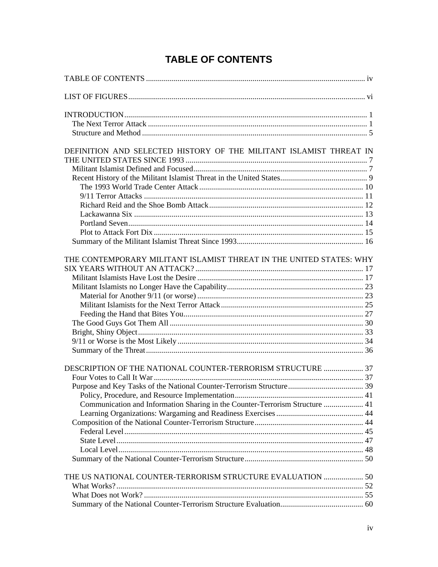# **TABLE OF CONTENTS**

<span id="page-4-0"></span>

| DEFINITION AND SELECTED HISTORY OF THE MILITANT ISLAMIST THREAT IN           |  |
|------------------------------------------------------------------------------|--|
|                                                                              |  |
|                                                                              |  |
|                                                                              |  |
|                                                                              |  |
|                                                                              |  |
|                                                                              |  |
|                                                                              |  |
|                                                                              |  |
|                                                                              |  |
|                                                                              |  |
|                                                                              |  |
| THE CONTEMPORARY MILITANT ISLAMIST THREAT IN THE UNITED STATES: WHY          |  |
|                                                                              |  |
|                                                                              |  |
|                                                                              |  |
|                                                                              |  |
|                                                                              |  |
|                                                                              |  |
|                                                                              |  |
|                                                                              |  |
|                                                                              |  |
|                                                                              |  |
| DESCRIPTION OF THE NATIONAL COUNTER-TERRORISM STRUCTURE  37                  |  |
|                                                                              |  |
|                                                                              |  |
|                                                                              |  |
| Communication and Information Sharing in the Counter-Terrorism Structure  41 |  |
|                                                                              |  |
|                                                                              |  |
|                                                                              |  |
|                                                                              |  |
|                                                                              |  |
|                                                                              |  |
|                                                                              |  |
| THE US NATIONAL COUNTER-TERRORISM STRUCTURE EVALUATION  50                   |  |
|                                                                              |  |
|                                                                              |  |
|                                                                              |  |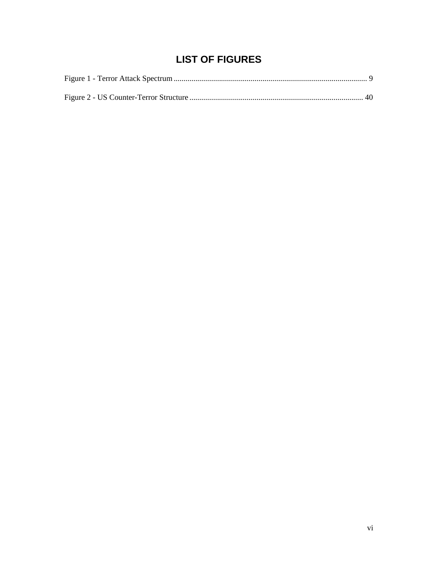# **LIST OF FIGURES**

<span id="page-6-0"></span>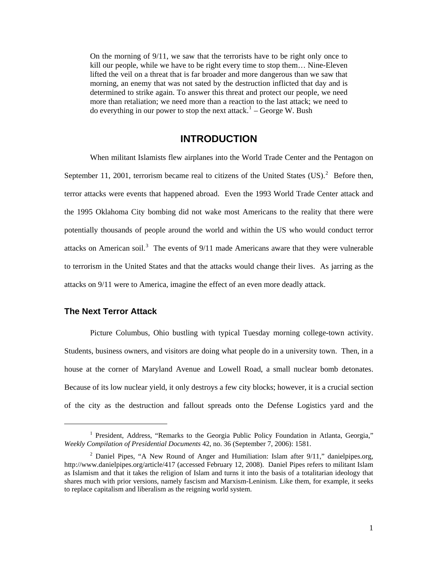<span id="page-7-0"></span>On the morning of 9/11, we saw that the terrorists have to be right only once to kill our people, while we have to be right every time to stop them… Nine-Eleven lifted the veil on a threat that is far broader and more dangerous than we saw that morning, an enemy that was not sated by the destruction inflicted that day and is determined to strike again. To answer this threat and protect our people, we need more than retaliation; we need more than a reaction to the last attack; we need to do everything in our power to stop the next attack.<sup>[1](#page-7-1)</sup> – George W. Bush

## **INTRODUCTION**

When militant Islamists flew airplanes into the World Trade Center and the Pentagon on September 11, [2](#page-7-2)001, terrorism became real to citizens of the United States  $(US)^2$ . Before then, terror attacks were events that happened abroad. Even the 1993 World Trade Center attack and the 1995 Oklahoma City bombing did not wake most Americans to the reality that there were potentially thousands of people around the world and within the US who would conduct terror attacks on American soil.<sup>[3](#page-7-3)</sup> The events of  $9/11$  made Americans aware that they were vulnerable to terrorism in the United States and that the attacks would change their lives. As jarring as the attacks on 9/11 were to America, imagine the effect of an even more deadly attack.

### **The Next Terror Attack**

 $\overline{a}$ 

Picture Columbus, Ohio bustling with typical Tuesday morning college-town activity. Students, business owners, and visitors are doing what people do in a university town. Then, in a house at the corner of Maryland Avenue and Lowell Road, a small nuclear bomb detonates. Because of its low nuclear yield, it only destroys a few city blocks; however, it is a crucial section of the city as the destruction and fallout spreads onto the Defense Logistics yard and the

<span id="page-7-1"></span><sup>&</sup>lt;sup>1</sup> President, Address, "Remarks to the Georgia Public Policy Foundation in Atlanta, Georgia," *Weekly Compilation of Presidential Documents* 42, no. 36 (September 7, 2006): 1581.

<span id="page-7-3"></span><span id="page-7-2"></span><sup>&</sup>lt;sup>2</sup> Daniel Pipes, "A New Round of Anger and Humiliation: Islam after  $9/11$ ," danielpipes.org, <http://www.danielpipes.org/article/417>(accessed February 12, 2008). Daniel Pipes refers to militant Islam as Islamism and that it takes the religion of Islam and turns it into the basis of a totalitarian ideology that shares much with prior versions, namely fascism and Marxism-Leninism. Like them, for example, it seeks to replace capitalism and liberalism as the reigning world system.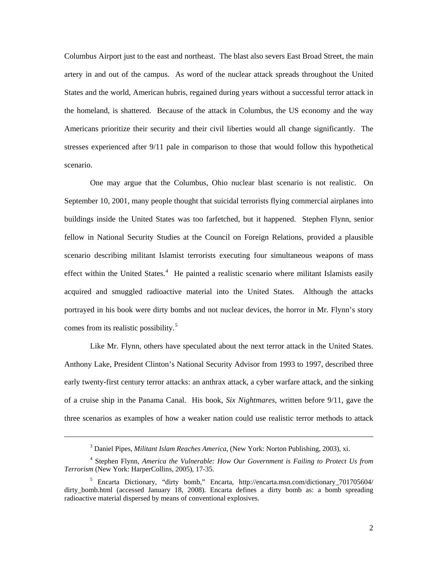Columbus Airport just to the east and northeast. The blast also severs East Broad Street, the main artery in and out of the campus. As word of the nuclear attack spreads throughout the United States and the world, American hubris, regained during years without a successful terror attack in the homeland, is shattered. Because of the attack in Columbus, the US economy and the way Americans prioritize their security and their civil liberties would all change significantly. The stresses experienced after 9/11 pale in comparison to those that would follow this hypothetical scenario.

One may argue that the Columbus, Ohio nuclear blast scenario is not realistic. On September 10, 2001, many people thought that suicidal terrorists flying commercial airplanes into buildings inside the United States was too farfetched, but it happened. Stephen Flynn, senior fellow in National Security Studies at the Council on Foreign Relations, provided a plausible scenario describing militant Islamist terrorists executing four simultaneous weapons of mass effect within the United States.<sup>[4](#page-8-0)</sup> He painted a realistic scenario where militant Islamists easily acquired and smuggled radioactive material into the United States. Although the attacks portrayed in his book were dirty bombs and not nuclear devices, the horror in Mr. Flynn's story comes from its realistic possibility.<sup>[5](#page-8-1)</sup>

Like Mr. Flynn, others have speculated about the next terror attack in the United States. Anthony Lake, President Clinton's National Security Advisor from 1993 to 1997, described three early twenty-first century terror attacks: an anthrax attack, a cyber warfare attack, and the sinking of a cruise ship in the Panama Canal. His book, *Six Nightmares*, written before 9/11, gave the three scenarios as examples of how a weaker nation could use realistic terror methods to attack

<sup>3</sup> Daniel Pipes, *Militant Islam Reaches America*, (New York: Norton Publishing, 2003), xi.

<span id="page-8-0"></span><sup>&</sup>lt;sup>4</sup> Stephen Flynn, *America the Vulnerable: How Our Government is Failing to Protect Us from Terrorism* (New York: HarperCollins, 2005), 17-35.

<span id="page-8-1"></span><sup>&</sup>lt;sup>5</sup> Encarta Dictionary, "dirty bomb," Encarta, http://encarta.msn.com/dictionary\_701705604/ dirty bomb.html (accessed January 18, 2008). Encarta defines a dirty bomb as: a bomb spreading radioactive material dispersed by means of conventional explosives.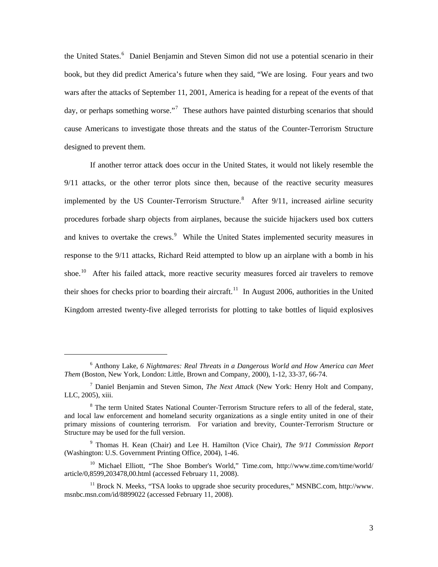the United States.<sup>[6](#page-9-0)</sup> Daniel Benjamin and Steven Simon did not use a potential scenario in their book, but they did predict America's future when they said, "We are losing. Four years and two wars after the attacks of September 11, 2001, America is heading for a repeat of the events of that day, or perhaps something worse."<sup>[7](#page-9-1)</sup> These authors have painted disturbing scenarios that should cause Americans to investigate those threats and the status of the Counter-Terrorism Structure designed to prevent them.

If another terror attack does occur in the United States, it would not likely resemble the 9/11 attacks, or the other terror plots since then, because of the reactive security measures implemented by the US Counter-Terrorism Structure.<sup>[8](#page-9-2)</sup> After  $9/11$ , increased airline security procedures forbade sharp objects from airplanes, because the suicide hijackers used box cutters and knives to overtake the crews.<sup>[9](#page-9-3)</sup> While the United States implemented security measures in response to the 9/11 attacks, Richard Reid attempted to blow up an airplane with a bomb in his shoe.<sup>[10](#page-9-4)</sup> After his failed attack, more reactive security measures forced air travelers to remove their shoes for checks prior to boarding their aircraft.<sup>[11](#page-9-5)</sup> In August 2006, authorities in the United Kingdom arrested twenty-five alleged terrorists for plotting to take bottles of liquid explosives

<span id="page-9-0"></span><sup>&</sup>lt;sup>6</sup> Anthony Lake, *6 Nightmares: Real Threats in a Dangerous World and How America can Meet Them* (Boston, New York, London: Little, Brown and Company, 2000), 1-12, 33-37, 66-74.

<span id="page-9-1"></span><sup>7</sup> Daniel Benjamin and Steven Simon, *The Next Attack* (New York: Henry Holt and Company, LLC, 2005), xiii.

<span id="page-9-2"></span><sup>&</sup>lt;sup>8</sup> The term United States National Counter-Terrorism Structure refers to all of the federal, state, and local law enforcement and homeland security organizations as a single entity united in one of their primary missions of countering terrorism. For variation and brevity, Counter-Terrorism Structure or Structure may be used for the full version.

<span id="page-9-3"></span><sup>9</sup> Thomas H. Kean (Chair) and Lee H. Hamilton (Vice Chair), *The 9/11 Commission Report* (Washington: U.S. Government Printing Office, 2004), 1-46.

<span id="page-9-4"></span><sup>&</sup>lt;sup>10</sup> Michael Elliott, "The Shoe Bomber's World," Time.com, http://www.time.com/time/world/ [article/0,8599,203478,00.html](http://www.time.com/time/world/%20article/0,8599,203478,00.html) (accessed February 11, 2008).

<span id="page-9-5"></span><sup>&</sup>lt;sup>11</sup> Brock N. Meeks, "TSA looks to upgrade shoe security procedures," MSNBC.com, http://www. msnbc.msn.com/id/8899022 (accessed February 11, 2008).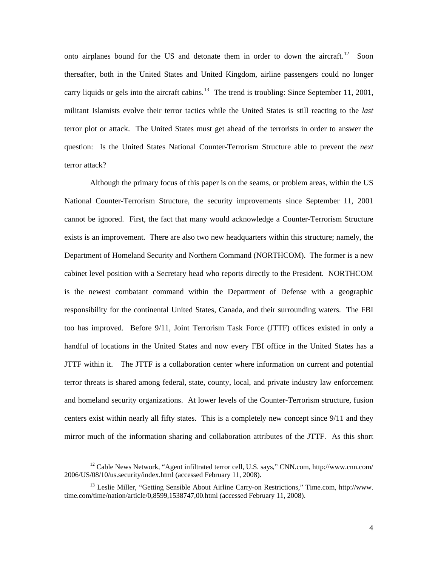onto airplanes bound for the US and detonate them in order to down the aircraft.<sup>[12](#page-10-0)</sup> Soon thereafter, both in the United States and United Kingdom, airline passengers could no longer carry liquids or gels into the aircraft cabins.<sup>[13](#page-10-1)</sup> The trend is troubling: Since September 11, 2001, militant Islamists evolve their terror tactics while the United States is still reacting to the *last* terror plot or attack. The United States must get ahead of the terrorists in order to answer the question: Is the United States National Counter-Terrorism Structure able to prevent the *next* terror attack?

Although the primary focus of this paper is on the seams, or problem areas, within the US National Counter-Terrorism Structure, the security improvements since September 11, 2001 cannot be ignored. First, the fact that many would acknowledge a Counter-Terrorism Structure exists is an improvement. There are also two new headquarters within this structure; namely, the Department of Homeland Security and Northern Command (NORTHCOM). The former is a new cabinet level position with a Secretary head who reports directly to the President. NORTHCOM is the newest combatant command within the Department of Defense with a geographic responsibility for the continental United States, Canada, and their surrounding waters. The FBI too has improved. Before 9/11, Joint Terrorism Task Force (JTTF) offices existed in only a handful of locations in the United States and now every FBI office in the United States has a JTTF within it. The JTTF is a collaboration center where information on current and potential terror threats is shared among federal, state, county, local, and private industry law enforcement and homeland security organizations. At lower levels of the Counter-Terrorism structure, fusion centers exist within nearly all fifty states. This is a completely new concept since 9/11 and they mirror much of the information sharing and collaboration attributes of the JTTF. As this short

<span id="page-10-0"></span><sup>&</sup>lt;sup>12</sup> Cable News Network, "Agent infiltrated terror cell, U.S. says," CNN.com, <http://www.cnn.com/> 2006/US/08/10/us.security/index.html (accessed February 11, 2008).

<span id="page-10-1"></span><sup>&</sup>lt;sup>13</sup> Leslie Miller, "Getting Sensible About Airline Carry-on Restrictions," Time.com, http://www. time.com/time/nation/article/0,8599,1538747,00.html (accessed February 11, 2008).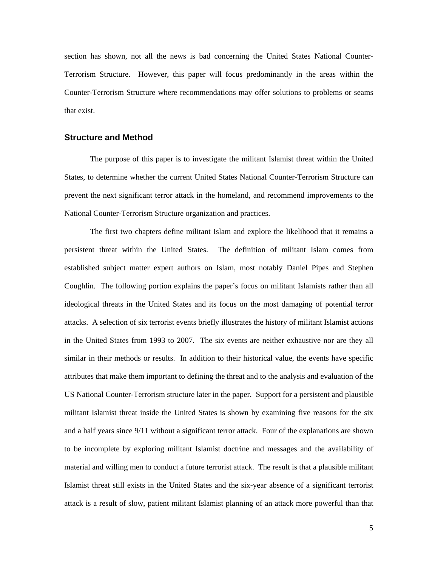<span id="page-11-0"></span>section has shown, not all the news is bad concerning the United States National Counter-Terrorism Structure. However, this paper will focus predominantly in the areas within the Counter-Terrorism Structure where recommendations may offer solutions to problems or seams that exist.

#### **Structure and Method**

The purpose of this paper is to investigate the militant Islamist threat within the United States, to determine whether the current United States National Counter-Terrorism Structure can prevent the next significant terror attack in the homeland, and recommend improvements to the National Counter-Terrorism Structure organization and practices.

The first two chapters define militant Islam and explore the likelihood that it remains a persistent threat within the United States. The definition of militant Islam comes from established subject matter expert authors on Islam, most notably Daniel Pipes and Stephen Coughlin. The following portion explains the paper's focus on militant Islamists rather than all ideological threats in the United States and its focus on the most damaging of potential terror attacks. A selection of six terrorist events briefly illustrates the history of militant Islamist actions in the United States from 1993 to 2007. The six events are neither exhaustive nor are they all similar in their methods or results. In addition to their historical value, the events have specific attributes that make them important to defining the threat and to the analysis and evaluation of the US National Counter-Terrorism structure later in the paper. Support for a persistent and plausible militant Islamist threat inside the United States is shown by examining five reasons for the six and a half years since 9/11 without a significant terror attack. Four of the explanations are shown to be incomplete by exploring militant Islamist doctrine and messages and the availability of material and willing men to conduct a future terrorist attack. The result is that a plausible militant Islamist threat still exists in the United States and the six-year absence of a significant terrorist attack is a result of slow, patient militant Islamist planning of an attack more powerful than that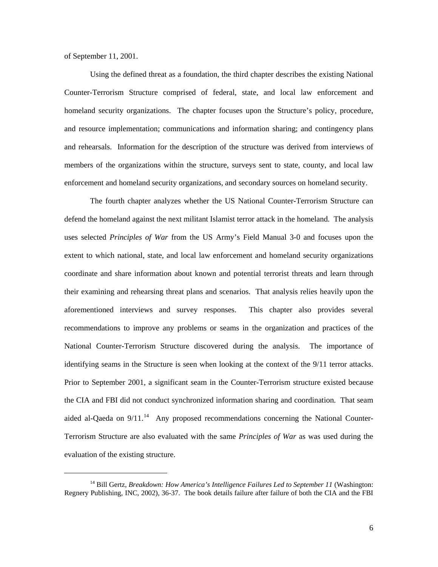of September 11, 2001.

 $\overline{a}$ 

Using the defined threat as a foundation, the third chapter describes the existing National Counter-Terrorism Structure comprised of federal, state, and local law enforcement and homeland security organizations. The chapter focuses upon the Structure's policy, procedure, and resource implementation; communications and information sharing; and contingency plans and rehearsals. Information for the description of the structure was derived from interviews of members of the organizations within the structure, surveys sent to state, county, and local law enforcement and homeland security organizations, and secondary sources on homeland security.

The fourth chapter analyzes whether the US National Counter-Terrorism Structure can defend the homeland against the next militant Islamist terror attack in the homeland. The analysis uses selected *Principles of War* from the US Army's Field Manual 3-0 and focuses upon the extent to which national, state, and local law enforcement and homeland security organizations coordinate and share information about known and potential terrorist threats and learn through their examining and rehearsing threat plans and scenarios. That analysis relies heavily upon the aforementioned interviews and survey responses. This chapter also provides several recommendations to improve any problems or seams in the organization and practices of the National Counter-Terrorism Structure discovered during the analysis. The importance of identifying seams in the Structure is seen when looking at the context of the 9/11 terror attacks. Prior to September 2001, a significant seam in the Counter-Terrorism structure existed because the CIA and FBI did not conduct synchronized information sharing and coordination. That seam aided al-Qaeda on  $9/11$ .<sup>[14](#page-12-0)</sup> Any proposed recommendations concerning the National Counter-Terrorism Structure are also evaluated with the same *Principles of War* as was used during the evaluation of the existing structure.

<span id="page-12-0"></span><sup>&</sup>lt;sup>14</sup> Bill Gertz, *Breakdown: How America's Intelligence Failures Led to September 11* (Washington: Regnery Publishing, INC, 2002), 36-37. The book details failure after failure of both the CIA and the FBI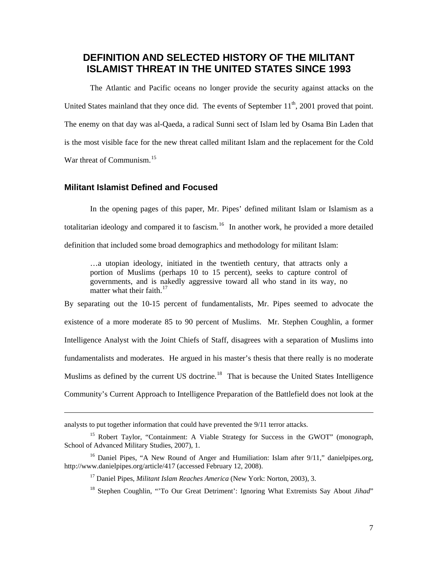## <span id="page-13-0"></span>**DEFINITION AND SELECTED HISTORY OF THE MILITANT ISLAMIST THREAT IN THE UNITED STATES SINCE 1993**

The Atlantic and Pacific oceans no longer provide the security against attacks on the United States mainland that they once did. The events of September  $11<sup>th</sup>$ , 2001 proved that point. The enemy on that day was al-Qaeda, a radical Sunni sect of Islam led by Osama Bin Laden that is the most visible face for the new threat called militant Islam and the replacement for the Cold War threat of Communism.<sup>[15](#page-13-1)</sup>

### **Militant Islamist Defined and Focused**

 $\overline{a}$ 

In the opening pages of this paper, Mr. Pipes' defined militant Islam or Islamism as a totalitarian ideology and compared it to fascism.<sup>[16](#page-13-2)</sup> In another work, he provided a more detailed definition that included some broad demographics and methodology for militant Islam:

…a utopian ideology, initiated in the twentieth century, that attracts only a portion of Muslims (perhaps 10 to 15 percent), seeks to capture control of governments, and is nakedly aggressive toward all who stand in its way, no matter what their faith. $17$ 

By separating out the 10-15 percent of fundamentalists, Mr. Pipes seemed to advocate the existence of a more moderate 85 to 90 percent of Muslims. Mr. Stephen Coughlin, a former Intelligence Analyst with the Joint Chiefs of Staff, disagrees with a separation of Muslims into fundamentalists and moderates. He argued in his master's thesis that there really is no moderate Muslims as defined by the current US doctrine.<sup>[18](#page-13-4)</sup> That is because the United States Intelligence Community's Current Approach to Intelligence Preparation of the Battlefield does not look at the

analysts to put together information that could have prevented the 9/11 terror attacks.

<span id="page-13-1"></span><sup>&</sup>lt;sup>15</sup> Robert Taylor, "Containment: A Viable Strategy for Success in the GWOT" (monograph, School of Advanced Military Studies, 2007), 1.

<span id="page-13-4"></span><span id="page-13-3"></span><span id="page-13-2"></span><sup>&</sup>lt;sup>16</sup> Daniel Pipes, "A New Round of Anger and Humiliation: Islam after 9/11," danielpipes.org, <http://www.danielpipes.org/article/417>(accessed February 12, 2008).

<sup>&</sup>lt;sup>17</sup> Daniel Pipes, *Militant Islam Reaches America* (New York: Norton, 2003), 3.

<sup>18</sup> Stephen Coughlin, "'To Our Great Detriment': Ignoring What Extremists Say About *Jihad*"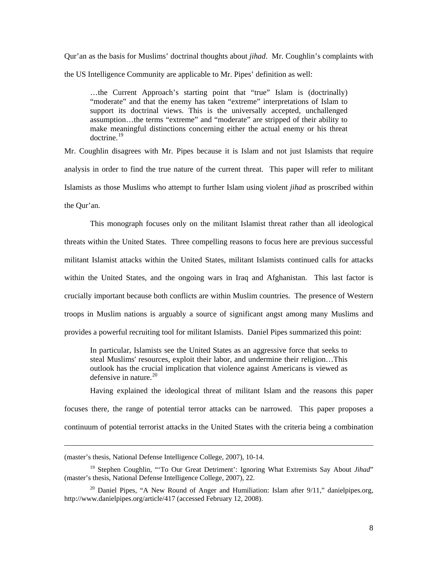Qur'an as the basis for Muslims' doctrinal thoughts about *jihad*. Mr. Coughlin's complaints with the US Intelligence Community are applicable to Mr. Pipes' definition as well:

…the Current Approach's starting point that "true" Islam is (doctrinally) "moderate" and that the enemy has taken "extreme" interpretations of Islam to support its doctrinal views. This is the universally accepted, unchallenged assumption…the terms "extreme" and "moderate" are stripped of their ability to make meaningful distinctions concerning either the actual enemy or his threat  $d$ octrine.<sup>[19](#page-14-0)</sup>

Mr. Coughlin disagrees with Mr. Pipes because it is Islam and not just Islamists that require analysis in order to find the true nature of the current threat. This paper will refer to militant Islamists as those Muslims who attempt to further Islam using violent *jihad* as proscribed within the Qur'an.

This monograph focuses only on the militant Islamist threat rather than all ideological threats within the United States. Three compelling reasons to focus here are previous successful militant Islamist attacks within the United States, militant Islamists continued calls for attacks within the United States, and the ongoing wars in Iraq and Afghanistan. This last factor is crucially important because both conflicts are within Muslim countries. The presence of Western troops in Muslim nations is arguably a source of significant angst among many Muslims and provides a powerful recruiting tool for militant Islamists. Daniel Pipes summarized this point:

In particular, Islamists see the United States as an aggressive force that seeks to steal Muslims' resources, exploit their labor, and undermine their religion…This outlook has the crucial implication that violence against Americans is viewed as defensive in nature. $20$ 

Having explained the ideological threat of militant Islam and the reasons this paper focuses there, the range of potential terror attacks can be narrowed. This paper proposes a continuum of potential terrorist attacks in the United States with the criteria being a combination

<sup>(</sup>master's thesis, National Defense Intelligence College, 2007), 10-14.

<span id="page-14-0"></span><sup>&</sup>lt;sup>19</sup> Stephen Coughlin, "'To Our Great Detriment': Ignoring What Extremists Say About Jihad" (master's thesis, National Defense Intelligence College, 2007), 22.

<span id="page-14-1"></span><sup>&</sup>lt;sup>20</sup> Daniel Pipes, "A New Round of Anger and Humiliation: Islam after  $9/11$ ," danielpipes.org, <http://www.danielpipes.org/article/417>(accessed February 12, 2008).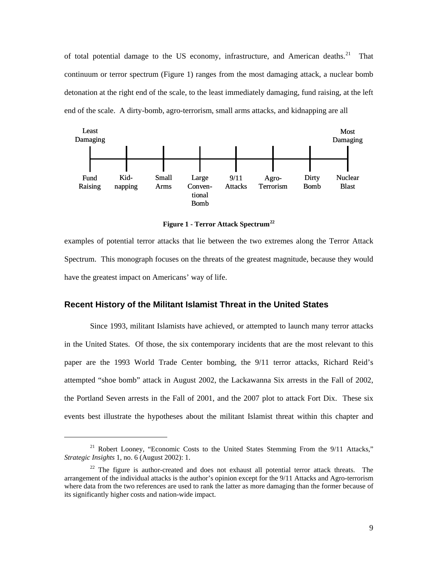<span id="page-15-0"></span>of total potential damage to the US economy, infrastructure, and American deaths.<sup>[21](#page-15-1)</sup> That continuum or terror spectrum (Figure 1) ranges from the most damaging attack, a nuclear bomb detonation at the right end of the scale, to the least immediately damaging, fund raising, at the left end of the scale. A dirty-bomb, agro-terrorism, small arms attacks, and kidnapping are all



**Figure 1 - Terror Attack Spectrum[22](#page-15-2)**

examples of potential terror attacks that lie between the two extremes along the Terror Attack Spectrum. This monograph focuses on the threats of the greatest magnitude, because they would have the greatest impact on Americans' way of life.

#### **Recent History of the Militant Islamist Threat in the United States**

Since 1993, militant Islamists have achieved, or attempted to launch many terror attacks in the United States. Of those, the six contemporary incidents that are the most relevant to this paper are the 1993 World Trade Center bombing, the 9/11 terror attacks, Richard Reid's attempted "shoe bomb" attack in August 2002, the Lackawanna Six arrests in the Fall of 2002, the Portland Seven arrests in the Fall of 2001, and the 2007 plot to attack Fort Dix. These six events best illustrate the hypotheses about the militant Islamist threat within this chapter and

<span id="page-15-1"></span><sup>&</sup>lt;sup>21</sup> Robert Looney, "Economic Costs to the United States Stemming From the 9/11 Attacks," *Strategic Insights* 1, no. 6 (August 2002): 1.

<span id="page-15-2"></span> $22$  The figure is author-created and does not exhaust all potential terror attack threats. The arrangement of the individual attacks is the author's opinion except for the 9/11 Attacks and Agro-terrorism where data from the two references are used to rank the latter as more damaging than the former because of its significantly higher costs and nation-wide impact.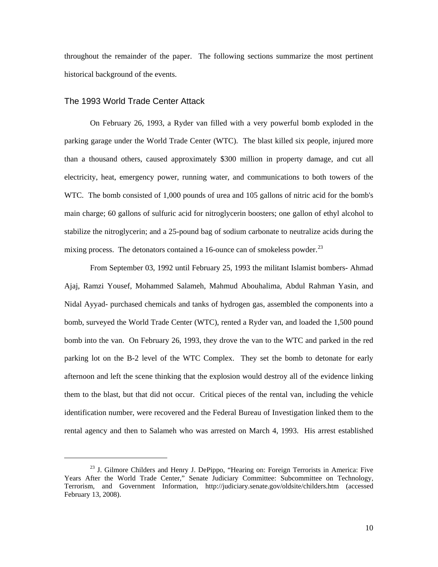<span id="page-16-0"></span>throughout the remainder of the paper. The following sections summarize the most pertinent historical background of the events.

#### The 1993 World Trade Center Attack

 $\overline{\phantom{a}}$ 

On February 26, 1993, a Ryder van filled with a very powerful bomb exploded in the parking garage under the World Trade Center (WTC). The blast killed six people, injured more than a thousand others, caused approximately \$300 million in property damage, and cut all electricity, heat, emergency power, running water, and communications to both towers of the WTC. The bomb consisted of 1,000 pounds of urea and 105 gallons of nitric acid for the bomb's main charge; 60 gallons of sulfuric acid for nitroglycerin boosters; one gallon of ethyl alcohol to stabilize the nitroglycerin; and a 25-pound bag of sodium carbonate to neutralize acids during the mixing process. The detonators contained a 16-ounce can of smokeless powder. $^{23}$  $^{23}$  $^{23}$ 

From September 03, 1992 until February 25, 1993 the militant Islamist bombers- Ahmad Ajaj, Ramzi Yousef, Mohammed Salameh, Mahmud Abouhalima, Abdul Rahman Yasin, and Nidal Ayyad- purchased chemicals and tanks of hydrogen gas, assembled the components into a bomb, surveyed the World Trade Center (WTC), rented a Ryder van, and loaded the 1,500 pound bomb into the van. On February 26, 1993, they drove the van to the WTC and parked in the red parking lot on the B-2 level of the WTC Complex. They set the bomb to detonate for early afternoon and left the scene thinking that the explosion would destroy all of the evidence linking them to the blast, but that did not occur. Critical pieces of the rental van, including the vehicle identification number, were recovered and the Federal Bureau of Investigation linked them to the rental agency and then to Salameh who was arrested on March 4, 1993. His arrest established

<span id="page-16-1"></span><sup>&</sup>lt;sup>23</sup> J. Gilmore Childers and Henry J. DePippo, "Hearing on: Foreign Terrorists in America: Five Years After the World Trade Center," Senate Judiciary Committee: Subcommittee on Technology, Terrorism, and Government Information, http://judiciary.senate.gov/oldsite/childers.htm (accessed February 13, 2008).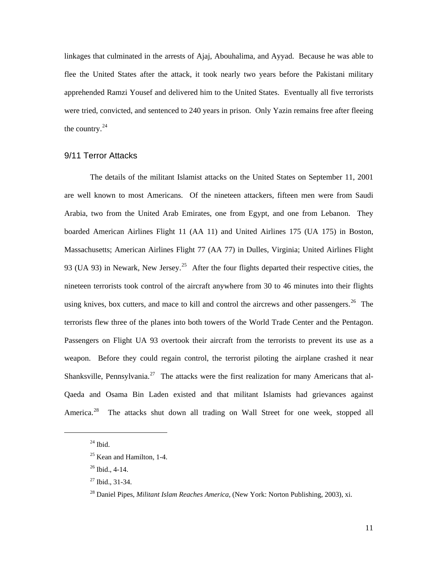<span id="page-17-0"></span>linkages that culminated in the arrests of Ajaj, Abouhalima, and Ayyad. Because he was able to flee the United States after the attack, it took nearly two years before the Pakistani military apprehended Ramzi Yousef and delivered him to the United States. Eventually all five terrorists were tried, convicted, and sentenced to 240 years in prison. Only Yazin remains free after fleeing the country.<sup>[24](#page-17-1)</sup>

## 9/11 Terror Attacks

The details of the militant Islamist attacks on the United States on September 11, 2001 are well known to most Americans. Of the nineteen attackers, fifteen men were from Saudi Arabia, two from the United Arab Emirates, one from Egypt, and one from Lebanon. They boarded American Airlines Flight 11 (AA 11) and United Airlines 175 (UA 175) in Boston, Massachusetts; American Airlines Flight 77 (AA 77) in Dulles, Virginia; United Airlines Flight 93 (UA 93) in Newark, New Jersey.<sup>[25](#page-17-2)</sup> After the four flights departed their respective cities, the nineteen terrorists took control of the aircraft anywhere from 30 to 46 minutes into their flights using knives, box cutters, and mace to kill and control the aircrews and other passengers.<sup>[26](#page-17-3)</sup> The terrorists flew three of the planes into both towers of the World Trade Center and the Pentagon. Passengers on Flight UA 93 overtook their aircraft from the terrorists to prevent its use as a weapon. Before they could regain control, the terrorist piloting the airplane crashed it near Shanksville, Pennsylvania.<sup>[27](#page-17-4)</sup> The attacks were the first realization for many Americans that al-Qaeda and Osama Bin Laden existed and that militant Islamists had grievances against America.<sup>[28](#page-17-5)</sup> The attacks shut down all trading on Wall Street for one week, stopped all

<span id="page-17-5"></span><span id="page-17-4"></span><span id="page-17-3"></span><span id="page-17-2"></span><span id="page-17-1"></span>l

 $^\mathrm{24}$  Ibid.

 $25$  Kean and Hamilton, 1-4.

<sup>26</sup> Ibid., 4-14.

 $27$  Ibid., 31-34.

<sup>28</sup> Daniel Pipes, *Militant Islam Reaches America*, (New York: Norton Publishing, 2003), xi.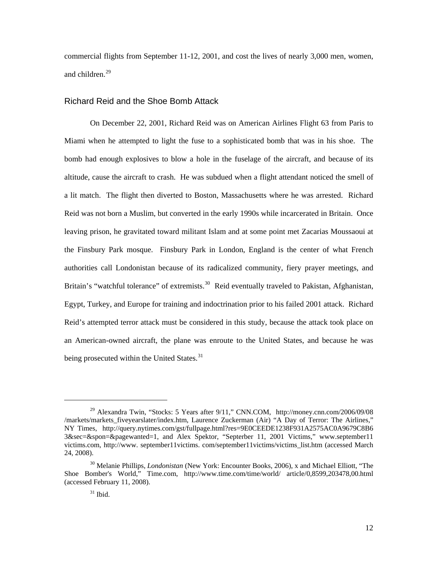<span id="page-18-0"></span>commercial flights from September 11-12, 2001, and cost the lives of nearly 3,000 men, women, and children.[29](#page-18-1)

#### Richard Reid and the Shoe Bomb Attack

On December 22, 2001, Richard Reid was on American Airlines Flight 63 from Paris to Miami when he attempted to light the fuse to a sophisticated bomb that was in his shoe. The bomb had enough explosives to blow a hole in the fuselage of the aircraft, and because of its altitude, cause the aircraft to crash. He was subdued when a flight attendant noticed the smell of a lit match. The flight then diverted to Boston, Massachusetts where he was arrested. Richard Reid was not born a Muslim, but converted in the early 1990s while incarcerated in Britain. Once leaving prison, he gravitated toward militant Islam and at some point met Zacarias Moussaoui at the Finsbury Park mosque. Finsbury Park in London, England is the center of what French authorities call Londonistan because of its radicalized community, fiery prayer meetings, and Britain's "watchful tolerance" of extremists.<sup>[30](#page-18-2)</sup> Reid eventually traveled to Pakistan, Afghanistan, Egypt, Turkey, and Europe for training and indoctrination prior to his failed 2001 attack. Richard Reid's attempted terror attack must be considered in this study, because the attack took place on an American-owned aircraft, the plane was enroute to the United States, and because he was being prosecuted within the United States.<sup>[31](#page-18-3)</sup>

<span id="page-18-1"></span><sup>&</sup>lt;sup>29</sup> Alexandra Twin, "Stocks: 5 Years after  $9/11$ ," CNN.COM, <http://money.cnn.com/2006/09/08> /markets/markets\_fiveyearslater/index.htm, Laurence Zuckerman (Air) "A Day of Terror: The Airlines," NY Times, <http://query.nytimes.com/gst/fullpage.html?res=9E0CEEDE1238F>931A2575AC0A9679C8B6 3&sec=&spon=&pagewanted=1, and Alex Spektor, "Septerber 11, 2001 Victims," www.september11 victims.com, [http://www.](http://www/) september11victims. com/september11victims/victims\_list.htm (accessed March 24, 2008).

<span id="page-18-3"></span><span id="page-18-2"></span><sup>30</sup> Melanie Phillips, *Londonistan* (New York: Encounter Books, 2006), x and Michael Elliott, "The Shoe Bomber's World," Time.com, http://www.time.com/time/world/ article/0,8599,203478,00.html (accessed February 11, 2008).

 $31$  Ibid.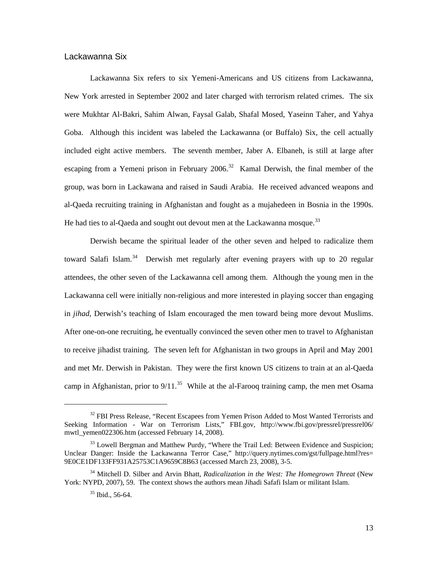#### <span id="page-19-0"></span>Lackawanna Six

Lackawanna Six refers to six Yemeni-Americans and US citizens from Lackawanna, New York arrested in September 2002 and later charged with terrorism related crimes. The six were Mukhtar Al-Bakri, Sahim Alwan, Faysal Galab, Shafal Mosed, Yaseinn Taher, and Yahya Goba. Although this incident was labeled the Lackawanna (or Buffalo) Six, the cell actually included eight active members. The seventh member, Jaber A. Elbaneh, is still at large after escaping from a Yemeni prison in February 2006.<sup>[32](#page-19-1)</sup> Kamal Derwish, the final member of the group, was born in Lackawana and raised in Saudi Arabia. He received advanced weapons and al-Qaeda recruiting training in Afghanistan and fought as a mujahedeen in Bosnia in the 1990s. He had ties to al-Qaeda and sought out devout men at the Lackawanna mosque.<sup>[33](#page-19-2)</sup>

Derwish became the spiritual leader of the other seven and helped to radicalize them toward Salafi Islam.<sup>[34](#page-19-3)</sup> Derwish met regularly after evening prayers with up to 20 regular attendees, the other seven of the Lackawanna cell among them. Although the young men in the Lackawanna cell were initially non-religious and more interested in playing soccer than engaging in *jihad*, Derwish's teaching of Islam encouraged the men toward being more devout Muslims. After one-on-one recruiting, he eventually convinced the seven other men to travel to Afghanistan to receive jihadist training. The seven left for Afghanistan in two groups in April and May 2001 and met Mr. Derwish in Pakistan. They were the first known US citizens to train at an al-Qaeda camp in Afghanistan, prior to  $9/11$ .<sup>[35](#page-19-4)</sup> While at the al-Farooq training camp, the men met Osama

<span id="page-19-1"></span><sup>&</sup>lt;sup>32</sup> FBI Press Release, "Recent Escapees from Yemen Prison Added to Most Wanted Terrorists and Seeking Information - War on Terrorism Lists," FBI.gov, <http://www.fbi.gov/pressrel/>pressrel06/ mwtl\_yemen022306.htm (accessed February 14, 2008).

<span id="page-19-2"></span><sup>&</sup>lt;sup>33</sup> Lowell Bergman and Matthew Purdy, "Where the Trail Led: Between Evidence and Suspicion; Unclear Danger: Inside the Lackawanna Terror Case," <http://query.nytimes.com/gst/fullpage.html?res>= 9E0CE1DF133FF931A25753C1A9659C8B63 (accessed March 23, 2008), 3-5.

<span id="page-19-4"></span><span id="page-19-3"></span><sup>34</sup> Mitchell D. Silber and Arvin Bhatt, *Radicalization in the West: The Homegrown Threat* (New York: NYPD, 2007), 59. The context shows the authors mean Jihadi Safafi Islam or militant Islam.

<sup>35</sup> Ibid., 56-64.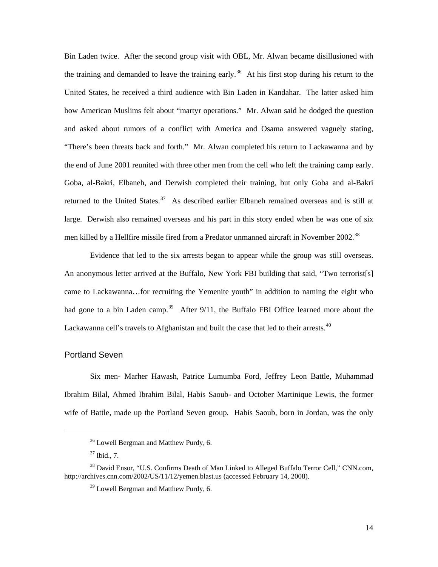<span id="page-20-0"></span>Bin Laden twice. After the second group visit with OBL, Mr. Alwan became disillusioned with the training and demanded to leave the training early.<sup>[36](#page-20-1)</sup> At his first stop during his return to the United States, he received a third audience with Bin Laden in Kandahar. The latter asked him how American Muslims felt about "martyr operations." Mr. Alwan said he dodged the question and asked about rumors of a conflict with America and Osama answered vaguely stating, "There's been threats back and forth." Mr. Alwan completed his return to Lackawanna and by the end of June 2001 reunited with three other men from the cell who left the training camp early. Goba, al-Bakri, Elbaneh, and Derwish completed their training, but only Goba and al-Bakri returned to the United States.<sup>[37](#page-20-2)</sup> As described earlier Elbaneh remained overseas and is still at large. Derwish also remained overseas and his part in this story ended when he was one of six men killed by a Hellfire missile fired from a Predator unmanned aircraft in November 2002.<sup>[38](#page-20-3)</sup>

Evidence that led to the six arrests began to appear while the group was still overseas. An anonymous letter arrived at the Buffalo, New York FBI building that said, "Two terrorist[s] came to Lackawanna…for recruiting the Yemenite youth" in addition to naming the eight who had gone to a bin Laden camp.<sup>[39](#page-20-4)</sup> After 9/11, the Buffalo FBI Office learned more about the Lackawanna cell's travels to Afghanistan and built the case that led to their arrests. $40$ 

### Portland Seven

<span id="page-20-1"></span> $\overline{\phantom{a}}$ 

Six men- Marher Hawash, Patrice Lumumba Ford, Jeffrey Leon Battle, Muhammad Ibrahim Bilal, Ahmed Ibrahim Bilal, Habis Saoub- and October Martinique Lewis, the former wife of Battle, made up the Portland Seven group. Habis Saoub, born in Jordan, was the only

<sup>36</sup> Lowell Bergman and Matthew Purdy, 6.

<sup>37</sup> Ibid., 7.

<span id="page-20-4"></span><span id="page-20-3"></span><span id="page-20-2"></span><sup>&</sup>lt;sup>38</sup> David Ensor, "U.S. Confirms Death of Man Linked to Alleged Buffalo Terror Cell," CNN.com, <http://archives.cnn.com/2002/US/11/12/yemen.blast.us>(accessed February 14, 2008).

<sup>&</sup>lt;sup>39</sup> Lowell Bergman and Matthew Purdy, 6.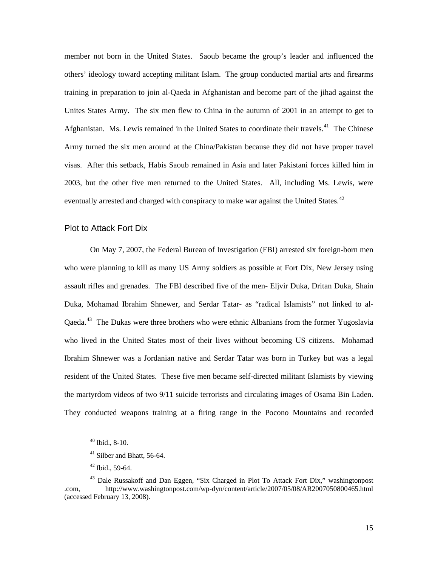<span id="page-21-0"></span>member not born in the United States. Saoub became the group's leader and influenced the others' ideology toward accepting militant Islam. The group conducted martial arts and firearms training in preparation to join al-Qaeda in Afghanistan and become part of the jihad against the Unites States Army. The six men flew to China in the autumn of 2001 in an attempt to get to Afghanistan. Ms. Lewis remained in the United States to coordinate their travels.<sup>[41](#page-21-1)</sup> The Chinese Army turned the six men around at the China/Pakistan because they did not have proper travel visas. After this setback, Habis Saoub remained in Asia and later Pakistani forces killed him in 2003, but the other five men returned to the United States. All, including Ms. Lewis, were eventually arrested and charged with conspiracy to make war against the United States.<sup>[42](#page-21-2)</sup>

#### Plot to Attack Fort Dix

On May 7, 2007, the Federal Bureau of Investigation (FBI) arrested six foreign-born men who were planning to kill as many US Army soldiers as possible at Fort Dix, New Jersey using assault rifles and grenades. The FBI described five of the men- Eljvir Duka, Dritan Duka, Shain Duka, Mohamad Ibrahim Shnewer, and Serdar Tatar- as "radical Islamists" not linked to al-Qaeda.<sup>[43](#page-21-3)</sup> The Dukas were three brothers who were ethnic Albanians from the former Yugoslavia who lived in the United States most of their lives without becoming US citizens. Mohamad Ibrahim Shnewer was a Jordanian native and Serdar Tatar was born in Turkey but was a legal resident of the United States. These five men became self-directed militant Islamists by viewing the martyrdom videos of two 9/11 suicide terrorists and circulating images of Osama Bin Laden. They conducted weapons training at a firing range in the Pocono Mountains and recorded

 $40$  Ibid., 8-10.

<sup>&</sup>lt;sup>41</sup> Silber and Bhatt, 56-64.

 $42$  Ibid., 59-64.

<span id="page-21-3"></span><span id="page-21-2"></span><span id="page-21-1"></span><sup>&</sup>lt;sup>43</sup> Dale Russakoff and Dan Eggen, "Six Charged in Plot To Attack Fort Dix," washingtonpost .com, http://www.washingtonpost.com/wp-dyn/content/article/2007/05/08/AR2007050800465.html (accessed February 13, 2008).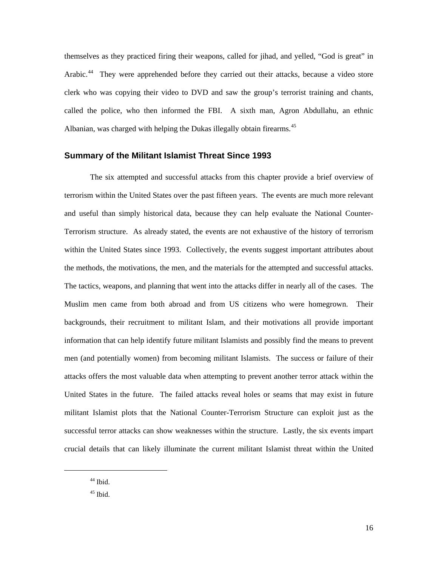<span id="page-22-0"></span>themselves as they practiced firing their weapons, called for jihad, and yelled, "God is great" in Arabic.<sup>[44](#page-22-1)</sup> They were apprehended before they carried out their attacks, because a video store clerk who was copying their video to DVD and saw the group's terrorist training and chants, called the police, who then informed the FBI. A sixth man, Agron Abdullahu, an ethnic Albanian, was charged with helping the Dukas illegally obtain firearms.<sup>[45](#page-22-2)</sup>

#### **Summary of the Militant Islamist Threat Since 1993**

The six attempted and successful attacks from this chapter provide a brief overview of terrorism within the United States over the past fifteen years. The events are much more relevant and useful than simply historical data, because they can help evaluate the National Counter-Terrorism structure. As already stated, the events are not exhaustive of the history of terrorism within the United States since 1993. Collectively, the events suggest important attributes about the methods, the motivations, the men, and the materials for the attempted and successful attacks. The tactics, weapons, and planning that went into the attacks differ in nearly all of the cases. The Muslim men came from both abroad and from US citizens who were homegrown. Their backgrounds, their recruitment to militant Islam, and their motivations all provide important information that can help identify future militant Islamists and possibly find the means to prevent men (and potentially women) from becoming militant Islamists. The success or failure of their attacks offers the most valuable data when attempting to prevent another terror attack within the United States in the future. The failed attacks reveal holes or seams that may exist in future militant Islamist plots that the National Counter-Terrorism Structure can exploit just as the successful terror attacks can show weaknesses within the structure. Lastly, the six events impart crucial details that can likely illuminate the current militant Islamist threat within the United

<span id="page-22-2"></span><span id="page-22-1"></span>l

 $44$  Ibid.

 $^{45}$  Ibid.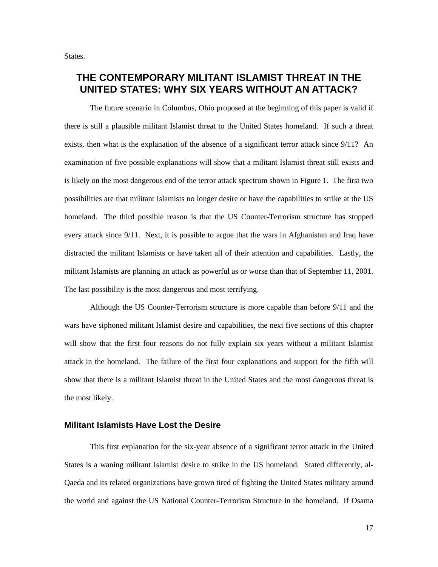<span id="page-23-0"></span>States.

## **THE CONTEMPORARY MILITANT ISLAMIST THREAT IN THE UNITED STATES: WHY SIX YEARS WITHOUT AN ATTACK?**

The future scenario in Columbus, Ohio proposed at the beginning of this paper is valid if there is still a plausible militant Islamist threat to the United States homeland. If such a threat exists, then what is the explanation of the absence of a significant terror attack since 9/11? An examination of five possible explanations will show that a militant Islamist threat still exists and is likely on the most dangerous end of the terror attack spectrum shown in Figure 1. The first two possibilities are that militant Islamists no longer desire or have the capabilities to strike at the US homeland. The third possible reason is that the US Counter-Terrorism structure has stopped every attack since 9/11. Next, it is possible to argue that the wars in Afghanistan and Iraq have distracted the militant Islamists or have taken all of their attention and capabilities. Lastly, the militant Islamists are planning an attack as powerful as or worse than that of September 11, 2001. The last possibility is the most dangerous and most terrifying.

Although the US Counter-Terrorism structure is more capable than before 9/11 and the wars have siphoned militant Islamist desire and capabilities, the next five sections of this chapter will show that the first four reasons do not fully explain six years without a militant Islamist attack in the homeland. The failure of the first four explanations and support for the fifth will show that there is a militant Islamist threat in the United States and the most dangerous threat is the most likely.

### **Militant Islamists Have Lost the Desire**

This first explanation for the six-year absence of a significant terror attack in the United States is a waning militant Islamist desire to strike in the US homeland. Stated differently, al-Qaeda and its related organizations have grown tired of fighting the United States military around the world and against the US National Counter-Terrorism Structure in the homeland. If Osama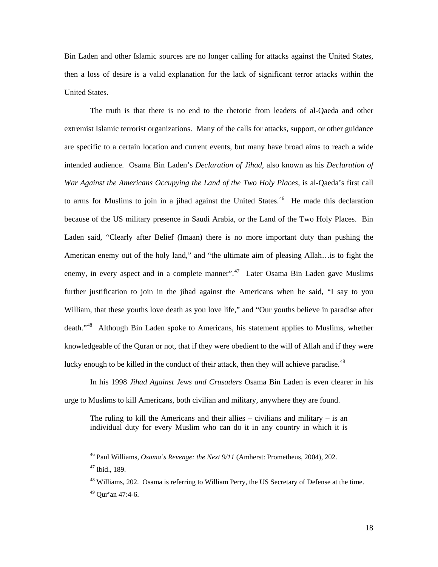Bin Laden and other Islamic sources are no longer calling for attacks against the United States, then a loss of desire is a valid explanation for the lack of significant terror attacks within the United States.

The truth is that there is no end to the rhetoric from leaders of al-Qaeda and other extremist Islamic terrorist organizations. Many of the calls for attacks, support, or other guidance are specific to a certain location and current events, but many have broad aims to reach a wide intended audience. Osama Bin Laden's *Declaration of Jihad*, also known as his *Declaration of War Against the Americans Occupying the Land of the Two Holy Places*, is al-Qaeda's first call to arms for Muslims to join in a jihad against the United States.<sup>[46](#page-24-0)</sup> He made this declaration because of the US military presence in Saudi Arabia, or the Land of the Two Holy Places. Bin Laden said, "Clearly after Belief (Imaan) there is no more important duty than pushing the American enemy out of the holy land," and "the ultimate aim of pleasing Allah…is to fight the enemy, in every aspect and in a complete manner". $47$  Later Osama Bin Laden gave Muslims further justification to join in the jihad against the Americans when he said, "I say to you William, that these youths love death as you love life," and "Our youths believe in paradise after death."[48](#page-24-2) Although Bin Laden spoke to Americans, his statement applies to Muslims, whether knowledgeable of the Quran or not, that if they were obedient to the will of Allah and if they were lucky enough to be killed in the conduct of their attack, then they will achieve paradise.<sup>[49](#page-24-3)</sup>

In his 1998 *Jihad Against Jews and Crusaders* Osama Bin Laden is even clearer in his urge to Muslims to kill Americans, both civilian and military, anywhere they are found.

The ruling to kill the Americans and their allies – civilians and military – is an individual duty for every Muslim who can do it in any country in which it is

<span id="page-24-0"></span><sup>46</sup> Paul Williams, *Osama's Revenge: the Next 9/11* (Amherst: Prometheus, 2004), 202.

<span id="page-24-1"></span><sup>47</sup> Ibid., 189.

<span id="page-24-2"></span><sup>48</sup> Williams, 202. Osama is referring to William Perry, the US Secretary of Defense at the time.

<span id="page-24-3"></span><sup>49</sup> Qur'an 47:4-6.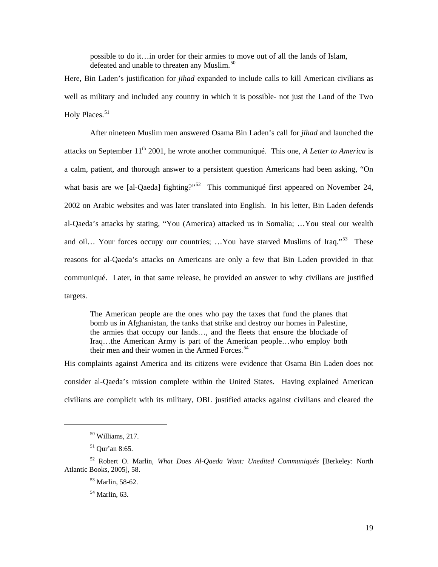possible to do it…in order for their armies to move out of all the lands of Islam, defeated and unable to threaten any Muslim.<sup>[50](#page-25-0)</sup>

Here, Bin Laden's justification for *jihad* expanded to include calls to kill American civilians as well as military and included any country in which it is possible- not just the Land of the Two Holy Places.<sup>[51](#page-25-1)</sup>

After nineteen Muslim men answered Osama Bin Laden's call for *jihad* and launched the attacks on September 11<sup>th</sup> 2001, he wrote another communiqué. This one, *A Letter to America* is a calm, patient, and thorough answer to a persistent question Americans had been asking, "On what basis are we [al-Qaeda] fighting?"<sup>[52](#page-25-2)</sup> This communiqué first appeared on November 24, 2002 on Arabic websites and was later translated into English. In his letter, Bin Laden defends al-Qaeda's attacks by stating, "You (America) attacked us in Somalia; …You steal our wealth and oil… Your forces occupy our countries; …You have starved Muslims of Iraq."<sup>[53](#page-25-3)</sup> These reasons for al-Qaeda's attacks on Americans are only a few that Bin Laden provided in that communiqué. Later, in that same release, he provided an answer to why civilians are justified targets.

The American people are the ones who pay the taxes that fund the planes that bomb us in Afghanistan, the tanks that strike and destroy our homes in Palestine, the armies that occupy our lands…, and the fleets that ensure the blockade of Iraq…the American Army is part of the American people…who employ both their men and their women in the Armed Forces.<sup>[54](#page-25-4)</sup>

His complaints against America and its citizens were evidence that Osama Bin Laden does not consider al-Qaeda's mission complete within the United States. Having explained American civilians are complicit with its military, OBL justified attacks against civilians and cleared the

<sup>50</sup> Williams, 217.

 $51$  Qur'an 8:65.

<span id="page-25-4"></span><span id="page-25-3"></span><span id="page-25-2"></span><span id="page-25-1"></span><span id="page-25-0"></span><sup>52</sup> Robert O. Marlin, *What Does Al-Qaeda Want: Unedited Communiqués* [Berkeley: North Atlantic Books, 2005], 58.

<sup>53</sup> Marlin, 58-62.

<sup>54</sup> Marlin, 63.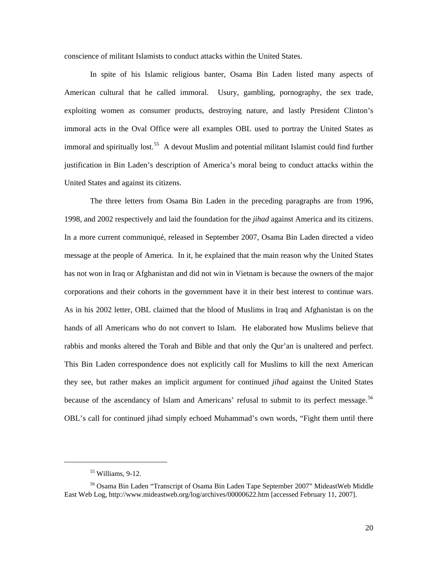conscience of militant Islamists to conduct attacks within the United States.

In spite of his Islamic religious banter, Osama Bin Laden listed many aspects of American cultural that he called immoral. Usury, gambling, pornography, the sex trade, exploiting women as consumer products, destroying nature, and lastly President Clinton's immoral acts in the Oval Office were all examples OBL used to portray the United States as immoral and spiritually lost.<sup>[55](#page-26-0)</sup> A devout Muslim and potential militant Islamist could find further justification in Bin Laden's description of America's moral being to conduct attacks within the United States and against its citizens.

The three letters from Osama Bin Laden in the preceding paragraphs are from 1996, 1998, and 2002 respectively and laid the foundation for the *jihad* against America and its citizens. In a more current communiqué, released in September 2007, Osama Bin Laden directed a video message at the people of America. In it, he explained that the main reason why the United States has not won in Iraq or Afghanistan and did not win in Vietnam is because the owners of the major corporations and their cohorts in the government have it in their best interest to continue wars. As in his 2002 letter, OBL claimed that the blood of Muslims in Iraq and Afghanistan is on the hands of all Americans who do not convert to Islam. He elaborated how Muslims believe that rabbis and monks altered the Torah and Bible and that only the Qur'an is unaltered and perfect. This Bin Laden correspondence does not explicitly call for Muslims to kill the next American they see, but rather makes an implicit argument for continued *jihad* against the United States because of the ascendancy of Islam and Americans' refusal to submit to its perfect message.<sup>56</sup> OBL's call for continued jihad simply echoed Muhammad's own words, "Fight them until there

 $55$  Williams, 9-12.

<span id="page-26-1"></span><span id="page-26-0"></span><sup>56</sup> Osama Bin Laden "Transcript of Osama Bin Laden Tape September 2007" MideastWeb Middle East Web Log,<http://www.mideastweb.org/log/archives/00000622.htm> [accessed February 11, 2007].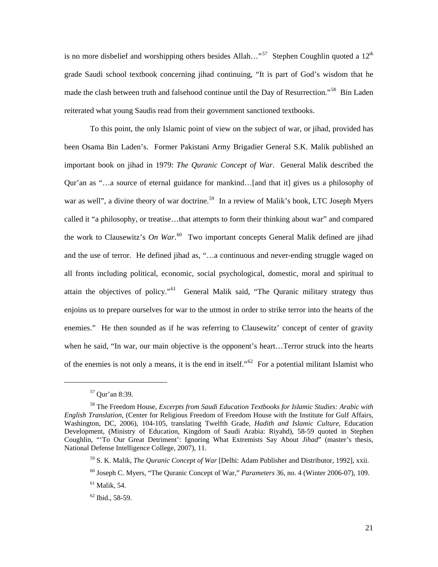is no more disbelief and worshipping others besides Allah..."<sup>[57](#page-27-0)</sup> Stephen Coughlin quoted a  $12<sup>th</sup>$ grade Saudi school textbook concerning jihad continuing, "It is part of God's wisdom that he made the clash between truth and falsehood continue until the Day of Resurrection."<sup>[58](#page-27-1)</sup> Bin Laden reiterated what young Saudis read from their government sanctioned textbooks.

To this point, the only Islamic point of view on the subject of war, or jihad, provided has been Osama Bin Laden's. Former Pakistani Army Brigadier General S.K. Malik published an important book on jihad in 1979: *The Quranic Concept of War*. General Malik described the Qur'an as "…a source of eternal guidance for mankind…[and that it] gives us a philosophy of war as well", a divine theory of war doctrine.<sup>[59](#page-27-2)</sup> In a review of Malik's book, LTC Joseph Myers called it "a philosophy, or treatise…that attempts to form their thinking about war" and compared the work to Clausewitz's *On War*. [60](#page-27-3) Two important concepts General Malik defined are jihad and the use of terror. He defined jihad as, "…a continuous and never-ending struggle waged on all fronts including political, economic, social psychological, domestic, moral and spiritual to attain the objectives of policy."<sup>[61](#page-27-4)</sup> General Malik said, "The Quranic military strategy thus enjoins us to prepare ourselves for war to the utmost in order to strike terror into the hearts of the enemies." He then sounded as if he was referring to Clausewitz' concept of center of gravity when he said, "In war, our main objective is the opponent's heart...Terror struck into the hearts of the enemies is not only a means, it is the end in itself."<sup>[62](#page-27-5)</sup> For a potential militant Islamist who

<sup>57</sup> Qur'an 8:39.

<span id="page-27-2"></span><span id="page-27-1"></span><span id="page-27-0"></span><sup>58</sup> The Freedom House, *Excerpts from Saudi Education Textbooks for Islamic Studies: Arabic with English Translation*, (Center for Religious Freedom of Freedom House with the Institute for Gulf Affairs, Washington, DC, 2006), 104-105, translating Twelfth Grade, *Hadith and Islamic Culture*, Education Development, (Ministry of Education, Kingdom of Saudi Arabia: Riyahd), 58-59 quoted in Stephen Coughlin, "'To Our Great Detriment': Ignoring What Extremists Say About *Jihad*" (master's thesis, National Defense Intelligence College, 2007), 11.

<sup>59</sup> S. K. Malik, *The Quranic Concept of War* [Delhi: Adam Publisher and Distributor, 1992], xxii.

<span id="page-27-3"></span><sup>60</sup> Joseph C. Myers, "The Quranic Concept of War," *Parameters* 36, no. 4 (Winter 2006-07), 109.

<span id="page-27-4"></span> $<sup>61</sup>$  Malik, 54.</sup>

<span id="page-27-5"></span><sup>62</sup> Ibid., 58-59.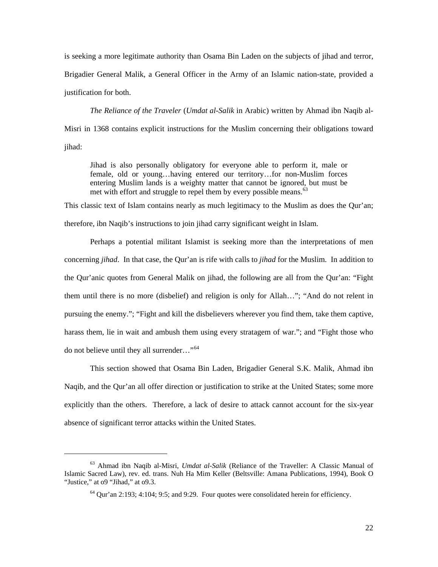is seeking a more legitimate authority than Osama Bin Laden on the subjects of jihad and terror, Brigadier General Malik, a General Officer in the Army of an Islamic nation-state, provided a justification for both.

*The Reliance of the Traveler* (*Umdat al-Salik* in Arabic) written by Ahmad ibn Naqib al-Misri in 1368 contains explicit instructions for the Muslim concerning their obligations toward jihad:

Jihad is also personally obligatory for everyone able to perform it, male or female, old or young…having entered our territory…for non-Muslim forces entering Muslim lands is a weighty matter that cannot be ignored, but must be met with effort and struggle to repel them by every possible means.<sup>[63](#page-28-0)</sup>

This classic text of Islam contains nearly as much legitimacy to the Muslim as does the Qur'an; therefore, ibn Naqib's instructions to join jihad carry significant weight in Islam.

Perhaps a potential militant Islamist is seeking more than the interpretations of men concerning *jihad*. In that case, the Qur'an is rife with calls to *jihad* for the Muslim. In addition to the Qur'anic quotes from General Malik on jihad, the following are all from the Qur'an: "Fight them until there is no more (disbelief) and religion is only for Allah…"; "And do not relent in pursuing the enemy."; "Fight and kill the disbelievers wherever you find them, take them captive, harass them, lie in wait and ambush them using every stratagem of war."; and "Fight those who do not believe until they all surrender…"[64](#page-28-1)

This section showed that Osama Bin Laden, Brigadier General S.K. Malik, Ahmad ibn Naqib, and the Qur'an all offer direction or justification to strike at the United States; some more explicitly than the others. Therefore, a lack of desire to attack cannot account for the six-year absence of significant terror attacks within the United States.

<span id="page-28-1"></span><span id="page-28-0"></span><sup>63</sup> Ahmad ibn Naqib al-Misri, *Umdat al-Salik* (Reliance of the Traveller: A Classic Manual of Islamic Sacred Law), rev. ed. trans. Nuh Ha Mim Keller (Beltsville: Amana Publications, 1994), Book O "Justice," at 09 "Jihad," at 09.3.

 $64$  Qur'an 2:193; 4:104; 9:5; and 9:29. Four quotes were consolidated herein for efficiency.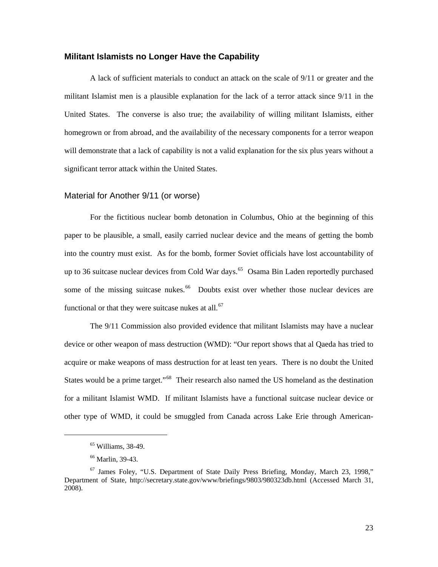#### <span id="page-29-0"></span>**Militant Islamists no Longer Have the Capability**

A lack of sufficient materials to conduct an attack on the scale of 9/11 or greater and the militant Islamist men is a plausible explanation for the lack of a terror attack since 9/11 in the United States. The converse is also true; the availability of willing militant Islamists, either homegrown or from abroad, and the availability of the necessary components for a terror weapon will demonstrate that a lack of capability is not a valid explanation for the six plus years without a significant terror attack within the United States.

#### Material for Another 9/11 (or worse)

For the fictitious nuclear bomb detonation in Columbus, Ohio at the beginning of this paper to be plausible, a small, easily carried nuclear device and the means of getting the bomb into the country must exist. As for the bomb, former Soviet officials have lost accountability of up to 36 suitcase nuclear devices from Cold War days.<sup>[65](#page-29-1)</sup> Osama Bin Laden reportedly purchased some of the missing suitcase nukes.<sup>[66](#page-29-2)</sup> Doubts exist over whether those nuclear devices are functional or that they were suitcase nukes at all. $67$ 

The 9/11 Commission also provided evidence that militant Islamists may have a nuclear device or other weapon of mass destruction (WMD): "Our report shows that al Qaeda has tried to acquire or make weapons of mass destruction for at least ten years. There is no doubt the United States would be a prime target."[68](#page-29-4) Their research also named the US homeland as the destination for a militant Islamist WMD. If militant Islamists have a functional suitcase nuclear device or other type of WMD, it could be smuggled from Canada across Lake Erie through American-

<sup>65</sup> Williams, 38-49.

<sup>66</sup> Marlin, 39-43.

<span id="page-29-4"></span><span id="page-29-3"></span><span id="page-29-2"></span><span id="page-29-1"></span><sup>67</sup> James Foley, "U.S. Department of State Daily Press Briefing, Monday, March 23, 1998," Department of State, <http://secretary.state.gov/www/briefings/9803/980323db.html>(Accessed March 31, 2008).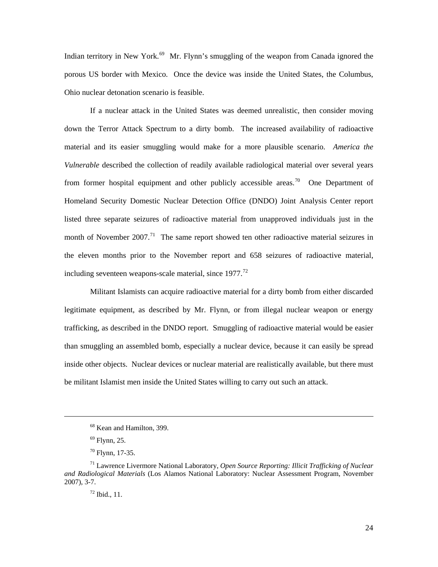Indian territory in New York.<sup>[69](#page-30-0)</sup> Mr. Flynn's smuggling of the weapon from Canada ignored the porous US border with Mexico. Once the device was inside the United States, the Columbus, Ohio nuclear detonation scenario is feasible.

If a nuclear attack in the United States was deemed unrealistic, then consider moving down the Terror Attack Spectrum to a dirty bomb. The increased availability of radioactive material and its easier smuggling would make for a more plausible scenario. *America the Vulnerable* described the collection of readily available radiological material over several years from former hospital equipment and other publicly accessible areas.<sup>[70](#page-30-1)</sup> One Department of Homeland Security Domestic Nuclear Detection Office (DNDO) Joint Analysis Center report listed three separate seizures of radioactive material from unapproved individuals just in the month of November 2007.<sup>[71](#page-30-2)</sup> The same report showed ten other radioactive material seizures in the eleven months prior to the November report and 658 seizures of radioactive material, including seventeen weapons-scale material, since  $1977$ <sup> $^{72}$  $^{72}$  $^{72}$ </sup>

Militant Islamists can acquire radioactive material for a dirty bomb from either discarded legitimate equipment, as described by Mr. Flynn, or from illegal nuclear weapon or energy trafficking, as described in the DNDO report. Smuggling of radioactive material would be easier than smuggling an assembled bomb, especially a nuclear device, because it can easily be spread inside other objects. Nuclear devices or nuclear material are realistically available, but there must be militant Islamist men inside the United States willing to carry out such an attack.

<sup>68</sup> Kean and Hamilton, 399.

 $69$  Flynn, 25.

 $70$  Flynn, 17-35.

<span id="page-30-3"></span><span id="page-30-2"></span><span id="page-30-1"></span><span id="page-30-0"></span><sup>71</sup> Lawrence Livermore National Laboratory, *Open Source Reporting: Illicit Trafficking of Nuclear and Radiological Materials* (Los Alamos National Laboratory: Nuclear Assessment Program, November 2007), 3-7.

<sup>72</sup> Ibid., 11.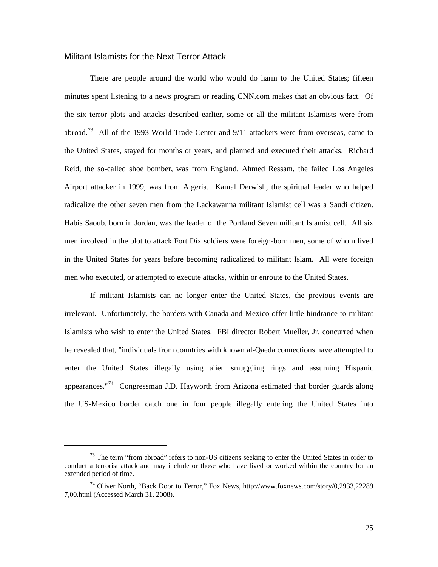#### <span id="page-31-0"></span>Militant Islamists for the Next Terror Attack

l

There are people around the world who would do harm to the United States; fifteen minutes spent listening to a news program or reading CNN.com makes that an obvious fact. Of the six terror plots and attacks described earlier, some or all the militant Islamists were from abroad.<sup>[73](#page-31-1)</sup> All of the 1993 World Trade Center and  $9/11$  attackers were from overseas, came to the United States, stayed for months or years, and planned and executed their attacks. Richard Reid, the so-called shoe bomber, was from England. Ahmed Ressam, the failed Los Angeles Airport attacker in 1999, was from Algeria. Kamal Derwish, the spiritual leader who helped radicalize the other seven men from the Lackawanna militant Islamist cell was a Saudi citizen. Habis Saoub, born in Jordan, was the leader of the Portland Seven militant Islamist cell. All six men involved in the plot to attack Fort Dix soldiers were foreign-born men, some of whom lived in the United States for years before becoming radicalized to militant Islam. All were foreign men who executed, or attempted to execute attacks, within or enroute to the United States.

If militant Islamists can no longer enter the United States, the previous events are irrelevant. Unfortunately, the borders with Canada and Mexico offer little hindrance to militant Islamists who wish to enter the United States. FBI director Robert Mueller, Jr. concurred when he revealed that, "individuals from countries with known al-Qaeda connections have attempted to enter the United States illegally using alien smuggling rings and assuming Hispanic appearances."<sup>[74](#page-31-2)</sup> Congressman J.D. Hayworth from Arizona estimated that border guards along the US-Mexico border catch one in four people illegally entering the United States into

<span id="page-31-3"></span><span id="page-31-1"></span> $73$  The term "from abroad" refers to non-US citizens seeking to enter the United States in order to conduct a terrorist attack and may include or those who have lived or worked within the country for an extended period of time.

<span id="page-31-2"></span><sup>74</sup> Oliver North, "Back Door to Terror," Fox News, [http://www.foxnews.com/story/0](http://www.foxnews.com/story/),2933,22289 7,00.html (Accessed March 31, 2008).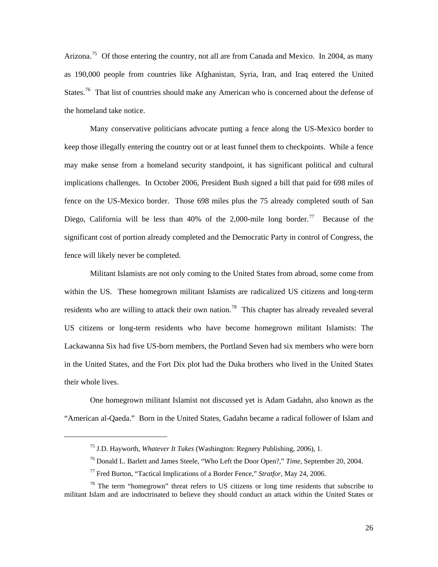Arizona.<sup>[75](#page-31-3)</sup> Of those entering the country, not all are from Canada and Mexico. In 2004, as many as 190,000 people from countries like Afghanistan, Syria, Iran, and Iraq entered the United States.<sup>[76](#page-32-0)</sup> That list of countries should make any American who is concerned about the defense of the hom eland take notice.

significant cost of portion already completed and the Democratic Party in control of Congress, the fence w ill likely never be completed. Many conservative politicians advocate putting a fence along the US-Mexico border to keep those illegally entering the country out or at least funnel them to checkpoints. While a fence may make sense from a homeland security standpoint, it has significant political and cultural implications challenges. In October 2006, President Bush signed a bill that paid for 698 miles of fence on the US-Mexico border. Those 698 miles plus the 75 already completed south of San Diego, California will be less than 40% of the 2,000-mile long border.<sup>[77](#page-32-1)</sup> Because of the

in the United States, and the Fort Dix plot had the Duka brothers who lived in the United States their wh ole lives. Militant Islamists are not only coming to the United States from abroad, some come from within the US. These homegrown militant Islamists are radicalized US citizens and long-term residents who are willing to attack their own nation.<sup>[78](#page-32-2)</sup> This chapter has already revealed several US citizens or long-term residents who have become homegrown militant Islamists: The Lackawanna Six had five US-born members, the Portland Seven had six members who were born

One homegrown militant Islamist not discussed yet is Adam Gadahn, also known as the "American al-Qaeda." Born in the United States, Gadahn became a radical follower of Islam and

<sup>75</sup> J.D. Hayworth, *Whatever It Takes* (Washington: Regnery Publishing, 2006), 1.

<sup>76</sup> Donald L. Barlett and James Steele, "Who Left the Door Open?," *Time*, September 20, 2004.

<sup>77</sup> Fred Burton, "Tactical Implications of a Border Fence," *Stratfor*, May 24, 2006.

<span id="page-32-2"></span><span id="page-32-1"></span><span id="page-32-0"></span> $78$  The term "homegrown" threat refers to US citizens or long time residents that subscribe to militant Islam and are indoctrinated to believe they should conduct an attack within the United States or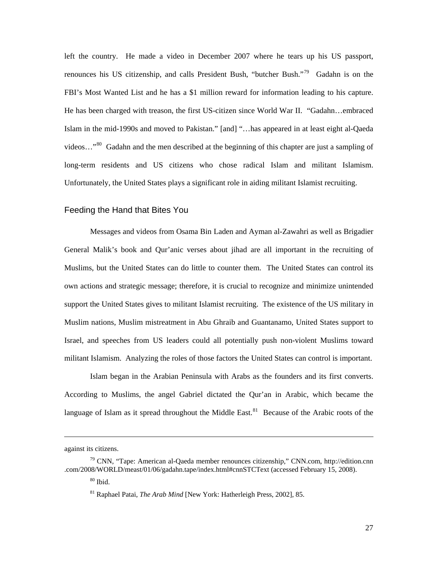<span id="page-33-0"></span>left the country. He made a video in December 2007 where he tears up his US passport, renounces his US citizenship, and calls President Bush, "butcher Bush."<sup>[79](#page-33-1)</sup> Gadahn is on the FBI's Most Wanted List and he has a \$1 million reward for information leading to his capture. He has been charged with treason, the first US-citizen since World War II. "Gadahn…embraced Islam in the mid-1990s and moved to Pakistan." [and] "…has appeared in at least eight al-Qaeda videos…"[80](#page-33-2) Gadahn and the men described at the beginning of this chapter are just a sampling of long-term residents and US citizens who chose radical Islam and militant Islamism. Unfortunately, the United States plays a significant role in aiding militant Islamist recruiting.

#### Feedin g the Hand that Bites You

militant Islamism. Analyzing the roles of those factors the United States can control is important. Messages and videos from Osama Bin Laden and Ayman al-Zawahri as well as Brigadier General Malik's book and Qur'anic verses about jihad are all important in the recruiting of Muslims, but the United States can do little to counter them. The United States can control its own actions and strategic message; therefore, it is crucial to recognize and minimize unintended support the United States gives to militant Islamist recruiting. The existence of the US military in Muslim nations, Muslim mistreatment in Abu Ghraib and Guantanamo, United States support to Israel, and speeches from US leaders could all potentially push non-violent Muslims toward

Islam began in the Arabian Peninsula with Arabs as the founders and its first converts. According to Muslims, the angel Gabriel dictated the Qur'an in Arabic, which became the language of Islam as it spread throughout the Middle East.<sup>[81](#page-33-3)</sup> Because of the Arabic roots of the

l

against its citizens.

<span id="page-33-3"></span><span id="page-33-2"></span><span id="page-33-1"></span> $79$  CNN, "Tape: American al-Qaeda member renounces citizenship," CNN.com, [http://edition](http://edition/).cnn .com/2008/WORLD/meast/01/06/gadahn.tape/index.html#cnnSTCText (accessed February 15, 2008).

 $80$  Ibid.

<sup>81</sup> Raphael Patai, *The Arab Mind* [New York: Hatherleigh Press, 2002], 85.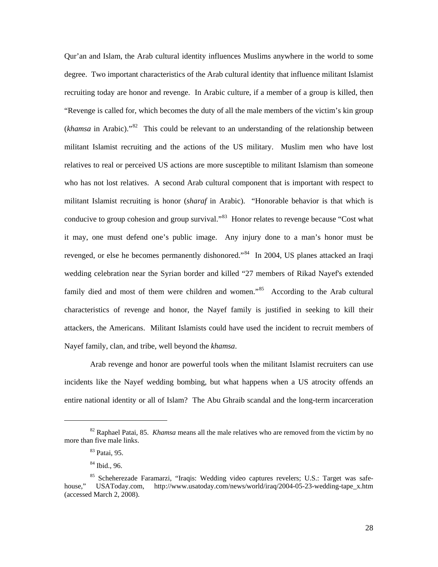Qur'an and Islam, the Arab cultural identity influences Muslims anywhere in the world to some degree. Two important characteristics of the Arab cultural identity that influence militant Islamist recruiting today are honor and revenge. In Arabic culture, if a member of a group is killed, then "Revenge is called for, which becomes the duty of all the male members of the victim's kin group (*khamsa* in Arabic)."[82](#page-34-0) This could be relevant to an understanding of the relationship between militant Islamist recruiting and the actions of the US military. Muslim men who have lost relatives to real or perceived US actions are more susceptible to militant Islamism than someone who has not lost relatives. A second Arab cultural component that is important with respect to militant Islamist recruiting is honor (*sharaf* in Arabic). "Honorable behavior is that which is conducive to group cohesion and group survival."<sup>[83](#page-34-1)</sup> Honor relates to revenge because "Cost what it may, one must defend one's public image. Any injury done to a man's honor must be revenged, or else he becomes permanently dishonored."<sup>[84](#page-34-2)</sup> In 2004, US planes attacked an Iraqi wedding celebration near the Syrian border and killed "27 members of Rikad Nayef's extended family died and most of them were children and women."<sup>[85](#page-34-3)</sup> According to the Arab cultural characteristics of revenge and honor, the Nayef family is justified in seeking to kill their attackers, the Americans. Militant Islamists could have used the incident to recruit members of Nayef f amily, clan, and tribe, well beyond the *khamsa*.

Arab revenge and honor are powerful tools when the militant Islamist recruiters can use incidents like the Nayef wedding bombing, but what happens when a US atrocity offends an entire national identity or all of Islam? The Abu Ghraib scandal and the long-term incarceration

<span id="page-34-1"></span><span id="page-34-0"></span><sup>82</sup> Raphael Patai, 85. *Khamsa* means all the male relatives who are removed from the victim by no more than five male links.

<sup>83</sup> Patai, 95.

<sup>84</sup> Ibid., 96.

<span id="page-34-3"></span><span id="page-34-2"></span><sup>85</sup> Scheherezade Faramarzi, "Iraqis: Wedding video captures revelers; U.S.: Target was safehouse," USAToday.com, [http://www.usatoday.com/news/world/iraq/2004-05-23-wedding-tape\\_x.htm](http://www.usatoday.com/news/world/iraq/2004-05-23-wedding-tape_x.htm) (accessed March 2, 2008).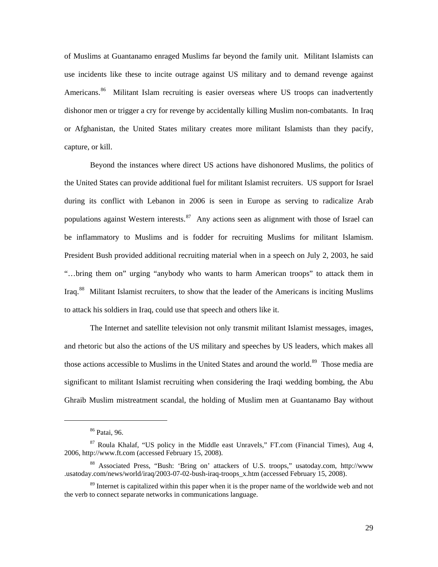of Muslims at Guantanamo enraged Muslims far beyond the family unit. Militant Islamists can use incidents like these to incite outrage against US military and to demand revenge against Americans.<sup>[86](#page-35-0)</sup> Militant Islam recruiting is easier overseas where US troops can inadvertently dishonor men or trigger a cry for revenge by accidentally killing Muslim non-combatants. In Iraq or Afghanistan, the United States military creates more militant Islamists than they pacify, capture , or kill.

Iraq.<sup>[88](#page-35-2)</sup> Militant Islamist recruiters, to show that the leader of the Americans is inciting Muslims to attac k his soldiers in Iraq, could use that speech and others like it. Beyond the instances where direct US actions have dishonored Muslims, the politics of the United States can provide additional fuel for militant Islamist recruiters. US support for Israel during its conflict with Lebanon in 2006 is seen in Europe as serving to radicalize Arab populations against Western interests.<sup>[87](#page-35-1)</sup> Any actions seen as alignment with those of Israel can be inflammatory to Muslims and is fodder for recruiting Muslims for militant Islamism. President Bush provided additional recruiting material when in a speech on July 2, 2003, he said "…bring them on" urging "anybody who wants to harm American troops" to attack them in

The Internet and satellite television not only transmit militant Islamist messages, images, and rhetoric but also the actions of the US military and speeches by US leaders, which makes all those actions accessible to Muslims in the United States and around the world.<sup>[89](#page-35-3)</sup> Those media are significant to militant Islamist recruiting when considering the Iraqi wedding bombing, the Abu Ghraib Muslim mistreatment scandal, the holding of Muslim men at Guantanamo Bay without

<sup>86</sup> Patai, 96.

<span id="page-35-1"></span><span id="page-35-0"></span><sup>87</sup> Roula Khalaf, "US policy in the Middle east Unravels," FT.com (Financial Times), Aug 4, 2006, [http://www.ft.com](http://www.ft.com/) (accessed February 15, 2008).

<span id="page-35-2"></span><sup>88</sup> Associated Press, "Bush: 'Bring on' attackers of U.S. troops," usatoday.com, [http://www](http://www/) .usatoday.com/news/world/iraq/2003-07-02-bush-iraq-troops\_x.htm (accessed February 15, 2008).

<span id="page-35-3"></span><sup>&</sup>lt;sup>89</sup> Internet is capitalized within this paper when it is the proper name of the worldwide web and not the verb to connect separate networks in communications language.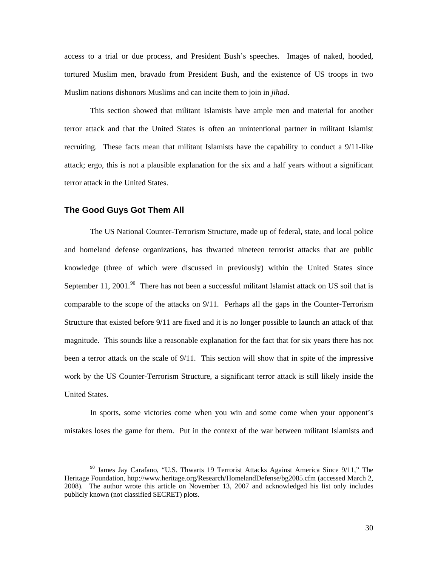access to a trial or due process, and President Bush's speeches. Images of naked, hooded, tortured Muslim men, bravado from President Bush, and the existence of US troops in two Muslim nations dishonors Muslims and can incite them to join in *jihad*.

attack; ergo, this is not a plausible explanation for the six and a half years without a significant terror attack in the United States. This section showed that militant Islamists have ample men and material for another terror attack and that the United States is often an unintentional partner in militant Islamist recruiting. These facts mean that militant Islamists have the capability to conduct a 9/11-like

#### **The G ood Guys Got Them All**

 $\overline{a}$ 

work by the US Counter-Terrorism Structure, a significant terror attack is still likely inside the United S tates. The US National Counter-Terrorism Structure, made up of federal, state, and local police and homeland defense organizations, has thwarted nineteen terrorist attacks that are public knowledge (three of which were discussed in previously) within the United States since September 11, 2001.<sup>[90](#page-36-0)</sup> There has not been a successful militant Islamist attack on US soil that is comparable to the scope of the attacks on 9/11. Perhaps all the gaps in the Counter-Terrorism Structure that existed before 9/11 are fixed and it is no longer possible to launch an attack of that magnitude. This sounds like a reasonable explanation for the fact that for six years there has not been a terror attack on the scale of 9/11. This section will show that in spite of the impressive

In sports, some victories come when you win and some come when your opponent's mistakes loses the game for them. Put in the context of the war between militant Islamists and

<span id="page-36-0"></span><sup>&</sup>lt;sup>90</sup> James Jay Carafano, "U.S. Thwarts 19 Terrorist Attacks Against America Since 9/11," The Heritage Foundation, <http://www.heritage.org/Research/HomelandDefense/bg2085.cfm>(accessed March 2, 2008). The author wrote this article on November 13, 2007 and acknowledged his list only includes publicly known (not classified SECRET) plots.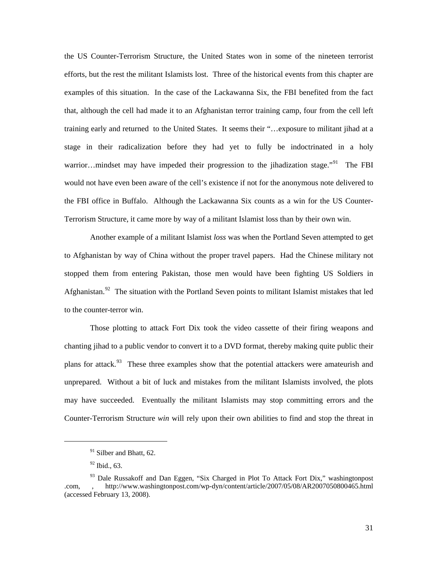the US Counter-Terrorism Structure, the United States won in some of the nineteen terrorist efforts, but the rest the militant Islamists lost. Three of the historical events from this chapter are examples of this situation. In the case of the Lackawanna Six, the FBI benefited from the fact that, although the cell had made it to an Afghanistan terror training camp, four from the cell left training early and returned to the United States. It seems their "…exposure to militant jihad at a stage in their radicalization before they had yet to fully be indoctrinated in a holy warrior…mindset may have impeded their progression to the jihadization stage."<sup>[91](#page-37-0)</sup> The FBI would not have even been aware of the cell's existence if not for the anonymous note delivered to the FBI office in Buffalo. Although the Lackawanna Six counts as a win for the US Counter-Terroris m Structure, it came more by way of a militant Islamist loss than by their own win.

Afghanistan.<sup>[92](#page-37-1)</sup> The situation with the Portland Seven points to militant Islamist mistakes that led to the c ounter-terror win. Another example of a militant Islamist *loss* was when the Portland Seven attempted to get to Afghanistan by way of China without the proper travel papers. Had the Chinese military not stopped them from entering Pakistan, those men would have been fighting US Soldiers in

Counter-Terrorism Structure win will rely upon their own abilities to find and stop the threat in Those plotting to attack Fort Dix took the video cassette of their firing weapons and chanting jihad to a public vendor to convert it to a DVD format, thereby making quite public their plans for attack.<sup>[93](#page-37-2)</sup> These three examples show that the potential attackers were amateurish and unprepared. Without a bit of luck and mistakes from the militant Islamists involved, the plots may have succeeded. Eventually the militant Islamists may stop committing errors and the

<span id="page-37-0"></span>l

 $91$  Silber and Bhatt, 62.

 $92$  Ibid., 63.

<span id="page-37-2"></span><span id="page-37-1"></span><sup>&</sup>lt;sup>93</sup> Dale Russakoff and Dan Eggen, "Six Charged in Plot To Attack Fort Dix," washingtonpost .com, , http://www.washingtonpost.com/wp-dyn/content/article/2007/05/08/AR2007050800465.html (accessed February 13, 2008).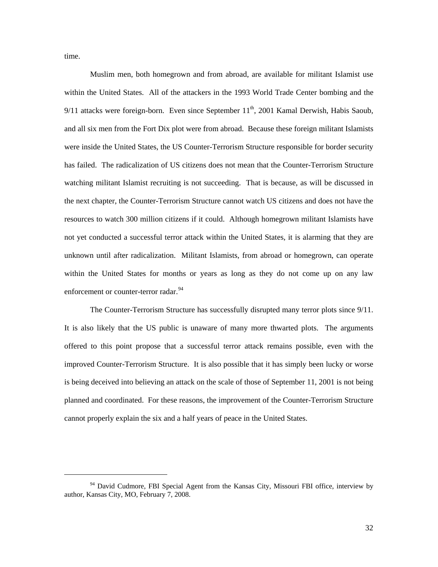time.

l

within the United States for months or years as long as they do not come up on any law enforcement or counter-terror radar.<sup>94</sup> Muslim men, both homegrown and from abroad, are available for militant Islamist use within the United States. All of the attackers in the 1993 World Trade Center bombing and the  $9/11$  attacks were foreign-born. Even since September  $11<sup>th</sup>$ , 2001 Kamal Derwish, Habis Saoub, and all six men from the Fort Dix plot were from abroad. Because these foreign militant Islamists were inside the United States, the US Counter-Terrorism Structure responsible for border security has failed. The radicalization of US citizens does not mean that the Counter-Terrorism Structure watching militant Islamist recruiting is not succeeding. That is because, as will be discussed in the next chapter, the Counter-Terrorism Structure cannot watch US citizens and does not have the resources to watch 300 million citizens if it could. Although homegrown militant Islamists have not yet conducted a successful terror attack within the United States, it is alarming that they are unknown until after radicalization. Militant Islamists, from abroad or homegrown, can operate

planned and coordinated. For these reasons, the improvement of the Counter-Terrorism Structure cannot properly explain the six and a half years of peace in the United States. The Counter-Terrorism Structure has successfully disrupted many terror plots since 9/11. It is also likely that the US public is unaware of many more thwarted plots. The arguments offered to this point propose that a successful terror attack remains possible, even with the improved Counter-Terrorism Structure. It is also possible that it has simply been lucky or worse is being deceived into believing an attack on the scale of those of September 11, 2001 is not being

<sup>&</sup>lt;sup>94</sup> David Cudmore, FBI Special Agent from the Kansas City, Missouri FBI office, interview by author, Kansas City, MO, February 7, 2008.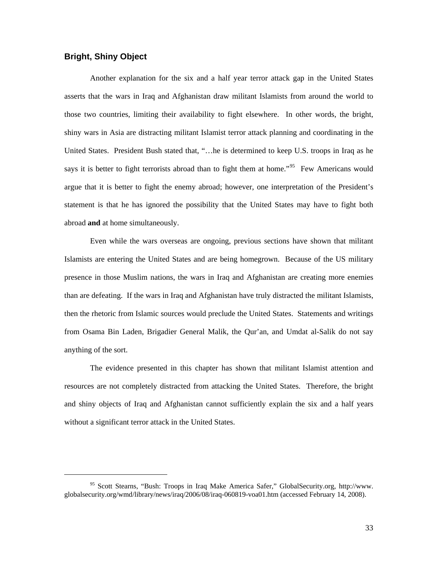### **Bright, Shiny Object**

l

Another explanation for the six and a half year terror attack gap in the United States asserts that the wars in Iraq and Afghanistan draw militant Islamists from around the world to those two countries, limiting their availability to fight elsewhere. In other words, the bright, shiny wars in Asia are distracting militant Islamist terror attack planning and coordinating in the United States. President Bush stated that, "…he is determined to keep U.S. troops in Iraq as he says it is better to fight terrorists abroad than to fight them at home."<sup>[95](#page-39-0)</sup> Few Americans would argue that it is better to fight the enemy abroad; however, one interpretation of the President's stateme nt is that he has ignored the possibility that the United States may have to fight both abroad **and** at home simultaneously.

then the rhetoric from Islamic sources would preclude the United States. Statements and writings from O sama Bin Laden, Brigadier General Malik, the Qur'an, and Umdat al-Salik do not say Even while the wars overseas are ongoing, previous sections have shown that militant Islamists are entering the United States and are being homegrown. Because of the US military presence in those Muslim nations, the wars in Iraq and Afghanistan are creating more enemies than are defeating. If the wars in Iraq and Afghanistan have truly distracted the militant Islamists, anything of the sort.

resources are not completely distracted from attacking the United States. Therefore, the bright and shiny objects of Iraq and Afghanistan cannot sufficiently explain the six and a half years without a significant terror attack in the United States. The evidence presented in this chapter has shown that militant Islamist attention and

<span id="page-39-0"></span><sup>95</sup> Scott Stearns, "Bush: Troops in Iraq Make America Safer," GlobalSecurity.org, [http://www.](http://www/) globalsecurity.org/wmd/library/news/iraq/2006/08/iraq-060819-voa01.htm (accessed February 14, 2008).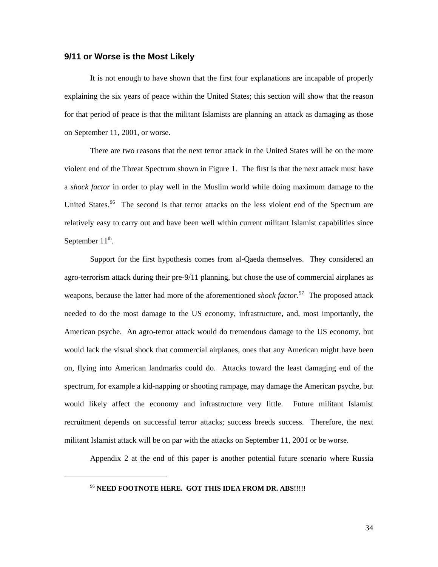#### **9/11 or Worse is the Most Likely**

It is not enough to have shown that the first four explanations are incapable of properly explaini ng the six years of peace within the United States; this section will show that the reason for that period of peace is that the militant Islamists are planning an attack as damaging as those on September 11, 2001, or worse.

a *shock factor* in order to play well in the Muslim world while doing maximum damage to the United States.<sup>[96](#page-40-0)</sup> The second is that terror attacks on the less violent end of the Spectrum are There are two reasons that the next terror attack in the United States will be on the more violent end of the Threat Spectrum shown in Figure 1. The first is that the next attack must have relatively easy to carry out and have been well within current militant Islamist capabilities since September  $11^{th}$ .

spectrum, for example a kid-napping or shooting rampage, may damage the American psyche, but would likely affect the economy and infrastructure very little. Future militant Islamist Support for the first hypothesis comes from al-Qaeda themselves. They considered an agro-terrorism attack during their pre-9/11 planning, but chose the use of commercial airplanes as weapons, because the latter had more of the aforementioned *shock factor*. [97](#page-40-0) The proposed attack needed to do the most damage to the US economy, infrastructure, and, most importantly, the American psyche. An agro-terror attack would do tremendous damage to the US economy, but would lack the visual shock that commercial airplanes, ones that any American might have been on, flying into American landmarks could do. Attacks toward the least damaging end of the recruitment depends on successful terror attacks; success breeds success. Therefore, the next militant Islamist attack will be on par with the attacks on September 11, 2001 or be worse.

<span id="page-40-0"></span>Appendix 2 at the end of this paper is another potential future scenario where Russia

<sup>96</sup> **NEED FOOTNOTE HERE. GOT THIS IDEA FROM DR. ABS!!!!!**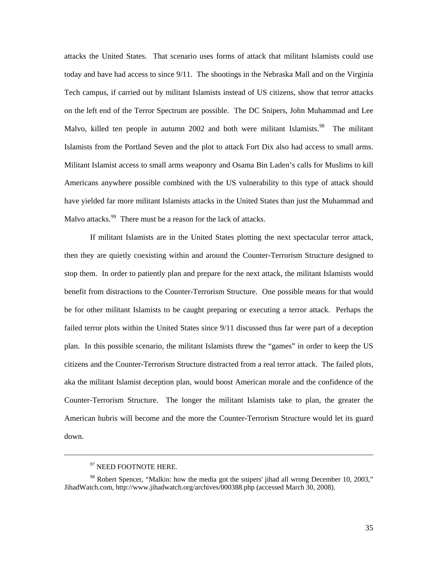attacks the United States. That scenario uses forms of attack that militant Islamists could use today and have had access to since 9/11. The shootings in the Nebraska Mall and on the Virginia Tech campus, if carried out by militant Islamists instead of US citizens, show that terror attacks on the left end of the Terror Spectrum are possible. The DC Snipers, John Muhammad and Lee Malvo, killed ten people in autumn 2002 and both were militant Islamists.<sup>[98](#page-41-0)</sup> The militant Islamists from the Portland Seven and the plot to attack Fort Dix also had access to small arms. Militant Islamist access to small arms weaponry and Osama Bin Laden's calls for Muslims to kill Americ ans anywhere possible combined with the US vulnerability to this type of attack should have yielded far more militant Islamists attacks in the United States than just the Muhammad and Malvo attacks.<sup>99</sup> There must be a reason for the lack of attacks.

aka the militant Islamist deception plan, would boost American morale and the confidence of the Counter -Terrorism Structure. The longer the militant Islamists take to plan, the greater the If militant Islamists are in the United States plotting the next spectacular terror attack, then they are quietly coexisting within and around the Counter-Terrorism Structure designed to stop them. In order to patiently plan and prepare for the next attack, the militant Islamists would benefit from distractions to the Counter-Terrorism Structure. One possible means for that would be for other militant Islamists to be caught preparing or executing a terror attack. Perhaps the failed terror plots within the United States since 9/11 discussed thus far were part of a deception plan. In this possible scenario, the militant Islamists threw the "games" in order to keep the US citizens and the Counter-Terrorism Structure distracted from a real terror attack. The failed plots, American hubris will become and the more the Counter-Terrorism Structure would let its guard down.

<sup>&</sup>lt;sup>97</sup> NEED FOOTNOTE HERE.

<span id="page-41-0"></span> $98$  Robert Spencer, "Malkin: how the media got the snipers' jihad all wrong December 10, 2003," JihadWatch.com, <http://www.jihadwatch.org/archives/000388.php> (accessed March 30, 2008).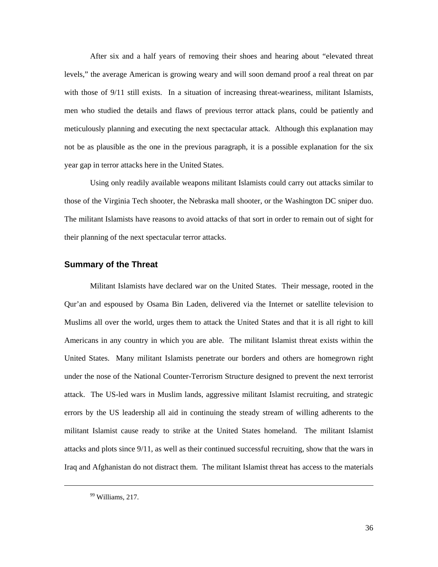After six and a half years of removing their shoes and hearing about "elevated threat levels," the average American is growing weary and will soon demand proof a real threat on par with those of 9/11 still exists. In a situation of increasing threat-weariness, militant Islamists, men who studied the details and flaws of previous terror attack plans, could be patiently and meticul ously planning and executing the next spectacular attack. Although this explanation may not be as plausible as the one in the previous paragraph, it is a possible explanation for the six year gap in terror attacks here in the United States.

Using only readily available weapons militant Islamists could carry out attacks similar to those of the Virginia Tech shooter, the Nebraska mall shooter, or the Washington DC sniper duo. The militant Islamists have reasons to avoid attacks of that sort in order to remain out of sight for their planning of the next s pectacular terror attacks.

#### **Summary of the Threat**

Militant Islamists have declared war on the United States. Their message, rooted in the Qur'an and espoused by Osama Bin Laden, delivered via the Internet or satellite television to Muslims all over the world, urges them to attack the United States and that it is all right to kill Americans in any country in which you are able. The militant Islamist threat exists within the United States. Many militant Islamists penetrate our borders and others are homegrown right under the nose of the National Counter-Terrorism Structure designed to prevent the next terrorist attack. The US-led wars in Muslim lands, aggressive militant Islamist recruiting, and strategic errors by the US leadership all aid in continuing the steady stream of willing adherents to the militant Islamist cause ready to strike at the United States homeland. The militant Islamist attacks and plots since 9/11, as well as their continued successful recruiting, show that the wars in Iraq and Afghanistan do not distract them. The militant Islamist threat has access to the materials

 $99$  Williams, 217.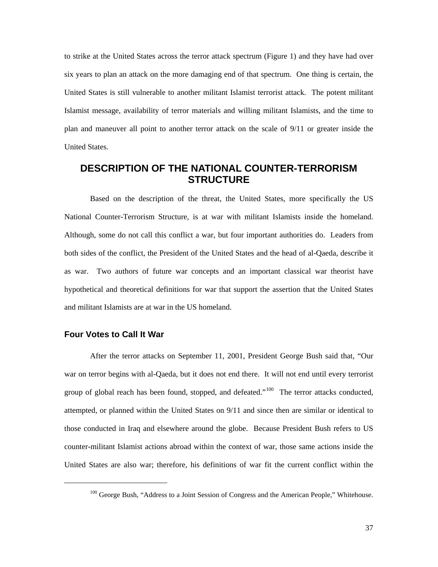to strike at the United States across the terror attack spectrum (Figure 1) and they have had over six years to plan an attack on the more damaging end of that spectrum. One thing is certain, the United States is still vulnerable to another militant Islamist terrorist attack. The potent militant Islamist message, availability of terror materials and willing militant Islamists, and the time to plan and maneuver all point to another terror attack on the scale of 9/11 or greater inside the United States.

# **DESCRIPTION OF THE NATIONAL COUNTER-TERRORISM STRUCTURE**

National Counter-Terrorism Structure, is at war with militant Islamists inside the homeland. Although, some do not call this conflict a war, but four important authorities do. Leaders from both sides of the conflict, the President of the United States and the head of al-Qaeda, describe it as war. Two authors of future war concepts and an important classical war theorist have Based on the description of the threat, the United States, more specifically the US hypothetical and theoretical definitions for war that support the assertion that the United States and militant Islamists are at war in the US homeland.

#### **Four Votes to Call It War**

<span id="page-43-0"></span> $\overline{a}$ 

counter-militant Islamist actions abroad within the context of war, those same actions inside the United States are also war; therefore, his definitions of war fit the current conflict within the After the terror attacks on September 11, 2001, President George Bush said that, "Our war on terror begins with al-Qaeda, but it does not end there. It will not end until every terrorist group of global reach has been found, stopped, and defeated."<sup>[100](#page-43-0)</sup> The terror attacks conducted, attempted, or planned within the United States on 9/11 and since then are similar or identical to those conducted in Iraq and elsewhere around the globe. Because President Bush refers to US

<sup>&</sup>lt;sup>100</sup> George Bush, "Address to a Joint Session of Congress and the American People," Whitehouse.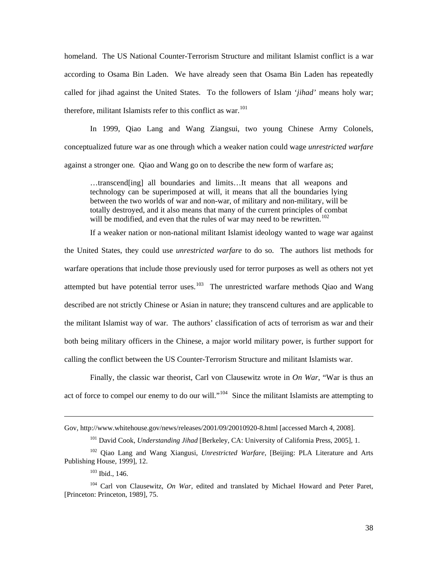homelan d. The US National Counter-Terrorism Structure and militant Islamist conflict is a war called for jihad against the United States. To the followers of Islam '*jihad'* means holy war; therefore, militant Islamists refer to this conflict as war.<sup>[101](#page-44-0)</sup> according to Osama Bin Laden. We have already seen that Osama Bin Laden has repeatedly

In 1999, Qiao Lang and Wang Ziangsui, two young Chinese Army Colonels, conceptualized future war as one through which a weaker nation could wage *unrestricted warfare* against a stronger one*.* Qiao and Wang go on to describe the new form of warfare as;

…transcend[ing] all boundaries and limits…It means that all weapons and technology can be superimposed at will, it means that all the boundaries lying between the two worlds of war and non-war, of military and non-military, will be totally destroyed, and it also means that many of the current principles of combat will be modified, and even that the rules of war may need to be rewritten.<sup>[102](#page-44-1)</sup>

attempted but have potential terror uses.<sup>103</sup> The unrestricted warfare methods Qiao and Wang describe d are not strictly Chinese or Asian in nature; they transcend cultures and are applicable to [If a weaker nation or non-national militant Islamist ideology wanted to wage war against](#page-44-1)  the United States, they could use *unrestricted warfare* [to do so. The authors list methods for](#page-44-1)  [warfare operations that include those previously used for terror purposes as well as others not yet](#page-44-1)  the militant Islamist way of war. The authors' classification of acts of terrorism as war and their both being military officers in the Chinese, a major world military power, is further support for calling the conflict between the US Counter-Terrorism Structure and militant Islamists war.

Finally, the classic war theorist, Carl von Clausewitz wrote in *On War*, "War is thus an act of force to compel our enemy to do our will."<sup>104</sup> Since the militant Islamists are attempting to

Gov, http://www.whitehouse.gov/news/releases/2001/09/20010920-8.html [accessed March 4, 2008].

<sup>101</sup> David Cook, *Understanding Jihad* [Berkeley, CA: University of California Press, 2005], 1.

<span id="page-44-0"></span><sup>102</sup> Qiao Lang and Wang Xiangusi, *Unrestricted Warfare*, [Beijing: PLA Literature and Arts Publishin g House, 1999], 12.

<sup>103</sup> Ibid., 146.

<span id="page-44-1"></span> $104$  Carl von Clausewitz, On War, edited and translated by Michael Howard and Peter Paret, [Princeto n: Princeton, 1989], 75.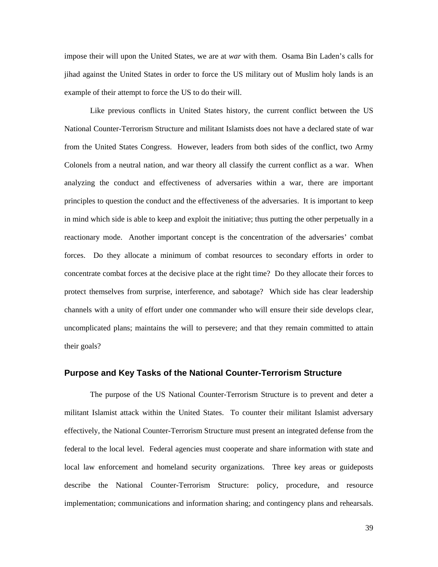impose their will upon the United States, we are at *war* with them. Osama Bin Laden's calls for jihad against the United States in order to force the US military out of Muslim holy lands is an example of their attempt to force the US to do their will.

Like previous conflicts in United States history, the current conflict between the US National Counter-Terrorism Structure and militant Islamists does not have a declared state of war from the United States Congress. However, leaders from both sides of the conflict, two Army Colonels from a neutral nation, and war theory all classify the current conflict as a war. When analyzing the conduct and effectiveness of adversaries within a war, there are important principles to question the conduct and the effectiveness of the adversaries. It is important to keep in mind which side is able to keep and exploit the initiative; thus putting the other perpetually in a reactionary mode. Another important concept is the concentration of the adversaries' combat forces. Do they allocate a minimum of combat resources to secondary efforts in order to concentrate combat forces at the decisive place at the right time? Do they allocate their forces to protect them selves from surprise, interference, and sabotage? Which side has clear leadership channels with a unity of effort under one commander who will ensure their side develops clear, uncomplicated plans; maintains the will to persevere; and that they remain committed to attain their goals?

#### **Purpose and Key Tasks of the National Counter-Terrorism Structure**

effectively, the National Counter-Terrorism Structure must present an integrated defense from the federal to the local level. Federal agencies must cooperate and share information with state and describe the National Counter-Terrorism Structure: policy, procedure, and resource implementation; communications and information sharing; and contingency plans and rehearsals. The purpose of the US National Counter-Terrorism Structure is to prevent and deter a militant Islamist attack within the United States. To counter their militant Islamist adversary local law enforcement and homeland security organizations. Three key areas or guideposts

39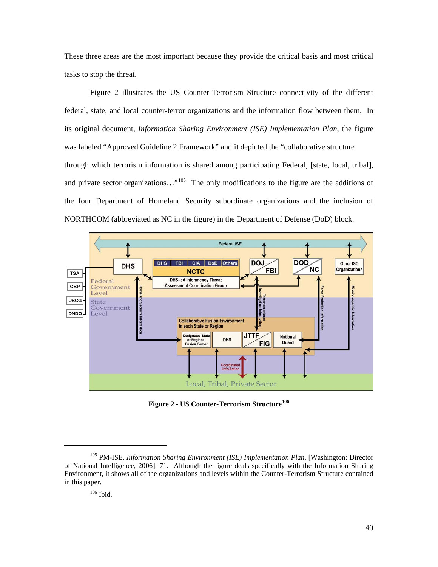These three areas are the most important because they provide the critical basis and most critical tasks to stop the threat.

Figure 2 illustrates the US Counter-Terrorism Structure connectivity of the different federal, state, and local counter-terror organizations and the information flow between them. In its original document, *Information Sharing Environment (ISE) Implementation Plan*, the figure was labeled "Approved Guideline 2 Framework" and it depicted the "collaborative structure through which terrorism information is shared among participating Federal, [state, local, tribal], and private sector organizations..."<sup>105</sup> The only modifications to the figure are the additions of the four Department of Homeland Security subordinate organizations and the inclusion of NORTHCOM (abbreviated as NC in the figure) in the Department of Defense (DoD) block.



**Figure 2 - US Counter-Terrorism Structure 106**

l

<sup>105</sup> PM-ISE, *Information Sharing Environment (ISE) Implementation Plan*, [Washington: Director of National Intelligence, 2006], 71. Although the figure deals specifically with the Information Sharing Environment, it shows all of the organizations and levels within the Counter-Terrorism Structure contained in this paper.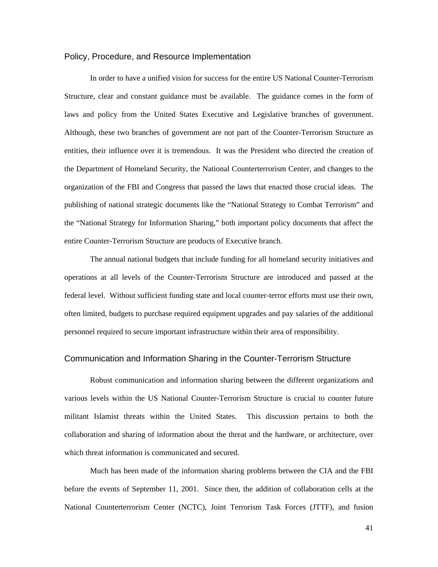#### Policy, Procedure, and Resource Implementation

In order to have a unified vision for success for the entire US National Counter-Terrorism Structure, clear and constant guidance must be available. The guidance comes in the form of laws and policy from the United States Executive and Legislative branches of government. Although, these two branches of government are not part of the Counter-Terrorism Structure as entities, their influence over it is tremendous. It was the President who directed the creation of the Dep artment of Homeland Security, the National Counterterrorism Center, and changes to the organization of the FBI and Congress that passed the laws that enacted those crucial ideas. The publishing of national strategic documents like the "National Strategy to Combat Terrorism" and the "National Strategy for Information Sharing," both important policy documents that affect the entire Counter-Terrorism Structure are products of Executive branch.

The annual national budgets that include funding for all homeland security initiatives and operations at all levels of the Counter-Terrorism Structure are introduced and passed at the federal level. Without sufficient funding state and local counter-terror efforts must use their own, often limited, budgets to purchase required equipment upgrades and pay salaries of the additional personnel required to secure important infrastructure within their area of responsibility.

#### Communication and Information Sharing in the Counter-Terrorism Structure

Robust communication and information sharing between the different organizations and various levels within the US National Counter-Terrorism Structure is crucial to counter future militant Islamist threats within the United States. This discussion pertains to both the collaboration and sharing of information about the threat and the hardware, or architecture, over which threat information is communicated and secured.

Much has been made of the information sharing problems between the CIA and the FBI before the events of September 11, 2001. Since then, the addition of collaboration cells at the National Counterterrorism Center (NCTC), Joint Terrorism Task Forces (JTTF), and fusion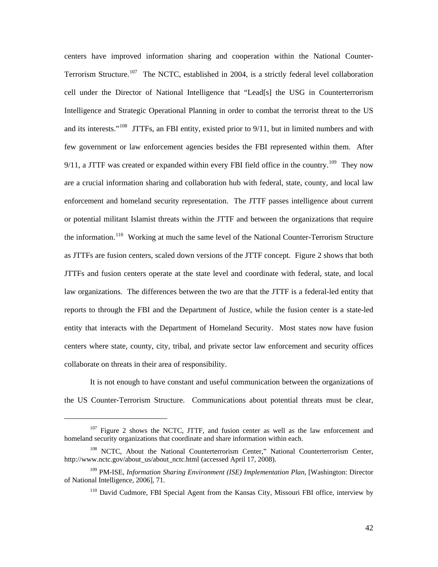centers have improved information sharing and cooperation within the National Counter-Terrorism Structure.<sup>[107](#page-48-0)</sup> The NCTC, established in 2004, is a strictly federal level collaboration cell under the Director of National Intelligence that "Lead[s] the USG in Counterterrorism Intelligence and Strategic Operational Planning in order to combat the terrorist threat to the US and its interests."<sup>[108](#page-48-1)</sup> JTTFs, an FBI entity, existed prior to  $9/11$ , but in limited numbers and with few government or law enforcement agencies besides the FBI represented within them. After  $9/11$ , a JTTF was created or expanded within every FBI field office in the country.<sup>[109](#page-48-2)</sup> They now are a crucial information sharing and collaboration hub with federal, state, county, and local law enforcement and homeland security representation. The JTTF passes intelligence about current or potential militant Islamist threats within the JTTF and between the organizations that require the information.<sup>[110](#page-48-3)</sup> Working at much the same level of the National Counter-Terrorism Structure as JTTFs are fusion centers, scaled down versions of the JTTF concept. Figure 2 shows that both JTTFs and fusion centers operate at the state level and coordinate with federal, state, and local law organizations. The differences between the two are that the JTTF is a federal-led entity that reports to through the FBI and the Department of Justice, while the fusion center is a state-led entity that interacts with the Department of Homeland Security. Most states now have fusion centers where state, county, city, tribal, and private sector law enforcement and security offices collaborate on threats in their area of responsibility.

the US Counter-Terrorism Structure. Communications about potential threats must be clear, It is not enough to have constant and useful communication between the organizations of

l

<span id="page-48-0"></span> $107$  Figure 2 shows the NCTC, JTTF, and fusion center as well as the law enforcement and homeland security organizations that coordinate and share information within each.

<span id="page-48-1"></span><sup>&</sup>lt;sup>108</sup> NCTC, About the National Counterterrorism Center," National Counterterrorism Center, http://www.nctc.gov/about\_us/about\_nctc.html (accessed April 17, 2008).

<span id="page-48-3"></span><span id="page-48-2"></span><sup>&</sup>lt;sup>109</sup> PM-ISE, *Information Sharing Environment (ISE) Implementation Plan*, [Washington: Director of National Intelligence, 2006], 71.

 $110$  David Cudmore, FBI Special Agent from the Kansas City, Missouri FBI office, interview by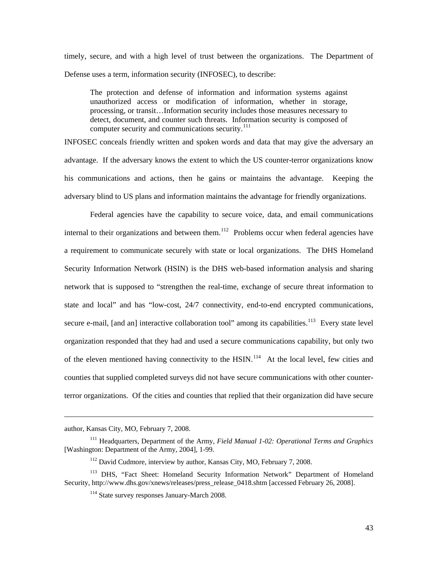timely, secure, and with a high level of trust between the organizations. The Department of Defense uses a term, information security (INFOSEC), to describe:

The protection and defense of information and information systems against unauthorized access or modification of information, whether in storage, processing, or transit…Information security includes those measures necessary to detect, document, and counter such threats. Information security is composed of computer security and communications security.<sup>111</sup>

his com munications and actions, then he gains or maintains the advantage. Keeping the INFOSEC conceals friendly written and spoken words and data that may give the adversary an advantage. If the adversary knows the extent to which the US counter-terror organizations know adversary blind to US plans and information maintains the advantage for friendly organizations.

terror organizations. Of the cities and counties that replied that their organization did have secure Federal agencies have the capability to secure voice, data, and email communications internal to their organizations and between them.<sup>[112](#page-49-0)</sup> Problems occur when federal agencies have a requirement to communicate securely with state or local organizations. The DHS Homeland Security Information Network (HSIN) is the DHS web-based information analysis and sharing network that is supposed to "strengthen the real-time, exchange of secure threat information to state and local" and has "low-cost, 24/7 connectivity, end-to-end encrypted communications, secure e-mail, [and an] interactive collaboration tool" among its capabilities.<sup>[113](#page-49-1)</sup> Every state level organization responded that they had and used a secure communications capability, but only two of the eleven mentioned having connectivity to the  $H\text{SIN}$ .<sup>[114](#page-49-2)</sup> At the local level, few cities and counties that supplied completed surveys did not have secure communications with other counter-

author, Kansas City, MO, February 7, 2008.

<sup>111</sup> Headquarters, Department of the Army, *Field Manual 1-02: Operational Terms and Graphics* [Washington: Department of the Army, 2004], 1-99.

<sup>&</sup>lt;sup>112</sup> David Cudmore, interview by author, Kansas City, MO, February 7, 2008.

<span id="page-49-2"></span><span id="page-49-1"></span><span id="page-49-0"></span><sup>113</sup> DHS, "Fact Sheet: Homeland Security Information Network" Department of Homeland Security, http://www.dhs.gov/xnews/releases/press\_release\_0418.shtm [accessed February 26, 2008].

<sup>114</sup> State survey responses January-March 2008.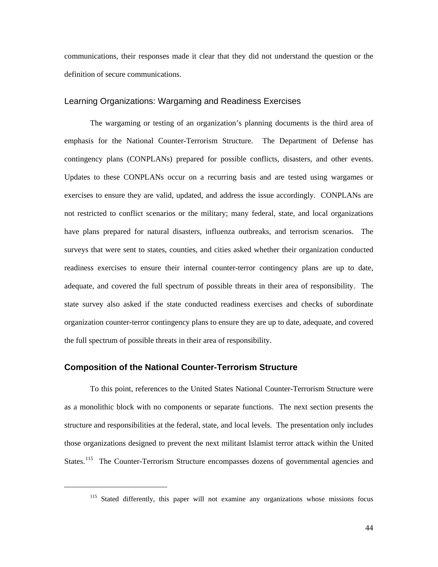communications, their responses made it clear that they did not understand the question or the definitio n of secure communications.

#### Learning Organizations: Wargaming and Readiness Exercises

The wargaming or testing of an organization's planning documents is the third area of emphasis for the National Counter-Terrorism Structure. The Department of Defense has contingency plans (CONPLANs) prepared for possible conflicts, disasters, and other events. Updates to these CONPLANs occur on a recurring basis and are tested using wargames or exercises to ensure they are valid, updated, and address the issue accordingly. CONPLANs are not restricted to conflict scenarios or the military; many federal, state, and local organizations have plans prepared for natural disasters, influenza outbreaks, and terrorism scenarios. The surveys that were sent to states, counties, and cities asked whether their organization conducted readiness exercises to ensure their internal counter-terror contingency plans are up to date, adequate, and covered the full spectrum of possible threats in their area of responsibility. The state survey also asked if the state conducted readiness exercises and checks of subordinate organization counter-terror contingency plans to ensure they are up to date, adequate, and covered the full spectrum of possible threats in their area of responsibility.

#### **Composition of the National Counter-Terrorism Structure**

 $\overline{a}$ 

To this point, references to the United States National Counter-Terrorism Structure were as a monolithic block with no components or separate functions. The next section presents the structure and responsibilities at the federal, state, and local levels. The presentation only includes those organizations designed to prevent the next militant Islamist terror attack within the United States.<sup>115</sup> The Counter-Terrorism Structure encompasses dozens of governmental agencies and

<sup>&</sup>lt;sup>115</sup> Stated differently, this paper will not examine any organizations whose missions focus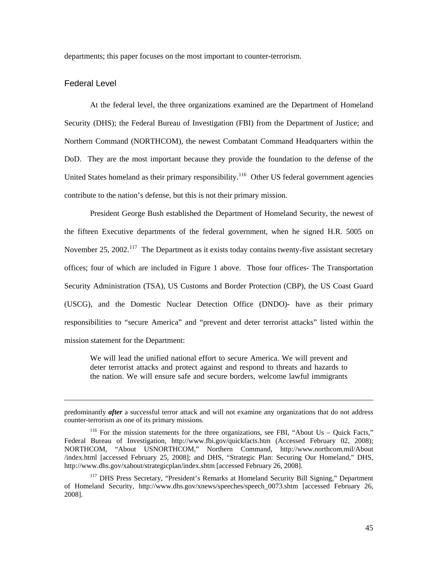departments; this paper focuses on the most important to counter-terrorism.

#### Federa l Level

 $\overline{a}$ 

At the federal level, the three organizations examined are the Department of Homeland Security (DHS); the Federal Bureau of Investigation (FBI) from the Department of Justice; and Northern Command (NORTHCOM), the newest Combatant Command Headquarters within the DoD. They are the most important because they provide the foundation to the defense of the United States homeland as their primary responsibility.<sup>116</sup> Other US federal government agencies contribute to the nation's defense, but this is not their primary mission.

President George Bush established the Department of Homeland Security, the newest of the fifteen Executive departments of the federal government, when he signed H.R. 5005 on November 25, 2002.<sup>117</sup> The Department as it exists today contains twenty-five assistant secretary offices; four of which are included in Figure 1 above. Those four offices- The Transportation Security Administration (TSA), US Customs and Border Protection (CBP), the US Coast Guard (USCG), and the Domestic Nuclear Detection Office (DNDO)- have as their primary responsibilities to "secure America" and "prevent and deter terrorist attacks" listed within the mission statement for the Department:

deter terrorist attacks and protect against and respond to threats and hazards to We will lead the unified national effort to secure America. We will prevent and the nation. We will ensure safe and secure borders, welcome lawful immigrants

predomi nantly *after* a successful terror attack and will not examine any organizations that do not address counter-terrorism as one of its primary missions.

NORTHCOM, "About USNORTHCOM," Northern Command, [http://ww](http://www.northcom.mil/About%20/index.html)w.northcom.mil/About /index.ht ml [\[accessed February 25, 2008\]; and DHS, "Strategic Plan: Securing Our Homeland," DHS,](http://www.dhs.gov/xnews/speeches/speech_0073.shtm)  <sup>116</sup> For the mission statements for the three organizations, see FBI, "About Us – Quick Facts," Federal Bureau of Investigation, <http://www.fbi.gov/quickfacts.htm> (Accessed February 02, 2008); http://www.dhs.gov/xabout/strategicplan/index.sht[m \[accessed February 26, 2008\].](http://www.dhs.gov/xnews/speeches/speech_0073.shtm) 

<sup>&</sup>lt;sup>117</sup> DHS Press Secretary, "President's Remarks at Homeland Security Bill Signing," Department of Hom eland Security, [http://www.dhs.gov/xnews/speeches/speech\\_0073.shtm](http://www.dhs.gov/xabout/strategicplan/index.shtm) [accessed February 26, 2008].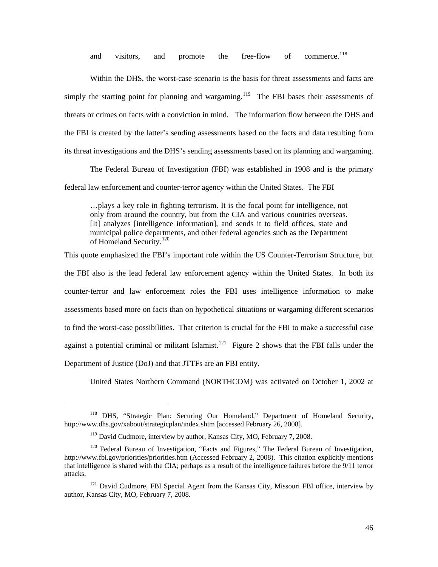and visitors, and promote the free-flow of commerce.<sup>[118](#page-52-0)</sup>

Within the DHS, the worst-case scenario is the basis for threat assessments and facts are simply the starting point for planning and wargaming.<sup>[119](#page-52-0)</sup> The FBI bases their assessments of the FBI is created by the latter's sending assessments based on the facts and data resulting from its threat investigations and the DHS's sending assessments based on its planning and wargaming. threats or crimes on facts with a conviction in mind. The information flow between the DHS and

The Federal Bureau of Investigation (FBI) was established in 1908 and is the primary federal law enforcement and counter-terror agency within the United States. The FBI

...plays a key role in fighting terrorism. It is the focal point for intelligence, not [It] analyzes [intelligence information], and sends it to field offices, state and of Homeland Security.<sup>120</sup> only from around the country, but from the CIA and various countries overseas. municipal police departments, and other federal agencies such as the Department

to find the worst-case possibilities. That criterion is crucial for the FBI to make a successful case against a potential criminal or militant Islamist.<sup>[121](#page-53-0)</sup> Figure 2 shows that the FBI falls under the This quote emphasized the FBI's important role within the US Counter-Terrorism Structure, but the FBI also is the lead federal law enforcement agency within the United States. In both its counter-terror and law enforcement roles the FBI uses intelligence information to make assessments based more on facts than on hypothetical situations or wargaming different scenarios Department of Justice (DoJ) and that JTTFs are an FBI entity.

United States Northern Command (NORTHCOM) was activated on October 1, 2002 at

<sup>&</sup>lt;sup>118</sup> DHS, "Strategic Plan: Securing Our Homeland," Department of Homeland Security, http://ww w.dhs.gov/xabout/strategicplan/index.shtm [accessed February 26, 2008].

<sup>&</sup>lt;sup>119</sup> David Cudmore, interview by author, Kansas City, MO, February 7, 2008.

<span id="page-52-0"></span>that intelligence is shared with the CIA; perhaps as a result of the intelligence failures before the 9/11 terror attacks. <sup>120</sup> Federal Bureau of Investigation, "Facts and Figures," The Federal Bureau of Investigation, <http://www.fbi.gov/priorities/priorities.htm>(Accessed February 2, 2008). This citation explicitly mentions

 $121$  David Cudmore, FBI Special Agent from the Kansas City, Missouri FBI office, interview by author, K ansas City, MO, February 7, 2008.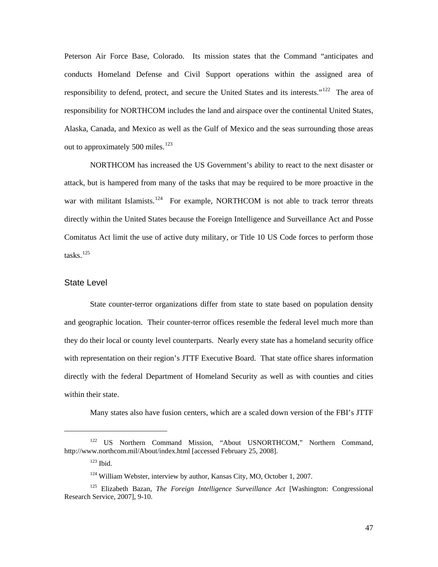Peterson Air Force Base, Colorado. Its mission states that the Command "anticipates and conducts Homeland Defense and Civil Support operations within the assigned area of responsibility to defend, protect, and secure the United States and its interests."122 The area of respons ibility for NORTHCOM includes the land and airspace over the continental United States, Alaska, Canada, and Mexico as well as the Gulf of Mexico and the seas surrounding those areas out to approximately 500 miles.<sup>[123](#page-53-1)</sup>

[war with](#page-53-1) militant Islamists.<sup>124</sup> For example, NORTHCOM is not able to track terror threats directly within the United States because the Foreign Intelligence and Surveillance Act and Posse Comitatus Act limit the use of active duty military, or Title 10 US Code forces to perform those tasks. $^{125}$ [NORTHCOM has increased the US Government's ability to react to the next disaster or](#page-53-1)  [attack, but is hampered from many of the tasks that may be required to be more proactive in the](#page-53-1) 

#### State Level

they do their local or county level counterparts. Nearly every state has a homeland security office with representation on their region's JTTF Executive Board. That state office shares information State counter-terror organizations differ from state to state based on population density and geographic location. Their counter-terror offices resemble the federal level much more than directly with the federal Department of Homeland Security as well as with counties and cities within their state.

Many states also have fusion centers, which are a scaled down version of the FBI's JTTF

<span id="page-53-0"></span><sup>&</sup>lt;sup>122</sup> US Northern Command Mission, "About USNORTHCOM," Northern Command, http://ww w.northcom.mil/About/index.html [accessed February 25, 2008].

<sup>123</sup> Ibid.

 $124$  William Webster, interview by author, Kansas City, MO, October 1, 2007.

<span id="page-53-1"></span><sup>125</sup> Elizabeth Bazan, *The Foreign Intelligence Surveillance Act* [Washington: Congressional Research Service, 2007], 9-10.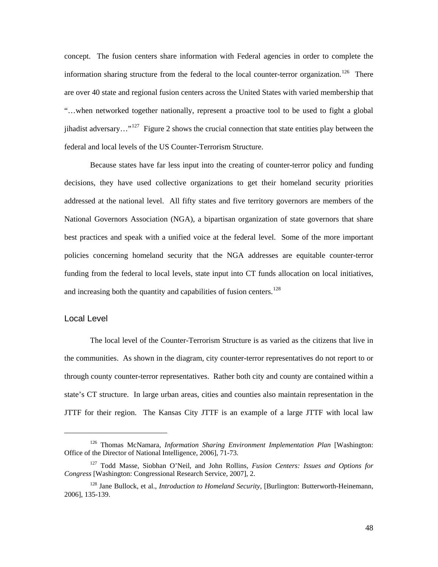concept. The fusion centers share information with Federal agencies in order to complete the information sharing structure from the federal to the local counter-terror organization.<sup>[126](#page-54-0)</sup> There are over 40 state and regional fusion centers across the United States with varied membership that "…when networked together nationally, represent a proactive tool to be used to fight a global jihadist adversary..."<sup>[127](#page-54-1)</sup> Figure 2 shows the crucial connection that state entities play between the federal and local levels of the US Counter-Terrorism Structure.

policies concerning homeland security that the NGA addresses are equitable counter-terror funding from the federal to local levels, state input into CT funds allocation on local initiatives, and increasing both the quantity and capabilities of fusion centers.<sup>128</sup> Because states have far less input into the creating of counter-terror policy and funding decisions, they have used collective organizations to get their homeland security priorities addressed at the national level. All fifty states and five territory governors are members of the National Governors Association (NGA), a bipartisan organization of state governors that share best practices and speak with a unified voice at the federal level. Some of the more important

## Local Level

 $\overline{a}$ 

The local level of the Counter-Terrorism Structure is as varied as the citizens that live in the communities. As shown in the diagram, city counter-terror representatives do not report to or through county counter-terror representatives. Rather both city and county are contained within a state's CT structure. In large urban areas, cities and counties also maintain representation in the JTTF for their region. The Kansas City JTTF is an example of a large JTTF with local law

<span id="page-54-0"></span><sup>126</sup> Thomas McNamara, *Information Sharing Environment Implementation Plan* [Washington: Office of the Director of National Intelligence, 2006], 71-73.

<sup>127</sup> Todd Masse, Siobhan O'Neil, and John Rollins, *Fusion Centers: Issues and Options for Congress* [Washington: Congressional Research Service, 2007], 2.

<span id="page-54-1"></span><sup>128</sup> Jane Bullock, et al., *Introduction to Homeland Security*, [Burlington: Butterworth-Heinemann, 2006], 135-139.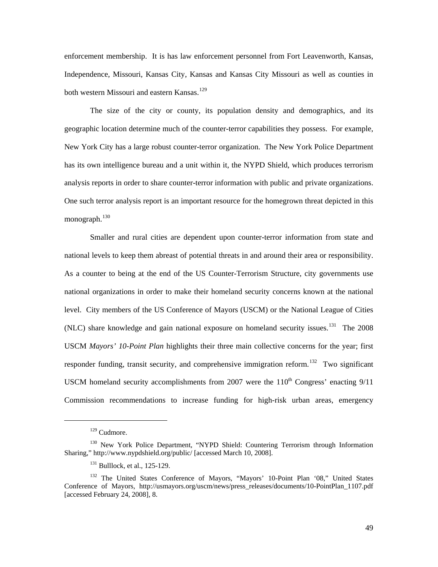enforcement membership. It is has law enforcement personnel from Fort Leavenworth, Kansas, Indepen dence, Missouri, Kansas City, Kansas and Kansas City Missouri as well as counties in both western Missouri and eastern Kansas.<sup>[129](#page-55-0)</sup>

[analysis reports](#page-55-0) in order to share counter-terror information with public and private organizations. One suc h terror analysis report is an important resource for the homegrown threat depicted in this [The size of the city or county, its population density and demographics, and its](#page-55-0)  [geographic location determine much of the counter-terror capabilities they possess. For example,](#page-55-0)  [New York City has a large robust counter-terror organization. The New York Police Department](#page-55-0)  [has its own intelligence bureau and a unit within it, the NYPD Shield, which produces terrorism](#page-55-0)  monograph. $130$ 

Commission recommendations to increase funding for high-risk urban areas, emergency [Smaller and rural cities are dependent upon counter-terror information from state and](#page-55-1)  [national levels to keep them abreast of potential threats in and around their area or responsibility.](#page-55-1)  [As a counter to being at the end of the US Counter-Terrorism Structure, city governments use](#page-55-1)  [national organizations in order to make their homeland security concerns known at the national](#page-55-1)  [level. City members of the US Conference of Mayors \(USCM\) or the National League of Cities](#page-55-1)  [\(NLC\) share knowledge and gain national exposure on homeland security issues.](#page-55-1)<sup>131</sup> The 2008 USCM *Mayors' 10-Point Plan* [highlights their three main collective concerns for the year; first](#page-55-2)  [responder funding, transit security, and comprehensive immigration reform.](#page-55-2)<sup>132</sup> Two significant USCM homeland security accomplishments from 2007 were the  $110<sup>th</sup>$  Congress' enacting  $9/11$ 

<sup>129</sup> Cudmore.

<span id="page-55-0"></span><sup>&</sup>lt;sup>130</sup> New York Police Department, "NYPD Shield: Countering Terrorism through Information Sharing," <http://www.nypdshield.org/public/>[accessed March 10, 2008].

<sup>&</sup>lt;sup>131</sup> Bulllock, et al., 125-129.

<span id="page-55-2"></span><span id="page-55-1"></span><sup>&</sup>lt;sup>132</sup> The United States Conference of Mayors, "Mayors' 10-Point Plan '08," United States Conference of Mayors, http://usmayors.org/uscm/news/press\_releases/documents/10-PointPlan\_1107.pdf [accessed February 24, 2008], 8.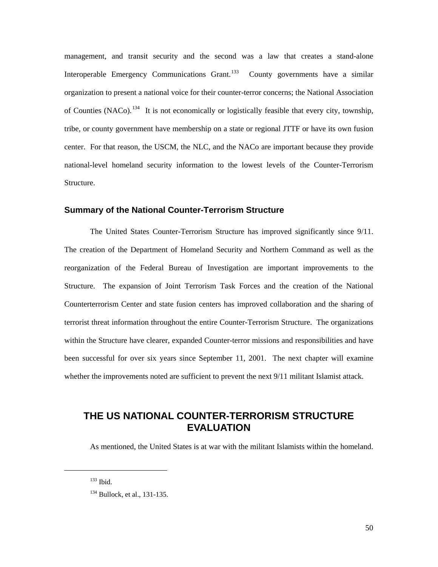[management, and transit security and the second was a law that creates a stand-alone](#page-56-0)  [Interoperable Emergency Communications Grant.](#page-56-0)<sup>133</sup> County governments have a similar [organization to present a national voice for their counter-terror concerns; the National Association](#page-56-1)  of Counties (NACo).<sup>134</sup> It is not economically or logistically feasible that every city, township, [tribe, or county government have membership on a state or regional JTTF or have its own fusion](#page-56-1)  [center. For that reason, the USCM, the NLC, and the NACo are important because they provide](#page-56-1)  [national-le](#page-56-1)vel homeland security information to the lowest levels of the Counter-Terrorism Structure.

#### **Summ ary of the National Counter-Terrorism Structure**

been successful for over six years since September 11, 2001. The next chapter will examine whether the improvements noted are sufficient to prevent the next  $9/11$  militant Islamist attack. The United States Counter-Terrorism Structure has improved significantly since 9/11. The creation of the Department of Homeland Security and Northern Command as well as the reorganization of the Federal Bureau of Investigation are important improvements to the Structure. The expansion of Joint Terrorism Task Forces and the creation of the National Counterterrorism Center and state fusion centers has improved collaboration and the sharing of terrorist threat information throughout the entire Counter-Terrorism Structure. The organizations within the Structure have clearer, expanded Counter-terror missions and responsibilities and have

# THE US NATIONAL COUNTER-TERRORISM STRUCTURE **EVALUATION**

As mentioned, the United States is at war with the militant Islamists within the homeland.

<span id="page-56-1"></span><span id="page-56-0"></span>l

 $133$  Ibid.

<sup>&</sup>lt;sup>134</sup> Bullock, et al., 131-135.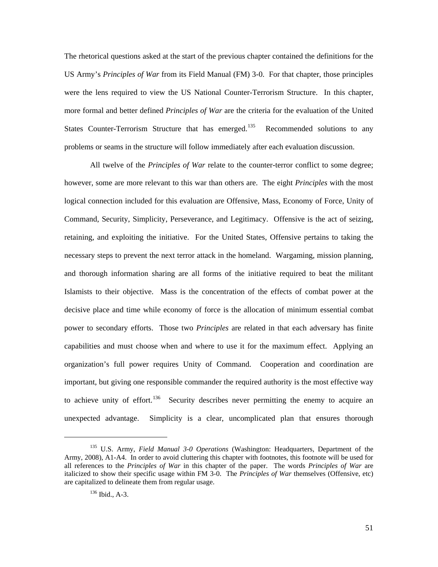The rhetorical questions asked at the start of the previous chapter contained the definitions for the US Army's *Principles of War* from its Field Manual (FM) 3-0. For that chapter, those principles were the lens required to view the US National Counter-Terrorism Structure. In this chapter, more formal and better defined *Principles of War* are the criteria for the evaluation of the United States Counter-Terrorism Structure that has emerged.<sup>[135](#page-57-0)</sup> Recommended solutions to any problem s or seams in the structure will follow immediately after each evaluation discussion.

All twelve of the *Principles of War* relate to the counter-terror conflict to some degree; however, some are more relevant to this war than others are. The eight *Principles* with the most logical connection included for this evaluation are Offensive, Mass, Economy of Force, Unity of Command, Security, Simplicity, Perseverance, and Legitimacy. Offensive is the act of seizing, retaining, and exploiting the initiative. For the United States, Offensive pertains to taking the necessary steps to prevent the next terror attack in the homeland. Wargaming, mission planning, and thorough information sharing are all forms of the initiative required to beat the militant Islamists to their objective. Mass is the concentration of the effects of combat power at the decisive place and time while economy of force is the allocation of minimum essential combat power to secondary efforts. Those two *Principles* are related in that each adversary has finite capabilities and must choose when and where to use it for the maximum effect. Applying an organization's full power requires Unity of Command. Cooperation and coordination are important, but giving one responsible commander the required authority is the most effective way to achieve unity of effort.<sup>[136](#page-57-1)</sup> Security describes never permitting the enemy to acquire an unexpected advantage. Simplicity is a clear, uncomplicated plan that ensures thorough

<span id="page-57-1"></span><span id="page-57-0"></span><sup>135</sup> U.S. Army, *Field Manual 3-0 Operations* (Washington: Headquarters, Department of the Army, 2008), A1-A4. In order to avoid cluttering this chapter with footnotes, this footnote will be used for all references to the *Principles of War* in this chapter of the paper. The words *Principles of War* are italicized to show their specific usage within FM 3-0. The *Principles of War* themselves (Offensive, etc) are capitalized to delineate them from regular usage.

<sup>136</sup> Ibid., A-3.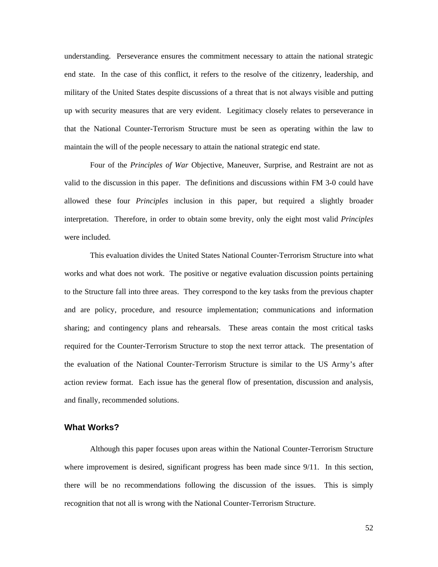understanding. Perseverance ensures the commitment necessary to attain the national strategic end state. In the case of this conflict, it refers to the resolve of the citizenry, leadership, and military of the United States despite discussions of a threat that is not always visible and putting up with security measures that are very evident. Legitimacy closely relates to perseverance in that the National Counter-Terrorism Structure must be seen as operating within the law to maintai n the will of the people necessary to attain the national strategic end state.

interpretation. Therefore, in order to obtain some brevity, only the eight most valid *Principles* were in cluded. Four of the *Principles of War* Objective, Maneuver, Surprise, and Restraint are not as valid to the discussion in this paper. The definitions and discussions within FM 3-0 could have allowed these four *Principles* inclusion in this paper, but required a slightly broader

action review format. Each issue has the general flow of presentation, discussion and analysis, and finally, recommended solutions. This evaluation divides the United States National Counter-Terrorism Structure into what works and what does not work. The positive or negative evaluation discussion points pertaining to the Structure fall into three areas. They correspond to the key tasks from the previous chapter and are policy, procedure, and resource implementation; communications and information sharing; and contingency plans and rehearsals. These areas contain the most critical tasks required for the Counter-Terrorism Structure to stop the next terror attack. The presentation of the evaluation of the National Counter-Terrorism Structure is similar to the US Army's after

#### **What W orks?**

there will be no recommendations following the discussion of the issues. This is simply recogni tion that not all is wrong with the National Counter-Terrorism Structure. Although this paper focuses upon areas within the National Counter-Terrorism Structure where improvement is desired, significant progress has been made since  $9/11$ . In this section,

52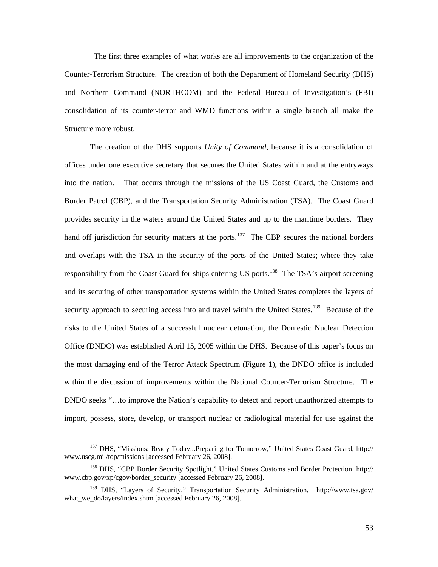The first three examples of what works are all improvements to the organization of the Counter-Terrorism Structure. The creation of both the Department of Homeland Security (DHS) and Northern Command (NORTHCOM) and the Federal Bureau of Investigation's (FBI) consolidation of its counter-terror and WMD functions within a single branch all make the Structur e more robust.

import, possess, store, develop, or transport nuclear or radiological material for use against the The creation of the DHS supports *Unity of Command*, because it is a consolidation of offices under one executive secretary that secures the United States within and at the entryways into the nation. That occurs through the missions of the US Coast Guard, the Customs and Border Patrol (CBP), and the Transportation Security Administration (TSA). The Coast Guard provides security in the waters around the United States and up to the maritime borders. They hand off jurisdiction for security matters at the ports.<sup>[137](#page-59-0)</sup> The CBP secures the national borders and overlaps with the TSA in the security of the ports of the United States; where they take responsibility from the Coast Guard for ships entering US ports.<sup>[138](#page-59-1)</sup> The TSA's airport screening and its securing of other transportation systems within the United States completes the layers of security approach to securing access into and travel within the United States.<sup>[139](#page-59-2)</sup> Because of the risks to the United States of a successful nuclear detonation, the Domestic Nuclear Detection Office (DNDO) was established April 15, 2005 within the DHS. Because of this paper's focus on the most damaging end of the Terror Attack Spectrum (Figure 1), the DNDO office is included within the discussion of improvements within the National Counter-Terrorism Structure. The DNDO seeks "…to improve the Nation's capability to detect and report unauthorized attempts to

<span id="page-59-0"></span><sup>&</sup>lt;sup>137</sup> DHS, "Missions: Ready Today...Preparing for Tomorrow," United States Coast Guard, http:// www.uscg.mil/top/missions [accessed February 26, 2008].

<span id="page-59-1"></span><sup>138</sup> DHS, "CBP Border Security Spotlight," United States Customs and Border Protection, http:// [www.cbp.gov/xp/cgov/border\\_security](http://www.cbp.gov/xp/cgov/border_security) [accessed February 26, 2008].

<span id="page-59-2"></span><sup>139</sup> DHS, "Layers of Security," Transportation Security Administration, <http://www.tsa.gov/> what\_we\_do/layers/index.shtm [accessed February 26, 2008].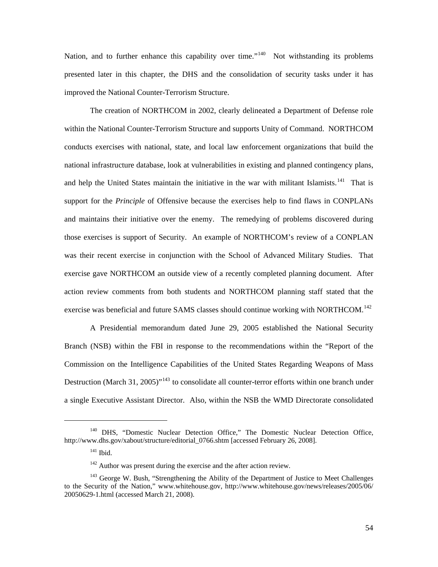Nation, and to further enhance this capability over time."<sup>[140](#page-60-0)</sup> Not withstanding its problems presented later in this chapter, the DHS and the consolidation of security tasks under it has improved the National Counter-Terrorism Structure.

The creation of NORTHCOM in 2002, clearly delineated a Department of Defense role within the National Counter-Terrorism Structure and supports Unity of Command. NORTHCOM conducts exercises with national, state, and local law enforcement organizations that build the national infrastructure database, look at vulnerabilities in existing and planned contingency plans, and help the United States maintain the initiative in the war with militant Islamists.<sup>[141](#page-60-1)</sup> That is support for the *Principle* of Offensive because the exercises help to find flaws in CONPLANs and maintains their initiative over the enemy. The remedying of problems discovered during those exercises is support of Security. An example of NORTHCOM's review of a CONPLAN was their recent exercise in conjunction with the School of Advanced Military Studies. That exercise gave NORTHCOM an outside view of a recently completed planning document. After action review comments from both students and NORTHCOM planning staff stated that the exercise was beneficial and future SAMS classes should continue working with NORTHCOM.<sup>[142](#page-60-2)</sup>

A Presidential memorandum dated June 29, 2005 established the National Security Branch (NSB) within the FBI in response to the recommendations within the "Report of the Commission on the Intelligence Capabilities of the United States Regarding Weapons of Mass Destruction (March 31, 2005)<sup> $n_{143}$  $n_{143}$  $n_{143}$ </sup> to consolidate all counter-terror efforts within one branch under a single Executive Assistant Director. Also, within the NSB the WMD Directorate consolidated

<span id="page-60-1"></span><span id="page-60-0"></span><sup>&</sup>lt;sup>140</sup> DHS, "Domestic Nuclear Detection Office," The Domestic Nuclear Detection Office, http://www.dhs.gov/xabout/structure/editorial\_0766.shtm [accessed February 26, 2008].

 $141$  Ibid.

<sup>&</sup>lt;sup>142</sup> Author was present during the exercise and the after action review.

<span id="page-60-3"></span><span id="page-60-2"></span><sup>&</sup>lt;sup>143</sup> George W. Bush, "Strengthening the Ability of the Department of Justice to Meet Challenges to the Security of the Nation," www.whitehouse.gov, <http://www.whitehouse.gov/news/releases/2005/06/> 20050629-1.html (accessed March 21, 2008).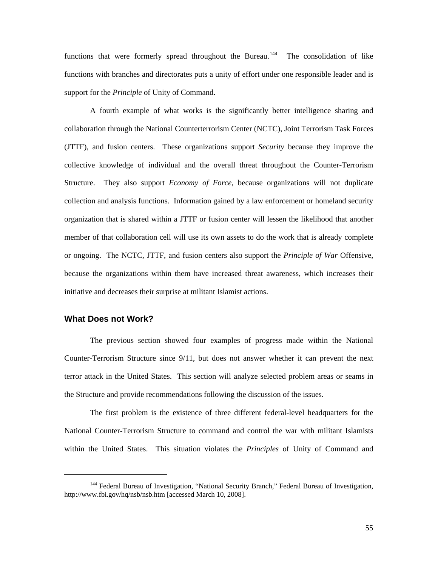functions that were formerly spread throughout the Bureau.<sup>[144](#page-61-0)</sup> The consolidation of like functions with branches and directorates puts a unity of effort under one responsible leader and is support for the *Principle* of Unity of Command.

A fourth example of what works is the significantly better intelligence sharing and collaboration through the National Counterterrorism Center (NCTC), Joint Terrorism Task Forces (JTTF), and fusion centers. These organizations support *Security* because they improve the collective knowledge of individual and the overall threat throughout the Counter-Terrorism Structure. They also support *Economy of Force*, because organizations will not duplicate collection and analysis functions. Information gained by a law enforcement or homeland security organization that is shared within a JTTF or fusion center will lessen the likelihood that another member of that collaboration cell will use its own assets to do the work that is already complete or ongoing. The NCTC, JTTF, and fusion centers also support the *Principle of War* Offensive, because the organizations within them have increased threat awareness, which increases their initiative and decreases their surprise at militant Islamist actions.

### **What Does not Work?**

l

The previous section showed four examples of progress made within the National Counter-Terrorism Structure since 9/11, but does not answer whether it can prevent the next terror attack in the United States. This section will analyze selected problem areas or seams in the Structure and provide recommendations following the discussion of the issues.

The first problem is the existence of three different federal-level headquarters for the National Counter-Terrorism Structure to command and control the war with militant Islamists within the United States. This situation violates the *Principles* of Unity of Command and

<span id="page-61-0"></span><sup>&</sup>lt;sup>144</sup> Federal Bureau of Investigation, "National Security Branch," Federal Bureau of Investigation, <http://www.fbi.gov/hq/nsb/nsb.htm>[accessed March 10, 2008].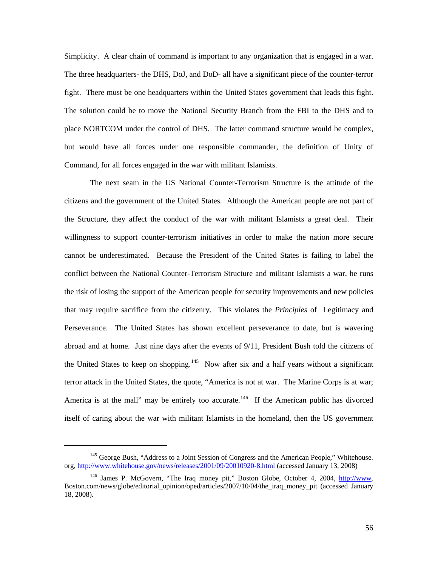Simplicity. A clear chain of command is important to any organization that is engaged in a war. The three headquarters- the DHS, DoJ, and DoD- all have a significant piece of the counter-terror fight. There must be one headquarters within the United States government that leads this fight. The solution could be to move the National Security Branch from the FBI to the DHS and to place NORTCOM under the control of DHS. The latter command structure would be complex, but would have all forces under one responsible commander, the definition of Unity of Command, for all forces engaged in the war with militant Islamists.

The next seam in the US National Counter-Terrorism Structure is the attitude of the citizens and the government of the United States. Although the American people are not part of the Structure, they affect the conduct of the war with militant Islamists a great deal. Their willingness to support counter-terrorism initiatives in order to make the nation more secure cannot be underestimated. Because the President of the United States is failing to label the conflict between the National Counter-Terrorism Structure and militant Islamists a war, he runs the risk of losing the support of the American people for security improvements and new policies that may require sacrifice from the citizenry. This violates the *Principles* of Legitimacy and Perseverance. The United States has shown excellent perseverance to date, but is wavering abroad and at home. Just nine days after the events of 9/11, President Bush told the citizens of the United States to keep on shopping.<sup>[145](#page-62-0)</sup> Now after six and a half years without a significant terror attack in the United States, the quote, "America is not at war. The Marine Corps is at war; America is at the mall" may be entirely too accurate.<sup>[146](#page-62-1)</sup> If the American public has divorced itself of caring about the war with militant Islamists in the homeland, then the US government

l

<span id="page-62-0"></span><sup>&</sup>lt;sup>145</sup> George Bush, "Address to a Joint Session of Congress and the American People," Whitehouse. org,<http://www.whitehouse.gov/news/releases/2001/09/20010920-8.html>(accessed January 13, 2008)

<span id="page-62-1"></span><sup>&</sup>lt;sup>146</sup> James P. McGovern, "The Iraq money pit," Boston Globe, October 4, 2004, [http://www](http://www/). Boston.com/news/globe/editorial\_opinion/oped/articles/2007/10/04/the\_iraq\_money\_pit (accessed January 18, 2008).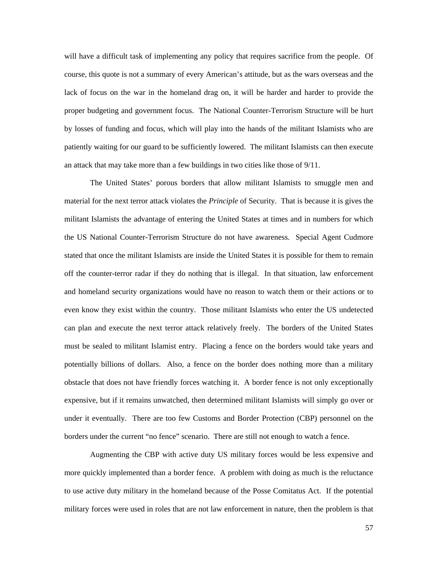will have a difficult task of implementing any policy that requires sacrifice from the people. Of course, this quote is not a summary of every American's attitude, but as the wars overseas and the lack of focus on the war in the homeland drag on, it will be harder and harder to provide the proper budgeting and government focus. The National Counter-Terrorism Structure will be hurt by losses of funding and focus, which will play into the hands of the militant Islamists who are patiently waiting for our guard to be sufficiently lowered. The militant Islamists can then execute an attack that may take more than a few buildings in two cities like those of 9/11.

The United States' porous borders that allow militant Islamists to smuggle men and material for the next terror attack violates the *Principle* of Security. That is because it is gives the militant Islamists the advantage of entering the United States at times and in numbers for which the US National Counter-Terrorism Structure do not have awareness. Special Agent Cudmore stated that once the militant Islamists are inside the United States it is possible for them to remain off the counter-terror radar if they do nothing that is illegal. In that situation, law enforcement and homeland security organizations would have no reason to watch them or their actions or to even know they exist within the country. Those militant Islamists who enter the US undetected can plan and execute the next terror attack relatively freely. The borders of the United States must be sealed to militant Islamist entry. Placing a fence on the borders would take years and potentially billions of dollars. Also, a fence on the border does nothing more than a military obstacle that does not have friendly forces watching it. A border fence is not only exceptionally expensive, but if it remains unwatched, then determined militant Islamists will simply go over or under it eventually. There are too few Customs and Border Protection (CBP) personnel on the borders under the current "no fence" scenario. There are still not enough to watch a fence.

Augmenting the CBP with active duty US military forces would be less expensive and more quickly implemented than a border fence. A problem with doing as much is the reluctance to use active duty military in the homeland because of the Posse Comitatus Act. If the potential military forces were used in roles that are not law enforcement in nature, then the problem is that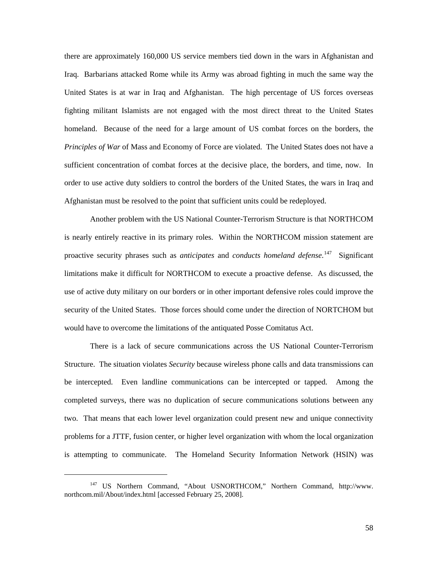there are approximately 160,000 US service members tied down in the wars in Afghanistan and Iraq. Barbarians attacked Rome while its Army was abroad fighting in much the same way the United States is at war in Iraq and Afghanistan. The high percentage of US forces overseas fighting militant Islamists are not engaged with the most direct threat to the United States homeland. Because of the need for a large amount of US combat forces on the borders, the *Principles of War* of Mass and Economy of Force are violated. The United States does not have a sufficient concentration of combat forces at the decisive place, the borders, and time, now. In order to use active duty soldiers to control the borders of the United States, the wars in Iraq and Afghanistan must be resolved to the point that sufficient units could be redeployed.

Another problem with the US National Counter-Terrorism Structure is that NORTHCOM is nearly entirely reactive in its primary roles. Within the NORTHCOM mission statement are proactive security phrases such as *anticipates* and *conducts homeland defense*. [147](#page-64-0) Significant limitations make it difficult for NORTHCOM to execute a proactive defense. As discussed, the use of active duty military on our borders or in other important defensive roles could improve the security of the United States. Those forces should come under the direction of NORTCHOM but would have to overcome the limitations of the antiquated Posse Comitatus Act.

There is a lack of secure communications across the US National Counter-Terrorism Structure. The situation violates *Security* because wireless phone calls and data transmissions can be intercepted. Even landline communications can be intercepted or tapped. Among the completed surveys, there was no duplication of secure communications solutions between any two. That means that each lower level organization could present new and unique connectivity problems for a JTTF, fusion center, or higher level organization with whom the local organization is attempting to communicate. The Homeland Security Information Network (HSIN) was

l

<span id="page-64-0"></span><sup>147</sup> US Northern Command, "About USNORTHCOM," Northern Command, http://www. northcom.mil/About/index.html [accessed February 25, 2008].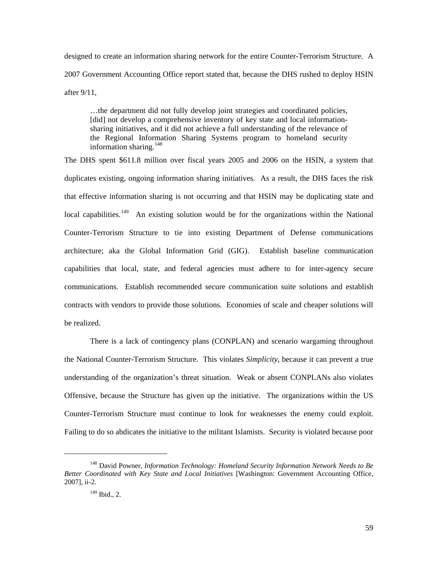designed to create an information sharing network for the entire Counter-Terrorism Structure. A 2007 Government Accounting Office report stated that, because the DHS rushed to deploy HSIN after 9/11,

…the department did not fully develop joint strategies and coordinated policies, [did] not develop a comprehensive inventory of key state and local informationsharing initiatives, and it did not achieve a full understanding of the relevance of the Regional Information Sharing Systems program to homeland security information sharing.[148](#page-65-0)

The DHS spent \$611.8 million over fiscal years 2005 and 2006 on the HSIN, a system that duplicates existing, ongoing information sharing initiatives. As a result, the DHS faces the risk that effective information sharing is not occurring and that HSIN may be duplicating state and local capabilities.<sup>[149](#page-65-1)</sup> An existing solution would be for the organizations within the National Counter-Terrorism Structure to tie into existing Department of Defense communications architecture; aka the Global Information Grid (GIG). Establish baseline communication capabilities that local, state, and federal agencies must adhere to for inter-agency secure communications. Establish recommended secure communication suite solutions and establish contracts with vendors to provide those solutions. Economies of scale and cheaper solutions will be realized.

There is a lack of contingency plans (CONPLAN) and scenario wargaming throughout the National Counter-Terrorism Structure. This violates *Simplicity*, because it can prevent a true understanding of the organization's threat situation. Weak or absent CONPLANs also violates Offensive, because the Structure has given up the initiative. The organizations within the US Counter-Terrorism Structure must continue to look for weaknesses the enemy could exploit. Failing to do so abdicates the initiative to the militant Islamists. Security is violated because poor

<span id="page-65-1"></span><span id="page-65-0"></span><sup>148</sup> David Powner, *Information Technology: Homeland Security Information Network Needs to Be Better Coordinated with Key State and Local Initiatives* [Washington: Government Accounting Office, 2007], ii-2.

 $149$  Ibid., 2.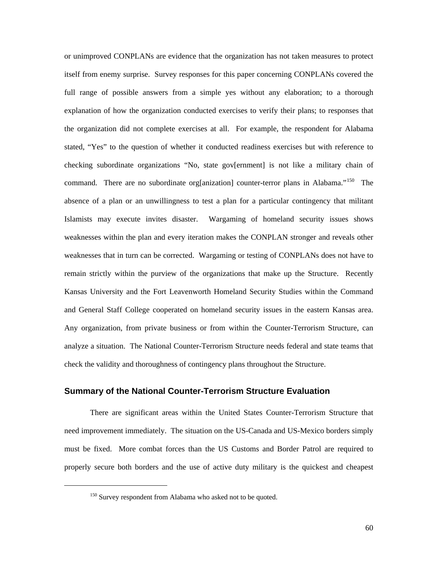or unimproved CONPLANs are evidence that the organization has not taken measures to protect itself from enemy surprise. Survey responses for this paper concerning CONPLANs covered the full range of possible answers from a simple yes without any elaboration; to a thorough explanation of how the organization conducted exercises to verify their plans; to responses that the organization did not complete exercises at all. For example, the respondent for Alabama stated, "Yes" to the question of whether it conducted readiness exercises but with reference to checking subordinate organizations "No, state gov[ernment] is not like a military chain of command. There are no subordinate org[anization] counter-terror plans in Alabama."<sup>[150](#page-66-0)</sup> The absence of a plan or an unwillingness to test a plan for a particular contingency that militant Islamists may execute invites disaster. Wargaming of homeland security issues shows weaknesses within the plan and every iteration makes the CONPLAN stronger and reveals other weaknesses that in turn can be corrected. Wargaming or testing of CONPLANs does not have to remain strictly within the purview of the organizations that make up the Structure. Recently Kansas University and the Fort Leavenworth Homeland Security Studies within the Command and General Staff College cooperated on homeland security issues in the eastern Kansas area. Any organization, from private business or from within the Counter-Terrorism Structure, can analyze a situation. The National Counter-Terrorism Structure needs federal and state teams that check the validity and thoroughness of contingency plans throughout the Structure.

#### **Summary of the National Counter-Terrorism Structure Evaluation**

There are significant areas within the United States Counter-Terrorism Structure that need improvement immediately. The situation on the US-Canada and US-Mexico borders simply must be fixed. More combat forces than the US Customs and Border Patrol are required to properly secure both borders and the use of active duty military is the quickest and cheapest

<span id="page-66-0"></span><sup>&</sup>lt;sup>150</sup> Survey respondent from Alabama who asked not to be quoted.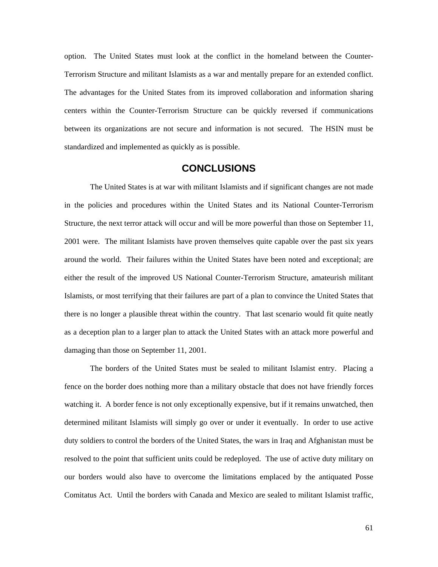option. The United States must look at the conflict in the homeland between the Counter-Terrorism Structure and militant Islamists as a war and mentally prepare for an extended conflict. The advantages for the United States from its improved collaboration and information sharing centers within the Counter-Terrorism Structure can be quickly reversed if communications between its organizations are not secure and information is not secured. The HSIN must be standardized and implemented as quickly as is possible.

# **CONCLUSIONS**

The United States is at war with militant Islamists and if significant changes are not made in the policies and procedures within the United States and its National Counter-Terrorism Structure, the next terror attack will occur and will be more powerful than those on September 11, 2001 were. The militant Islamists have proven themselves quite capable over the past six years around the world. Their failures within the United States have been noted and exceptional; are either the result of the improved US National Counter-Terrorism Structure, amateurish militant Islamists, or most terrifying that their failures are part of a plan to convince the United States that there is no longer a plausible threat within the country. That last scenario would fit quite neatly as a deception plan to a larger plan to attack the United States with an attack more powerful and damaging than those on September 11, 2001.

The borders of the United States must be sealed to militant Islamist entry. Placing a fence on the border does nothing more than a military obstacle that does not have friendly forces watching it. A border fence is not only exceptionally expensive, but if it remains unwatched, then determined militant Islamists will simply go over or under it eventually. In order to use active duty soldiers to control the borders of the United States, the wars in Iraq and Afghanistan must be resolved to the point that sufficient units could be redeployed. The use of active duty military on our borders would also have to overcome the limitations emplaced by the antiquated Posse Comitatus Act. Until the borders with Canada and Mexico are sealed to militant Islamist traffic,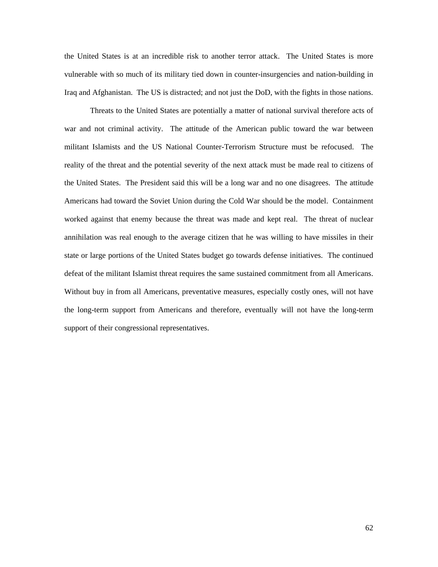the United States is at an incredible risk to another terror attack. The United States is more vulnerable with so much of its military tied down in counter-insurgencies and nation-building in Iraq and Afghanistan. The US is distracted; and not just the DoD, with the fights in those nations.

Threats to the United States are potentially a matter of national survival therefore acts of war and not criminal activity. The attitude of the American public toward the war between militant Islamists and the US National Counter-Terrorism Structure must be refocused. The reality of the threat and the potential severity of the next attack must be made real to citizens of the United States. The President said this will be a long war and no one disagrees. The attitude Americans had toward the Soviet Union during the Cold War should be the model. Containment worked against that enemy because the threat was made and kept real. The threat of nuclear annihilation was real enough to the average citizen that he was willing to have missiles in their state or large portions of the United States budget go towards defense initiatives. The continued defeat of the militant Islamist threat requires the same sustained commitment from all Americans. Without buy in from all Americans, preventative measures, especially costly ones, will not have the long-term support from Americans and therefore, eventually will not have the long-term support of their congressional representatives.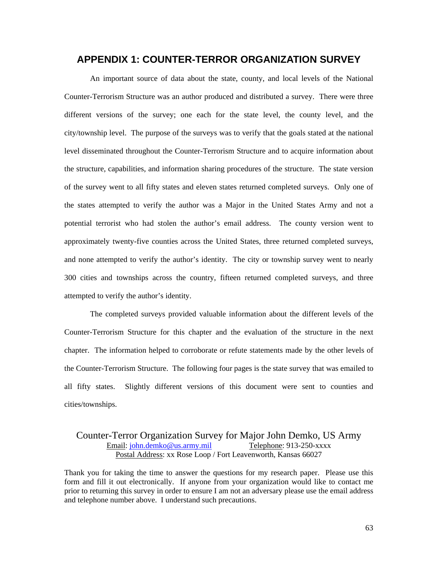# **APPENDIX 1: COUNTER-TERROR ORGANIZATION SURVEY**

An important source of data about the state, county, and local levels of the National Counter-Terrorism Structure was an author produced and distributed a survey. There were three different versions of the survey; one each for the state level, the county level, and the city/township level. The purpose of the surveys was to verify that the goals stated at the national level disseminated throughout the Counter-Terrorism Structure and to acquire information about the structure, capabilities, and information sharing procedures of the structure. The state version of the survey went to all fifty states and eleven states returned completed surveys. Only one of the states attempted to verify the author was a Major in the United States Army and not a potential terrorist who had stolen the author's email address. The county version went to approximately twenty-five counties across the United States, three returned completed surveys, and none attempted to verify the author's identity. The city or township survey went to nearly 300 cities and townships across the country, fifteen returned completed surveys, and three attempted to verify the author's identity.

The completed surveys provided valuable information about the different levels of the Counter-Terrorism Structure for this chapter and the evaluation of the structure in the next chapter. The information helped to corroborate or refute statements made by the other levels of the Counter-Terrorism Structure. The following four pages is the state survey that was emailed to all fifty states. Slightly different versions of this document were sent to counties and cities/townships.

## Counter-Terror Organization Survey for Major John Demko, US Army Email: [john.demko@us.army.mil](mailto:john.demko@us.army.mil) Telephone: 913-250-xxxx Postal Address: xx Rose Loop / Fort Leavenworth, Kansas 66027

Thank you for taking the time to answer the questions for my research paper. Please use this form and fill it out electronically. If anyone from your organization would like to contact me prior to returning this survey in order to ensure I am not an adversary please use the email address and telephone number above. I understand such precautions.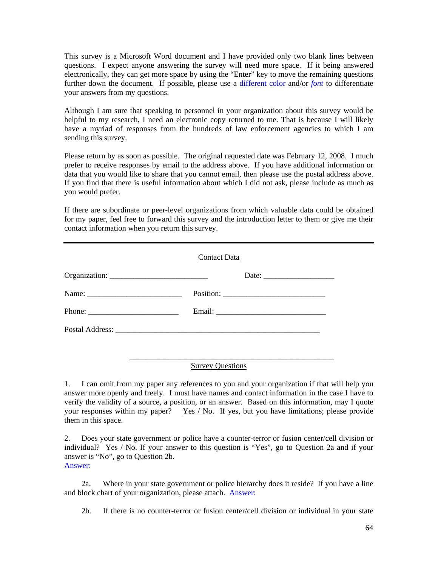This survey is a Microsoft Word document and I have provided only two blank lines between questions. I expect anyone answering the survey will need more space. If it being answered electronically, they can get more space by using the "Enter" key to move the remaining questions further down the document. If possible, please use a different color and/or *font* to differentiate your answers from my questions.

Although I am sure that speaking to personnel in your organization about this survey would be helpful to my research, I need an electronic copy returned to me. That is because I will likely have a myriad of responses from the hundreds of law enforcement agencies to which I am sending this survey.

Please return by as soon as possible. The original requested date was February 12, 2008. I much prefer to receive responses by email to the address above. If you have additional information or data that you would like to share that you cannot email, then please use the postal address above. If you find that there is useful information about which I did not ask, please include as much as you would prefer.

If there are subordinate or peer-level organizations from which valuable data could be obtained for my paper, feel free to forward this survey and the introduction letter to them or give me their contact information when you return this survey.

| Contact Data |
|--------------|
|              |
|              |
|              |
|              |
|              |

## Survey Questions

\_\_\_\_\_\_\_\_\_\_\_\_\_\_\_\_\_\_\_\_\_\_\_\_\_\_\_\_\_\_\_\_\_\_\_\_\_\_\_\_\_\_\_\_\_\_\_\_\_\_\_\_

1. I can omit from my paper any references to you and your organization if that will help you answer more openly and freely. I must have names and contact information in the case I have to verify the validity of a source, a position, or an answer. Based on this information, may I quote your responses within my paper? Yes / No. If yes, but you have limitations; please provide them in this space.

2. Does your state government or police have a counter-terror or fusion center/cell division or individual? Yes / No. If your answer to this question is "Yes", go to Question 2a and if your answer is "No", go to Question 2b. Answer:

 2a. Where in your state government or police hierarchy does it reside? If you have a line and block chart of your organization, please attach. Answer:

2b. If there is no counter-terror or fusion center/cell division or individual in your state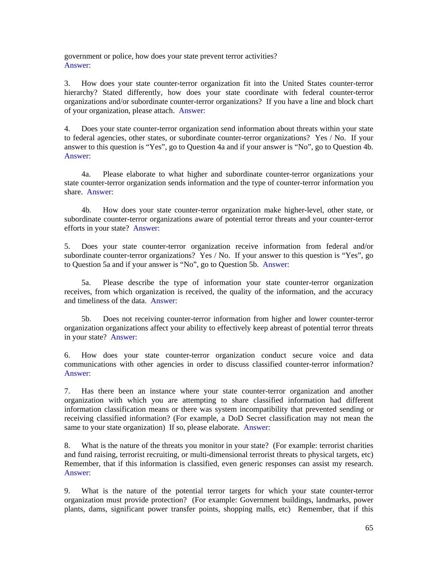government or police, how does your state prevent terror activities? Answer:

3. How does your state counter-terror organization fit into the United States counter-terror hierarchy? Stated differently, how does your state coordinate with federal counter-terror organizations and/or subordinate counter-terror organizations? If you have a line and block chart of your organization, please attach. Answer:

4. Does your state counter-terror organization send information about threats within your state to federal agencies, other states, or subordinate counter-terror organizations? Yes / No. If your answer to this question is "Yes", go to Question 4a and if your answer is "No", go to Question 4b. Answer:

 4a. Please elaborate to what higher and subordinate counter-terror organizations your state counter-terror organization sends information and the type of counter-terror information you share. Answer:

 4b. How does your state counter-terror organization make higher-level, other state, or subordinate counter-terror organizations aware of potential terror threats and your counter-terror efforts in your state? Answer:

5. Does your state counter-terror organization receive information from federal and/or subordinate counter-terror organizations? Yes / No. If your answer to this question is "Yes", go to Question 5a and if your answer is "No", go to Question 5b. Answer:

 5a. Please describe the type of information your state counter-terror organization receives, from which organization is received, the quality of the information, and the accuracy and timeliness of the data. Answer:

 5b. Does not receiving counter-terror information from higher and lower counter-terror organization organizations affect your ability to effectively keep abreast of potential terror threats in your state? Answer:

6. How does your state counter-terror organization conduct secure voice and data communications with other agencies in order to discuss classified counter-terror information? Answer:

7. Has there been an instance where your state counter-terror organization and another organization with which you are attempting to share classified information had different information classification means or there was system incompatibility that prevented sending or receiving classified information? (For example, a DoD Secret classification may not mean the same to your state organization) If so, please elaborate. Answer:

8. What is the nature of the threats you monitor in your state? (For example: terrorist charities and fund raising, terrorist recruiting, or multi-dimensional terrorist threats to physical targets, etc) Remember, that if this information is classified, even generic responses can assist my research. Answer:

9. What is the nature of the potential terror targets for which your state counter-terror organization must provide protection? (For example: Government buildings, landmarks, power plants, dams, significant power transfer points, shopping malls, etc) Remember, that if this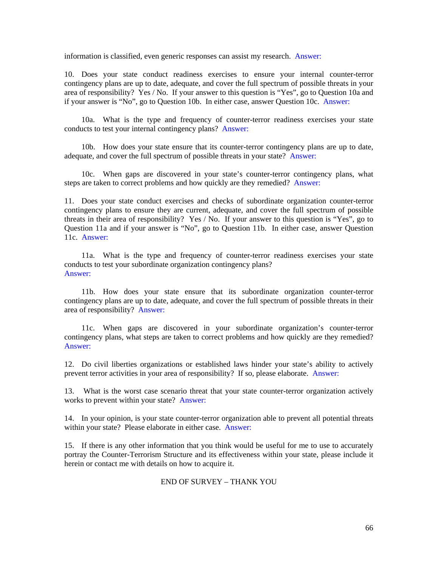information is classified, even generic responses can assist my research. Answer:

10. Does your state conduct readiness exercises to ensure your internal counter-terror contingency plans are up to date, adequate, and cover the full spectrum of possible threats in your area of responsibility? Yes / No. If your answer to this question is "Yes", go to Question 10a and if your answer is "No", go to Question 10b. In either case, answer Question 10c. Answer:

 10a. What is the type and frequency of counter-terror readiness exercises your state conducts to test your internal contingency plans? Answer:

 10b. How does your state ensure that its counter-terror contingency plans are up to date, adequate, and cover the full spectrum of possible threats in your state? Answer:

 10c. When gaps are discovered in your state's counter-terror contingency plans, what steps are taken to correct problems and how quickly are they remedied? Answer:

11. Does your state conduct exercises and checks of subordinate organization counter-terror contingency plans to ensure they are current, adequate, and cover the full spectrum of possible threats in their area of responsibility? Yes / No. If your answer to this question is "Yes", go to Question 11a and if your answer is "No", go to Question 11b. In either case, answer Question 11c. Answer:

 11a. What is the type and frequency of counter-terror readiness exercises your state conducts to test your subordinate organization contingency plans? Answer:

 11b. How does your state ensure that its subordinate organization counter-terror contingency plans are up to date, adequate, and cover the full spectrum of possible threats in their area of responsibility? Answer:

 11c. When gaps are discovered in your subordinate organization's counter-terror contingency plans, what steps are taken to correct problems and how quickly are they remedied? Answer:

12. Do civil liberties organizations or established laws hinder your state's ability to actively prevent terror activities in your area of responsibility? If so, please elaborate. Answer:

13. What is the worst case scenario threat that your state counter-terror organization actively works to prevent within your state? Answer:

14. In your opinion, is your state counter-terror organization able to prevent all potential threats within your state? Please elaborate in either case. Answer:

15. If there is any other information that you think would be useful for me to use to accurately portray the Counter-Terrorism Structure and its effectiveness within your state, please include it herein or contact me with details on how to acquire it.

#### END OF SURVEY – THANK YOU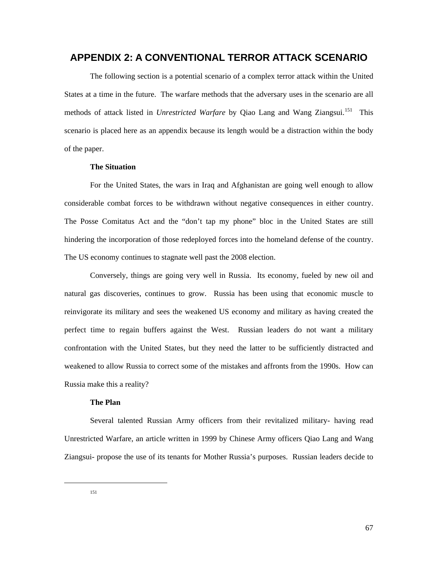## **APPENDIX 2: A CONVENTIONAL TERROR ATTACK SCENARIO**

The following section is a potential scenario of a complex terror attack within the United States at a time in the future. The warfare methods that the adversary uses in the scenario are all methods of attack listed in *Unrestricted Warfare* by Qiao Lang and Wang Ziangsui.<sup>[151](#page-73-0)</sup> This scenario is placed here as an appendix because its length would be a distraction within the body of the paper.

### **The Situation**

For the United States, the wars in Iraq and Afghanistan are going well enough to allow considerable combat forces to be withdrawn without negative consequences in either country. The Posse Comitatus Act and the "don't tap my phone" bloc in the United States are still hindering the incorporation of those redeployed forces into the homeland defense of the country. The US economy continues to stagnate well past the 2008 election.

Conversely, things are going very well in Russia. Its economy, fueled by new oil and natural gas discoveries, continues to grow. Russia has been using that economic muscle to reinvigorate its military and sees the weakened US economy and military as having created the perfect time to regain buffers against the West. Russian leaders do not want a military confrontation with the United States, but they need the latter to be sufficiently distracted and weakened to allow Russia to correct some of the mistakes and affronts from the 1990s. How can Russia make this a reality?

### **The Plan**

Several talented Russian Army officers from their revitalized military- having read Unrestricted Warfare, an article written in 1999 by Chinese Army officers Qiao Lang and Wang Ziangsui- propose the use of its tenants for Mother Russia's purposes. Russian leaders decide to

<span id="page-73-0"></span> $\overline{a}$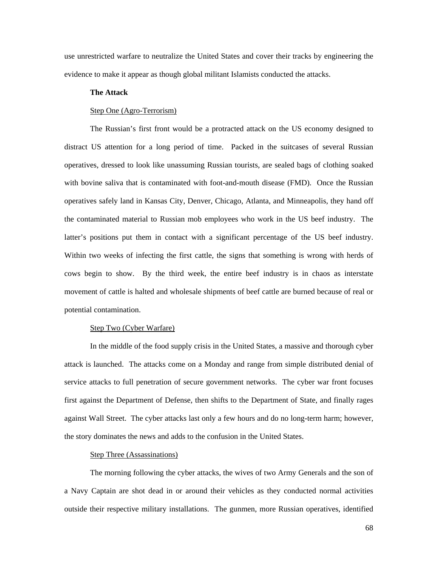use unrestricted warfare to neutralize the United States and cover their tracks by engineering the evidence to make it appear as though global militant Islamists conducted the attacks.

#### **The Attack**

#### Step One (Agro-Terrorism)

The Russian's first front would be a protracted attack on the US economy designed to distract US attention for a long period of time. Packed in the suitcases of several Russian operatives, dressed to look like unassuming Russian tourists, are sealed bags of clothing soaked with bovine saliva that is contaminated with foot-and-mouth disease (FMD). Once the Russian operatives safely land in Kansas City, Denver, Chicago, Atlanta, and Minneapolis, they hand off the contaminated material to Russian mob employees who work in the US beef industry. The latter's positions put them in contact with a significant percentage of the US beef industry. Within two weeks of infecting the first cattle, the signs that something is wrong with herds of cows begin to show. By the third week, the entire beef industry is in chaos as interstate movement of cattle is halted and wholesale shipments of beef cattle are burned because of real or potential contamination.

#### Step Two (Cyber Warfare)

In the middle of the food supply crisis in the United States, a massive and thorough cyber attack is launched. The attacks come on a Monday and range from simple distributed denial of service attacks to full penetration of secure government networks. The cyber war front focuses first against the Department of Defense, then shifts to the Department of State, and finally rages against Wall Street. The cyber attacks last only a few hours and do no long-term harm; however, the story dominates the news and adds to the confusion in the United States.

#### Step Three (Assassinations)

The morning following the cyber attacks, the wives of two Army Generals and the son of a Navy Captain are shot dead in or around their vehicles as they conducted normal activities outside their respective military installations. The gunmen, more Russian operatives, identified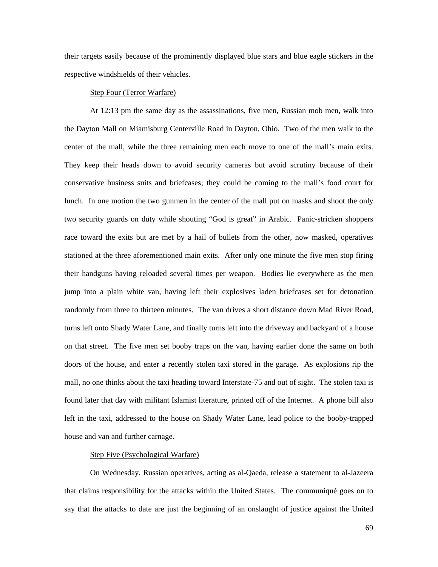their targets easily because of the prominently displayed blue stars and blue eagle stickers in the respective windshields of their vehicles.

#### Step Four (Terror Warfare)

At 12:13 pm the same day as the assassinations, five men, Russian mob men, walk into the Dayton Mall on Miamisburg Centerville Road in Dayton, Ohio. Two of the men walk to the center of the mall, while the three remaining men each move to one of the mall's main exits. They keep their heads down to avoid security cameras but avoid scrutiny because of their conservative business suits and briefcases; they could be coming to the mall's food court for lunch. In one motion the two gunmen in the center of the mall put on masks and shoot the only two security guards on duty while shouting "God is great" in Arabic. Panic-stricken shoppers race toward the exits but are met by a hail of bullets from the other, now masked, operatives stationed at the three aforementioned main exits. After only one minute the five men stop firing their handguns having reloaded several times per weapon. Bodies lie everywhere as the men jump into a plain white van, having left their explosives laden briefcases set for detonation randomly from three to thirteen minutes. The van drives a short distance down Mad River Road, turns left onto Shady Water Lane, and finally turns left into the driveway and backyard of a house on that street. The five men set booby traps on the van, having earlier done the same on both doors of the house, and enter a recently stolen taxi stored in the garage. As explosions rip the mall, no one thinks about the taxi heading toward Interstate-75 and out of sight. The stolen taxi is found later that day with militant Islamist literature, printed off of the Internet. A phone bill also left in the taxi, addressed to the house on Shady Water Lane, lead police to the booby-trapped house and van and further carnage.

#### Step Five (Psychological Warfare)

On Wednesday, Russian operatives, acting as al-Qaeda, release a statement to al-Jazeera that claims responsibility for the attacks within the United States. The communiqué goes on to say that the attacks to date are just the beginning of an onslaught of justice against the United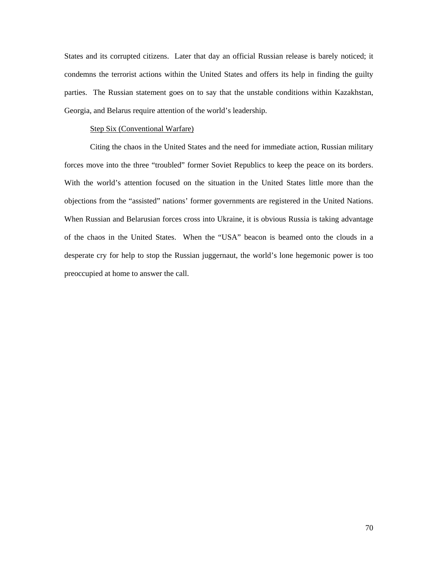States and its corrupted citizens. Later that day an official Russian release is barely noticed; it condemns the terrorist actions within the United States and offers its help in finding the guilty parties. The Russian statement goes on to say that the unstable conditions within Kazakhstan, Georgia, and Belarus require attention of the world's leadership.

#### Step Six (Conventional Warfare)

Citing the chaos in the United States and the need for immediate action, Russian military forces move into the three "troubled" former Soviet Republics to keep the peace on its borders. With the world's attention focused on the situation in the United States little more than the objections from the "assisted" nations' former governments are registered in the United Nations. When Russian and Belarusian forces cross into Ukraine, it is obvious Russia is taking advantage of the chaos in the United States. When the "USA" beacon is beamed onto the clouds in a desperate cry for help to stop the Russian juggernaut, the world's lone hegemonic power is too preoccupied at home to answer the call.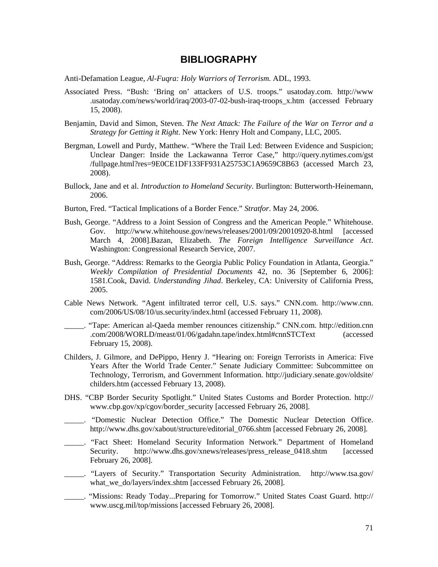# **BIBLIOGRAPHY**

Anti-Defamation League, *Al-Fuqra: Holy Warriors of Terrorism*. ADL, 1993.

- Associated Press. "Bush: 'Bring on' attackers of U.S. troops." usatoday.com. [http://www](http://www/) .usatoday.com/news/world/iraq/2003-07-02-bush-iraq-troops\_x.htm (accessed February 15, 2008).
- Benjamin, David and Simon, Steven. *The Next Attack: The Failure of the War on Terror and a Strategy for Getting it Right*. New York: Henry Holt and Company, LLC, 2005.
- Bergman, Lowell and Purdy, Matthew. "Where the Trail Led: Between Evidence and Suspicion; Unclear Danger: Inside the Lackawanna Terror Case," [http://query.nytimes.com/gst](http://query.nytimes.com/gst%20/fullpage.html?res)  [/fullpage.html?res=](http://query.nytimes.com/gst%20/fullpage.html?res)9E0CE1DF133FF931A25753C1A9659C8B63 (accessed March 23, 2008).
- Bullock, Jane and et al. *Introduction to Homeland Security*. Burlington: Butterworth-Heinemann, 2006.
- Burton, Fred. "Tactical Implications of a Border Fence." *Stratfor*. May 24, 2006.
- Bush, George. "Address to a Joint Session of Congress and the American People." Whitehouse. Gov. <http://www.whitehouse.gov/news/releases/2001/09/20010920-8.html>[accessed March 4, 2008].Bazan, Elizabeth. *The Foreign Intelligence Surveillance Act*. Washington: Congressional Research Service, 2007.
- Bush, George. "Address: Remarks to the Georgia Public Policy Foundation in Atlanta, Georgia." *Weekly Compilation of Presidential Documents* 42, no. 36 [September 6, 2006]: 1581.Cook, David. *Understanding Jihad*. Berkeley, CA: University of California Press, 2005.
- Cable News Network. "Agent infiltrated terror cell, U.S. says." CNN.com. http://www.cnn. com/2006/US/08/10/us.security/index.html (accessed February 11, 2008).
- \_\_\_\_\_. "Tape: American al-Qaeda member renounces citizenship." CNN.com. [http://edition](http://edition/).cnn .com/2008/WORLD/meast/01/06/gadahn.tape/index.html#cnnSTCText (accessed February 15, 2008).
- Childers, J. Gilmore, and DePippo, Henry J. "Hearing on: Foreign Terrorists in America: Five Years After the World Trade Center." Senate Judiciary Committee: Subcommittee on Technology, Terrorism, and Government Information. [http://judiciary.senate.gov/o](http://judiciary.senate.gov/)ldsite/ childers.htm (accessed February 13, 2008).
- DHS. "CBP Border Security Spotlight." United States Customs and Border Protection. http:// [www.cbp.gov/xp/cgov/border\\_security](http://www.cbp.gov/xp/cgov/border_security) [accessed February 26, 2008].
- \_\_\_\_\_. "Domestic Nuclear Detection Office." The Domestic Nuclear Detection Office. http://www.dhs.gov/xabout/structure/editorial\_0766.shtm [accessed February 26, 2008].
- \_\_\_\_\_. "Fact Sheet: Homeland Security Information Network." Department of Homeland Security. http://www.dhs.gov/xnews/releases/press\_release\_0418.shtm [accessed February 26, 2008].
- \_\_\_\_\_. "Layers of Security." Transportation Security Administration. <http://www.tsa.gov/> what we do/layers/index.shtm [accessed February 26, 2008].
- \_\_\_\_\_. "Missions: Ready Today...Preparing for Tomorrow." United States Coast Guard. http:// www.uscg.mil/top/missions [accessed February 26, 2008].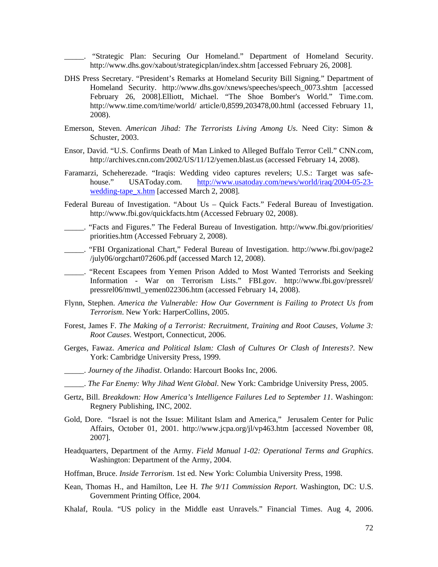\_\_\_\_\_. "Strategic Plan: Securing Our Homeland." Department of Homeland Security. <http://www.dhs.gov/xabout/strategicplan/index.shtm> [accessed February 26, 2008].

- DHS Press Secretary. "President's Remarks at Homeland Security Bill Signing." Department of Homeland Security. [http://www.dhs.gov/xnews/speeches/speech\\_0073.shtm](http://www.dhs.gov/xnews/speeches/speech_0073.shtm) [accessed February 26, 2008].Elliott, Michael. "The Shoe Bomber's World." Time.com. [http://www.time.com/time/world/ article/0,8599,203478,00.html](http://www.time.com/time/world/%20article/0,8599,203478,00.html) (accessed February 11, 2008).
- Emerson, Steven. *American Jihad: The Terrorists Living Among Us*. Need City: Simon & Schuster, 2003.
- Ensor, David. "U.S. Confirms Death of Man Linked to Alleged Buffalo Terror Cell." CNN.com, <http://archives.cnn.com/2002/US/11/12/yemen.blast.us>(accessed February 14, 2008).
- Faramarzi, Scheherezade. "Iraqis: Wedding video captures revelers; U.S.: Target was safehouse." USAToday.com. [http://www.usatoday.com/news/world/iraq/2004-05-23](http://www.usatoday.com/news/world/iraq/2004-05-23-wedding-tape_x.htm) [wedding-tape\\_x.htm](http://www.usatoday.com/news/world/iraq/2004-05-23-wedding-tape_x.htm) [accessed March 2, 2008].
- Federal Bureau of Investigation. "About Us Quick Facts." Federal Bureau of Investigation. <http://www.fbi.gov/quickfacts.htm>(Accessed February 02, 2008).
- \_\_\_\_\_. "Facts and Figures." The Federal Bureau of Investigation. [http://www.fbi.gov/priorities/](http://www.fbi.gov/priorities/%20priorities.htm)  [priorities.htm](http://www.fbi.gov/priorities/%20priorities.htm) (Accessed February 2, 2008).
- \_\_\_\_\_. "FBI Organizational Chart," Federal Bureau of Investigation. [http://www.fbi.gov/page2](http://www.fbi.gov/page2%20/july06/orgchart072606.pdf)  [/july06/orgchart072606.pdf](http://www.fbi.gov/page2%20/july06/orgchart072606.pdf) (accessed March 12, 2008).
- \_\_\_\_\_. "Recent Escapees from Yemen Prison Added to Most Wanted Terrorists and Seeking Information - War on Terrorism Lists." FBI.gov. <http://www.fbi.gov/pressrel/> pressrel06/mwtl\_yemen022306.htm (accessed February 14, 2008).
- Flynn, Stephen. *America the Vulnerable: How Our Government is Failing to Protect Us from Terrorism*. New York: HarperCollins, 2005.
- Forest, James F. *The Making of a Terrorist: Recruitment, Training and Root Causes, Volume 3: Root Causes*. Westport, Connecticut, 2006.
- Gerges, Fawaz. *America and Political Islam: Clash of Cultures Or Clash of Interests?*. New York: Cambridge University Press, 1999.
- \_\_\_\_\_. *Journey of the Jihadist*. Orlando: Harcourt Books Inc, 2006.
- \_\_\_\_\_. *The Far Enemy: Why Jihad Went Global*. New York: Cambridge University Press, 2005.
- Gertz, Bill. *Breakdown: How America's Intelligence Failures Led to September 11*. Washingon: Regnery Publishing, INC, 2002.
- Gold, Dore. "Israel is not the Issue: Militant Islam and America," Jerusalem Center for Pulic Affairs, October 01, 2001. http://www.jcpa.org/jl/vp463.htm [accessed November 08, 2007].
- Headquarters, Department of the Army. *Field Manual 1-02: Operational Terms and Graphics*. Washington: Department of the Army, 2004.
- Hoffman, Bruce. *Inside Terrorism*. 1st ed. New York: Columbia University Press, 1998.
- Kean, Thomas H., and Hamilton, Lee H. *The 9/11 Commission Report*. Washington, DC: U.S. Government Printing Office, 2004.
- Khalaf, Roula. "US policy in the Middle east Unravels." Financial Times. Aug 4, 2006.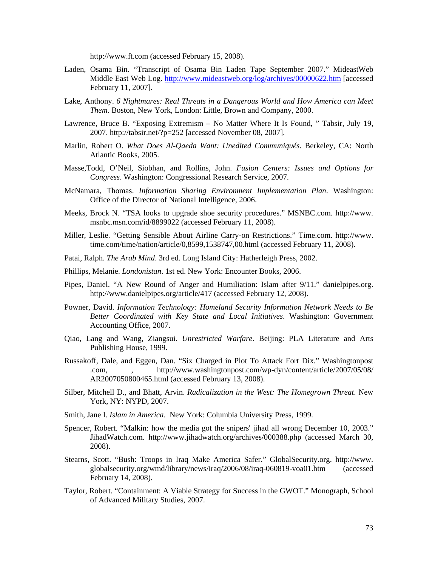[http://www.ft.com](http://www.ft.com/) (accessed February 15, 2008).

- Laden, Osama Bin. "Transcript of Osama Bin Laden Tape September 2007." MideastWeb Middle East Web Log. <http://www.mideastweb.org/log/archives/00000622.htm>[accessed] February 11, 2007].
- Lake, Anthony. *6 Nightmares: Real Threats in a Dangerous World and How America can Meet Them*. Boston, New York, London: Little, Brown and Company, 2000.
- Lawrence, Bruce B. "Exposing Extremism No Matter Where It Is Found, " Tabsir, July 19, 2007. http://tabsir.net/?p=252 [accessed November 08, 2007].
- Marlin, Robert O. *What Does Al-Qaeda Want: Unedited Communiqués*. Berkeley, CA: North Atlantic Books, 2005.
- Masse,Todd, O'Neil, Siobhan, and Rollins, John. *Fusion Centers: Issues and Options for Congress*. Washington: Congressional Research Service, 2007.
- McNamara, Thomas. *Information Sharing Environment Implementation Plan*. Washington: Office of the Director of National Intelligence, 2006.
- Meeks, Brock N. "TSA looks to upgrade shoe security procedures." MSNBC.com. http://www. msnbc.msn.com/id/8899022 (accessed February 11, 2008).
- Miller, Leslie. "Getting Sensible About Airline Carry-on Restrictions." Time.com. http://www. time.com/time/nation/article/0,8599,1538747,00.html (accessed February 11, 2008).
- Patai, Ralph. *The Arab Mind*. 3rd ed. Long Island City: Hatherleigh Press, 2002.
- Phillips, Melanie. *Londonistan*. 1st ed. New York: Encounter Books, 2006.
- Pipes, Daniel. "A New Round of Anger and Humiliation: Islam after 9/11." danielpipes.org. http://www.danielpipes.org/article/417 (accessed February 12, 2008).
- Powner, David. *Information Technology: Homeland Security Information Network Needs to Be Better Coordinated with Key State and Local Initiatives*. Washington: Government Accounting Office, 2007.
- Qiao, Lang and Wang, Ziangsui. *Unrestricted Warfare*. Beijing: PLA Literature and Arts Publishing House, 1999.
- Russakoff, Dale, and Eggen, Dan. "Six Charged in Plot To Attack Fort Dix." Washingtonpost .com, , <http://www.washingtonpost.com/wp-dyn/content/article/2007/05/08/> AR2007050800465.html (accessed February 13, 2008).
- Silber, Mitchell D., and Bhatt, Arvin. *Radicalization in the West: The Homegrown Threat*. New York, NY: NYPD, 2007.
- Smith, Jane I. *Islam in America*. New York: Columbia University Press, 1999.
- Spencer, Robert. "Malkin: how the media got the snipers' jihad all wrong December 10, 2003." JihadWatch.com. <http://www.jihadwatch.org/archives/000388.php> (accessed March 30, 2008).
- Stearns, Scott. "Bush: Troops in Iraq Make America Safer." GlobalSecurity.org. [http://www](http://www/). globalsecurity.org/wmd/library/news/iraq/2006/08/iraq-060819-voa01.htm (accessed February 14, 2008).
- Taylor, Robert. "Containment: A Viable Strategy for Success in the GWOT." Monograph, School of Advanced Military Studies, 2007.